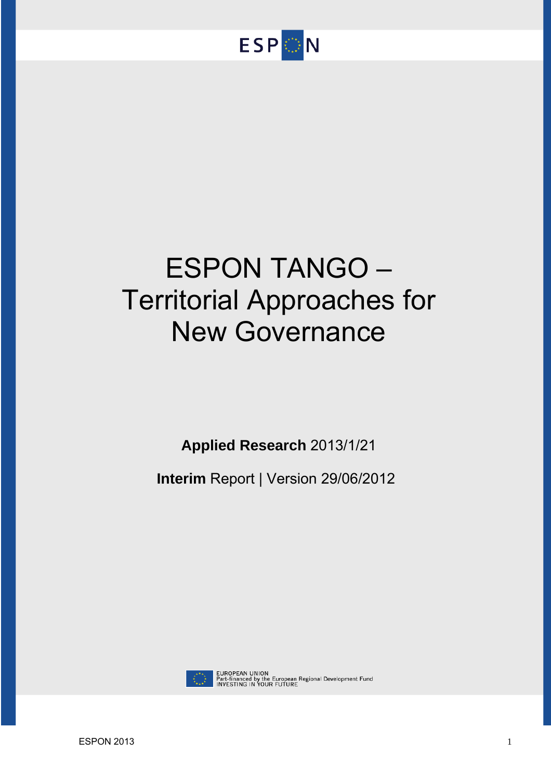

# ESPON TANGO – Territorial Approaches for New Governance

**Applied Research** 2013/1/21

**Interim** Report | Version 29/06/2012



EUROPEAN UNION<br>Part-financed by the European Regional Development Fund<br>INVESTING IN YOUR FUTURE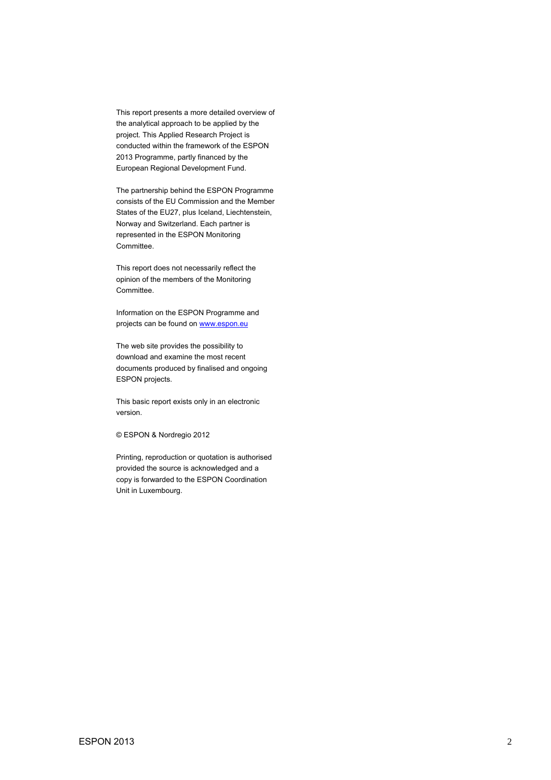This report presents a more detailed overview of the analytical approach to be applied by the project. This Applied Research Project is conducted within the framework of the ESPON 2013 Programme, partly financed by the European Regional Development Fund.

The partnership behind the ESPON Programme consists of the EU Commission and the Member States of the EU27, plus Iceland, Liechtenstein, Norway and Switzerland. Each partner is represented in the ESPON Monitoring Committee.

This report does not necessarily reflect the opinion of the members of the Monitoring Committee.

Information on the ESPON Programme and projects can be found on www.espon.eu

The web site provides the possibility to download and examine the most recent documents produced by finalised and ongoing ESPON projects.

This basic report exists only in an electronic version.

© ESPON & Nordregio 2012

Printing, reproduction or quotation is authorised provided the source is acknowledged and a copy is forwarded to the ESPON Coordination Unit in Luxembourg.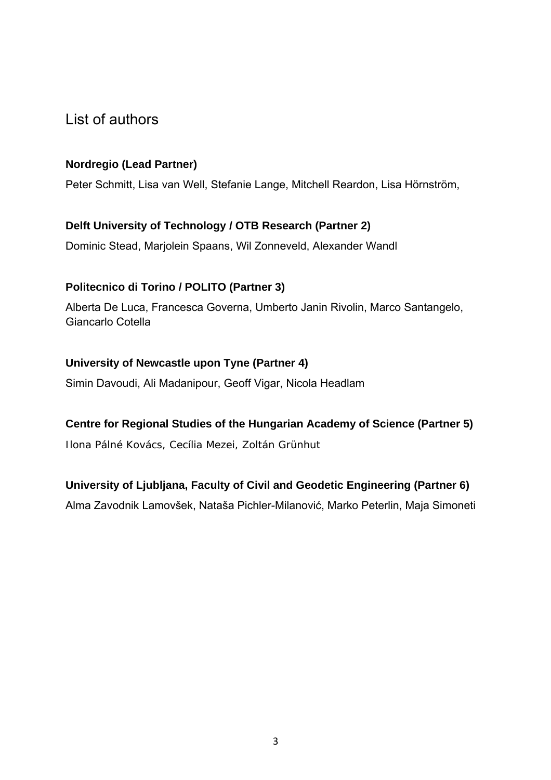## List of authors

## **Nordregio (Lead Partner)**

Peter Schmitt, Lisa van Well, Stefanie Lange, Mitchell Reardon, Lisa Hörnström,

## **Delft University of Technology / OTB Research (Partner 2)**

Dominic Stead, Marjolein Spaans, Wil Zonneveld, Alexander Wandl

## **Politecnico di Torino / POLITO (Partner 3)**

Alberta De Luca, Francesca Governa, Umberto Janin Rivolin, Marco Santangelo, Giancarlo Cotella

## **University of Newcastle upon Tyne (Partner 4)**

Simin Davoudi, Ali Madanipour, Geoff Vigar, Nicola Headlam

## **Centre for Regional Studies of the Hungarian Academy of Science (Partner 5)**

Ilona Pálné Kovács, Cecília Mezei, Zoltán Grünhut

## **University of Ljubljana, Faculty of Civil and Geodetic Engineering (Partner 6)**

Alma Zavodnik Lamovšek, Nataša Pichler-Milanović, Marko Peterlin, Maja Simoneti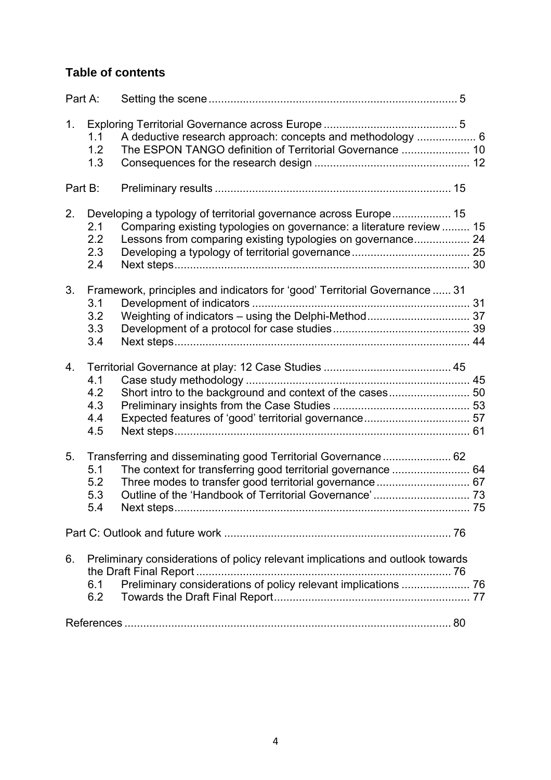## **Table of contents**

| Part A: |                                 |                                                                                                                                                                                                         |    |
|---------|---------------------------------|---------------------------------------------------------------------------------------------------------------------------------------------------------------------------------------------------------|----|
| 1.      | 1.1<br>1.2<br>1.3               | A deductive research approach: concepts and methodology  6<br>The ESPON TANGO definition of Territorial Governance  10                                                                                  |    |
| Part B: |                                 |                                                                                                                                                                                                         |    |
| 2.      | 2.1<br>2.2<br>2.3<br>2.4        | Developing a typology of territorial governance across Europe 15<br>Comparing existing typologies on governance: a literature review  15<br>Lessons from comparing existing typologies on governance 24 |    |
| 3.      | 3.1<br>3.2<br>3.3<br>3.4        | Framework, principles and indicators for 'good' Territorial Governance  31                                                                                                                              |    |
| 4.      | 4.1<br>4.2<br>4.3<br>4.4<br>4.5 |                                                                                                                                                                                                         |    |
| 5.      | 5.1<br>5.2<br>5.3<br>5.4        | Transferring and disseminating good Territorial Governance 62<br>Next steps                                                                                                                             | 75 |
|         |                                 |                                                                                                                                                                                                         |    |
| 6.      | 6.1<br>6.2                      | Preliminary considerations of policy relevant implications and outlook towards<br>the Draft Final Report.                                                                                               |    |
|         |                                 |                                                                                                                                                                                                         |    |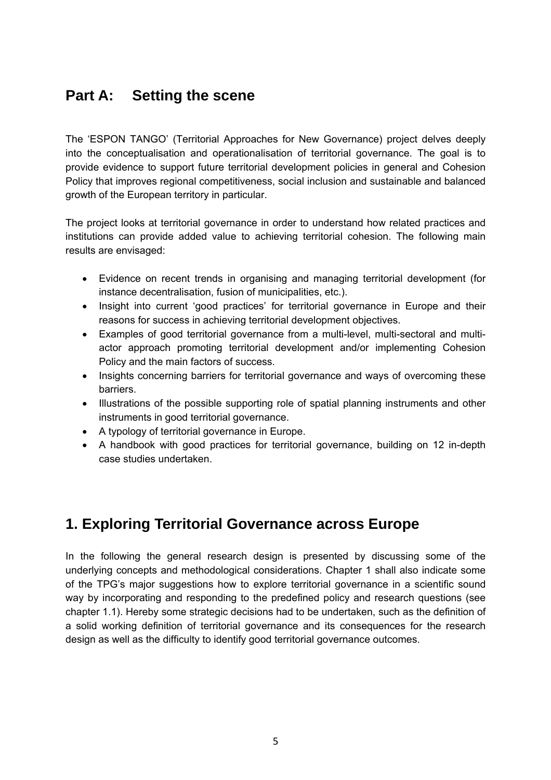# **Part A: Setting the scene**

The 'ESPON TANGO' (Territorial Approaches for New Governance) project delves deeply into the conceptualisation and operationalisation of territorial governance. The goal is to provide evidence to support future territorial development policies in general and Cohesion Policy that improves regional competitiveness, social inclusion and sustainable and balanced growth of the European territory in particular.

The project looks at territorial governance in order to understand how related practices and institutions can provide added value to achieving territorial cohesion. The following main results are envisaged:

- Evidence on recent trends in organising and managing territorial development (for instance decentralisation, fusion of municipalities, etc.).
- Insight into current 'good practices' for territorial governance in Europe and their reasons for success in achieving territorial development objectives.
- Examples of good territorial governance from a multi-level, multi-sectoral and multiactor approach promoting territorial development and/or implementing Cohesion Policy and the main factors of success.
- Insights concerning barriers for territorial governance and ways of overcoming these barriers.
- Illustrations of the possible supporting role of spatial planning instruments and other instruments in good territorial governance.
- A typology of territorial governance in Europe.
- A handbook with good practices for territorial governance, building on 12 in-depth case studies undertaken.

# **1. Exploring Territorial Governance across Europe**

In the following the general research design is presented by discussing some of the underlying concepts and methodological considerations. Chapter 1 shall also indicate some of the TPG's major suggestions how to explore territorial governance in a scientific sound way by incorporating and responding to the predefined policy and research questions (see chapter 1.1). Hereby some strategic decisions had to be undertaken, such as the definition of a solid working definition of territorial governance and its consequences for the research design as well as the difficulty to identify good territorial governance outcomes.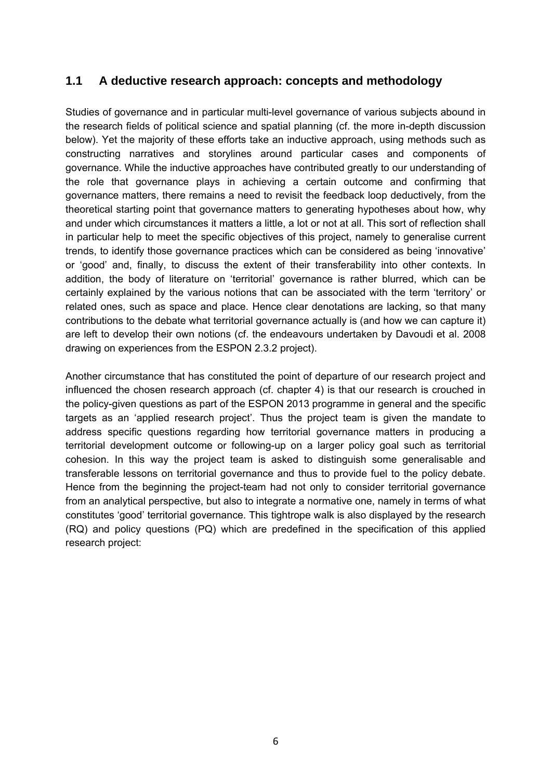## **1.1 A deductive research approach: concepts and methodology**

Studies of governance and in particular multi-level governance of various subjects abound in the research fields of political science and spatial planning (cf. the more in-depth discussion below). Yet the majority of these efforts take an inductive approach, using methods such as constructing narratives and storylines around particular cases and components of governance. While the inductive approaches have contributed greatly to our understanding of the role that governance plays in achieving a certain outcome and confirming that governance matters, there remains a need to revisit the feedback loop deductively, from the theoretical starting point that governance matters to generating hypotheses about how, why and under which circumstances it matters a little, a lot or not at all. This sort of reflection shall in particular help to meet the specific objectives of this project, namely to generalise current trends, to identify those governance practices which can be considered as being 'innovative' or 'good' and, finally, to discuss the extent of their transferability into other contexts. In addition, the body of literature on 'territorial' governance is rather blurred, which can be certainly explained by the various notions that can be associated with the term 'territory' or related ones, such as space and place. Hence clear denotations are lacking, so that many contributions to the debate what territorial governance actually is (and how we can capture it) are left to develop their own notions (cf. the endeavours undertaken by Davoudi et al. 2008 drawing on experiences from the ESPON 2.3.2 project).

Another circumstance that has constituted the point of departure of our research project and influenced the chosen research approach (cf. chapter 4) is that our research is crouched in the policy-given questions as part of the ESPON 2013 programme in general and the specific targets as an 'applied research project'. Thus the project team is given the mandate to address specific questions regarding how territorial governance matters in producing a territorial development outcome or following-up on a larger policy goal such as territorial cohesion. In this way the project team is asked to distinguish some generalisable and transferable lessons on territorial governance and thus to provide fuel to the policy debate. Hence from the beginning the project-team had not only to consider territorial governance from an analytical perspective, but also to integrate a normative one, namely in terms of what constitutes 'good' territorial governance. This tightrope walk is also displayed by the research (RQ) and policy questions (PQ) which are predefined in the specification of this applied research project: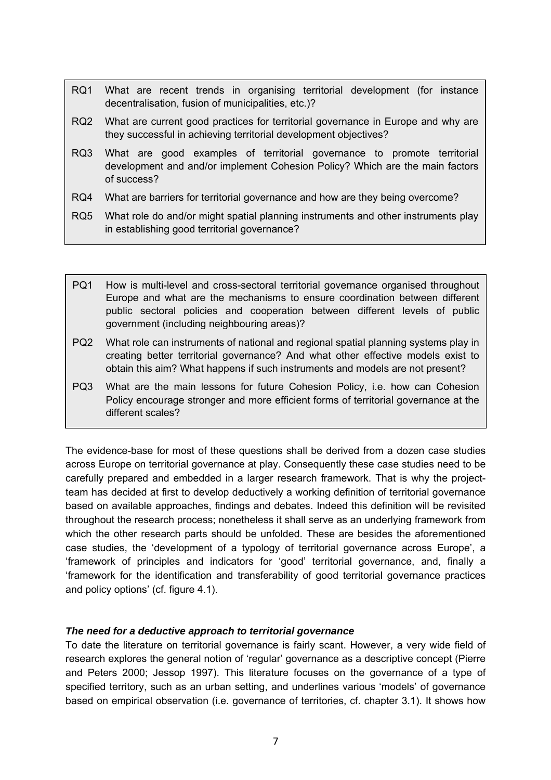- RQ1 What are recent trends in organising territorial development (for instance decentralisation, fusion of municipalities, etc.)?
- RQ2 What are current good practices for territorial governance in Europe and why are they successful in achieving territorial development objectives?
- RQ3 What are good examples of territorial governance to promote territorial development and and/or implement Cohesion Policy? Which are the main factors of success?
- RQ4 What are barriers for territorial governance and how are they being overcome?
- RQ5 What role do and/or might spatial planning instruments and other instruments play in establishing good territorial governance?
- PQ1 How is multi-level and cross-sectoral territorial governance organised throughout Europe and what are the mechanisms to ensure coordination between different public sectoral policies and cooperation between different levels of public government (including neighbouring areas)?
- PQ2 What role can instruments of national and regional spatial planning systems play in creating better territorial governance? And what other effective models exist to obtain this aim? What happens if such instruments and models are not present?
- PQ3 What are the main lessons for future Cohesion Policy, i.e. how can Cohesion Policy encourage stronger and more efficient forms of territorial governance at the different scales?

The evidence-base for most of these questions shall be derived from a dozen case studies across Europe on territorial governance at play. Consequently these case studies need to be carefully prepared and embedded in a larger research framework. That is why the projectteam has decided at first to develop deductively a working definition of territorial governance based on available approaches, findings and debates. Indeed this definition will be revisited throughout the research process; nonetheless it shall serve as an underlying framework from which the other research parts should be unfolded. These are besides the aforementioned case studies, the 'development of a typology of territorial governance across Europe', a 'framework of principles and indicators for 'good' territorial governance, and, finally a 'framework for the identification and transferability of good territorial governance practices and policy options' (cf. figure 4.1).

#### *The need for a deductive approach to territorial governance*

To date the literature on territorial governance is fairly scant. However, a very wide field of research explores the general notion of 'regular' governance as a descriptive concept (Pierre and Peters 2000; Jessop 1997). This literature focuses on the governance of a type of specified territory, such as an urban setting, and underlines various 'models' of governance based on empirical observation (i.e. governance of territories, cf. chapter 3.1). It shows how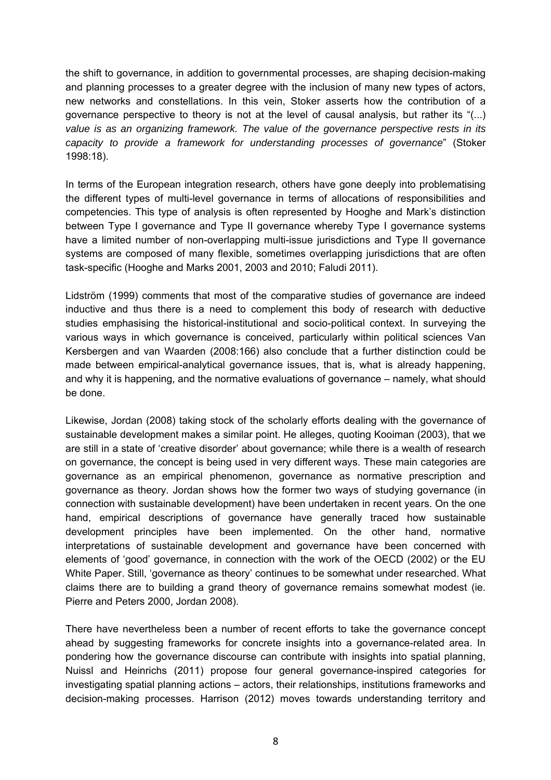the shift to governance, in addition to governmental processes, are shaping decision-making and planning processes to a greater degree with the inclusion of many new types of actors, new networks and constellations. In this vein, Stoker asserts how the contribution of a governance perspective to theory is not at the level of causal analysis, but rather its "(...) *value is as an organizing framework. The value of the governance perspective rests in its capacity to provide a framework for understanding processes of governance*" (Stoker 1998:18).

In terms of the European integration research, others have gone deeply into problematising the different types of multi-level governance in terms of allocations of responsibilities and competencies. This type of analysis is often represented by Hooghe and Mark's distinction between Type I governance and Type II governance whereby Type I governance systems have a limited number of non-overlapping multi-issue jurisdictions and Type II governance systems are composed of many flexible, sometimes overlapping jurisdictions that are often task-specific (Hooghe and Marks 2001, 2003 and 2010; Faludi 2011).

Lidström (1999) comments that most of the comparative studies of governance are indeed inductive and thus there is a need to complement this body of research with deductive studies emphasising the historical-institutional and socio-political context. In surveying the various ways in which governance is conceived, particularly within political sciences Van Kersbergen and van Waarden (2008:166) also conclude that a further distinction could be made between empirical-analytical governance issues, that is, what is already happening, and why it is happening, and the normative evaluations of governance – namely, what should be done.

Likewise, Jordan (2008) taking stock of the scholarly efforts dealing with the governance of sustainable development makes a similar point. He alleges, quoting Kooiman (2003), that we are still in a state of 'creative disorder' about governance; while there is a wealth of research on governance, the concept is being used in very different ways. These main categories are governance as an empirical phenomenon, governance as normative prescription and governance as theory. Jordan shows how the former two ways of studying governance (in connection with sustainable development) have been undertaken in recent years. On the one hand, empirical descriptions of governance have generally traced how sustainable development principles have been implemented. On the other hand, normative interpretations of sustainable development and governance have been concerned with elements of 'good' governance, in connection with the work of the OECD (2002) or the EU White Paper. Still, 'governance as theory' continues to be somewhat under researched. What claims there are to building a grand theory of governance remains somewhat modest (ie. Pierre and Peters 2000, Jordan 2008).

There have nevertheless been a number of recent efforts to take the governance concept ahead by suggesting frameworks for concrete insights into a governance-related area. In pondering how the governance discourse can contribute with insights into spatial planning, Nuissl and Heinrichs (2011) propose four general governance-inspired categories for investigating spatial planning actions – actors, their relationships, institutions frameworks and decision-making processes. Harrison (2012) moves towards understanding territory and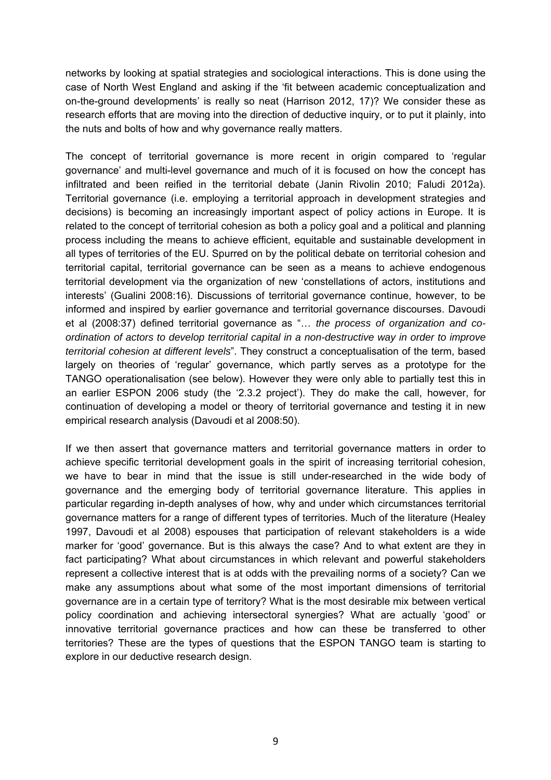networks by looking at spatial strategies and sociological interactions. This is done using the case of North West England and asking if the 'fit between academic conceptualization and on-the-ground developments' is really so neat (Harrison 2012, 17)? We consider these as research efforts that are moving into the direction of deductive inquiry, or to put it plainly, into the nuts and bolts of how and why governance really matters.

The concept of territorial governance is more recent in origin compared to 'regular governance' and multi-level governance and much of it is focused on how the concept has infiltrated and been reified in the territorial debate (Janin Rivolin 2010; Faludi 2012a). Territorial governance (i.e. employing a territorial approach in development strategies and decisions) is becoming an increasingly important aspect of policy actions in Europe. It is related to the concept of territorial cohesion as both a policy goal and a political and planning process including the means to achieve efficient, equitable and sustainable development in all types of territories of the EU. Spurred on by the political debate on territorial cohesion and territorial capital, territorial governance can be seen as a means to achieve endogenous territorial development via the organization of new 'constellations of actors, institutions and interests' (Gualini 2008:16). Discussions of territorial governance continue, however, to be informed and inspired by earlier governance and territorial governance discourses. Davoudi et al (2008:37) defined territorial governance as "… *the process of organization and coordination of actors to develop territorial capital in a non-destructive way in order to improve territorial cohesion at different levels*". They construct a conceptualisation of the term, based largely on theories of 'regular' governance, which partly serves as a prototype for the TANGO operationalisation (see below). However they were only able to partially test this in an earlier ESPON 2006 study (the '2.3.2 project'). They do make the call, however, for continuation of developing a model or theory of territorial governance and testing it in new empirical research analysis (Davoudi et al 2008:50).

If we then assert that governance matters and territorial governance matters in order to achieve specific territorial development goals in the spirit of increasing territorial cohesion, we have to bear in mind that the issue is still under-researched in the wide body of governance and the emerging body of territorial governance literature. This applies in particular regarding in-depth analyses of how, why and under which circumstances territorial governance matters for a range of different types of territories. Much of the literature (Healey 1997, Davoudi et al 2008) espouses that participation of relevant stakeholders is a wide marker for 'good' governance. But is this always the case? And to what extent are they in fact participating? What about circumstances in which relevant and powerful stakeholders represent a collective interest that is at odds with the prevailing norms of a society? Can we make any assumptions about what some of the most important dimensions of territorial governance are in a certain type of territory? What is the most desirable mix between vertical policy coordination and achieving intersectoral synergies? What are actually 'good' or innovative territorial governance practices and how can these be transferred to other territories? These are the types of questions that the ESPON TANGO team is starting to explore in our deductive research design.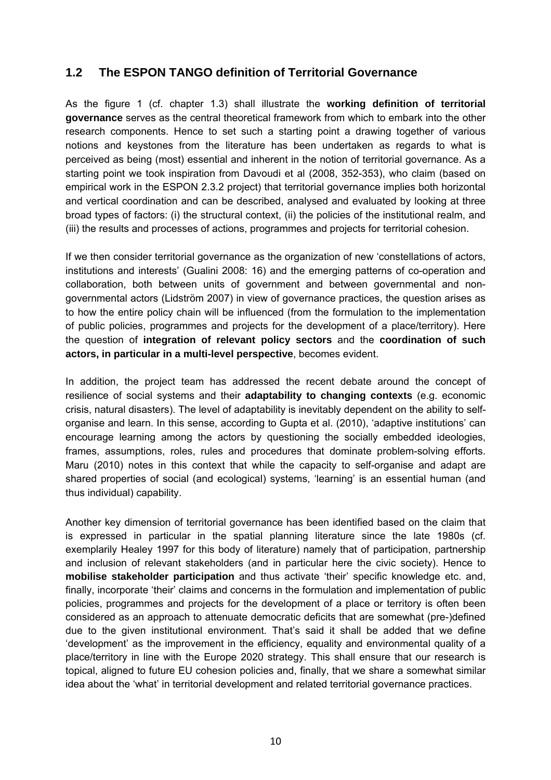## **1.2 The ESPON TANGO definition of Territorial Governance**

As the figure 1 (cf. chapter 1.3) shall illustrate the **working definition of territorial governance** serves as the central theoretical framework from which to embark into the other research components. Hence to set such a starting point a drawing together of various notions and keystones from the literature has been undertaken as regards to what is perceived as being (most) essential and inherent in the notion of territorial governance. As a starting point we took inspiration from Davoudi et al (2008, 352-353), who claim (based on empirical work in the ESPON 2.3.2 project) that territorial governance implies both horizontal and vertical coordination and can be described, analysed and evaluated by looking at three broad types of factors: (i) the structural context, (ii) the policies of the institutional realm, and (iii) the results and processes of actions, programmes and projects for territorial cohesion.

If we then consider territorial governance as the organization of new 'constellations of actors, institutions and interests' (Gualini 2008: 16) and the emerging patterns of co-operation and collaboration, both between units of government and between governmental and nongovernmental actors (Lidström 2007) in view of governance practices, the question arises as to how the entire policy chain will be influenced (from the formulation to the implementation of public policies, programmes and projects for the development of a place/territory). Here the question of **integration of relevant policy sectors** and the **coordination of such actors, in particular in a multi-level perspective**, becomes evident.

In addition, the project team has addressed the recent debate around the concept of resilience of social systems and their **adaptability to changing contexts** (e.g. economic crisis, natural disasters). The level of adaptability is inevitably dependent on the ability to selforganise and learn. In this sense, according to Gupta et al. (2010), 'adaptive institutions' can encourage learning among the actors by questioning the socially embedded ideologies, frames, assumptions, roles, rules and procedures that dominate problem-solving efforts. Maru (2010) notes in this context that while the capacity to self-organise and adapt are shared properties of social (and ecological) systems, 'learning' is an essential human (and thus individual) capability.

Another key dimension of territorial governance has been identified based on the claim that is expressed in particular in the spatial planning literature since the late 1980s (cf. exemplarily Healey 1997 for this body of literature) namely that of participation, partnership and inclusion of relevant stakeholders (and in particular here the civic society). Hence to **mobilise stakeholder participation** and thus activate 'their' specific knowledge etc. and, finally, incorporate 'their' claims and concerns in the formulation and implementation of public policies, programmes and projects for the development of a place or territory is often been considered as an approach to attenuate democratic deficits that are somewhat (pre-)defined due to the given institutional environment. That's said it shall be added that we define 'development' as the improvement in the efficiency, equality and environmental quality of a place/territory in line with the Europe 2020 strategy. This shall ensure that our research is topical, aligned to future EU cohesion policies and, finally, that we share a somewhat similar idea about the 'what' in territorial development and related territorial governance practices.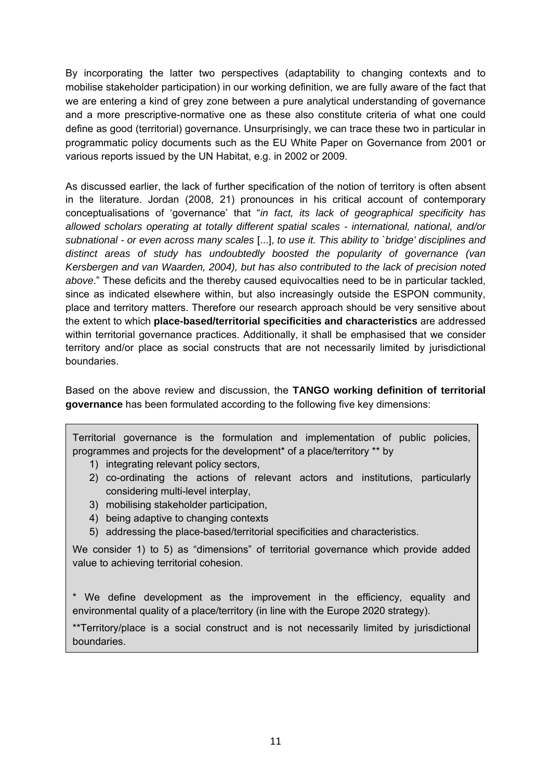By incorporating the latter two perspectives (adaptability to changing contexts and to mobilise stakeholder participation) in our working definition, we are fully aware of the fact that we are entering a kind of grey zone between a pure analytical understanding of governance and a more prescriptive-normative one as these also constitute criteria of what one could define as good (territorial) governance. Unsurprisingly, we can trace these two in particular in programmatic policy documents such as the EU White Paper on Governance from 2001 or various reports issued by the UN Habitat, e.g. in 2002 or 2009.

As discussed earlier, the lack of further specification of the notion of territory is often absent in the literature. Jordan (2008, 21) pronounces in his critical account of contemporary conceptualisations of 'governance' that "*in fact, its lack of geographical specificity has allowed scholars operating at totally different spatial scales - international, national, and/or subnational - or even across many scales* [...], *to use it. This ability to `bridge' disciplines and distinct areas of study has undoubtedly boosted the popularity of governance (van Kersbergen and van Waarden, 2004), but has also contributed to the lack of precision noted above*." These deficits and the thereby caused equivocalties need to be in particular tackled, since as indicated elsewhere within, but also increasingly outside the ESPON community, place and territory matters. Therefore our research approach should be very sensitive about the extent to which **place-based/territorial specificities and characteristics** are addressed within territorial governance practices. Additionally, it shall be emphasised that we consider territory and/or place as social constructs that are not necessarily limited by jurisdictional boundaries.

Based on the above review and discussion, the **TANGO working definition of territorial governance** has been formulated according to the following five key dimensions:

Territorial governance is the formulation and implementation of public policies, programmes and projects for the development\* of a place/territory \*\* by

- 1) integrating relevant policy sectors,
- 2) co-ordinating the actions of relevant actors and institutions, particularly considering multi-level interplay,
- 3) mobilising stakeholder participation,
- 4) being adaptive to changing contexts
- 5) addressing the place-based/territorial specificities and characteristics.

We consider 1) to 5) as "dimensions" of territorial governance which provide added value to achieving territorial cohesion.

\* We define development as the improvement in the efficiency, equality and environmental quality of a place/territory (in line with the Europe 2020 strategy).

\*\*Territory/place is a social construct and is not necessarily limited by jurisdictional boundaries.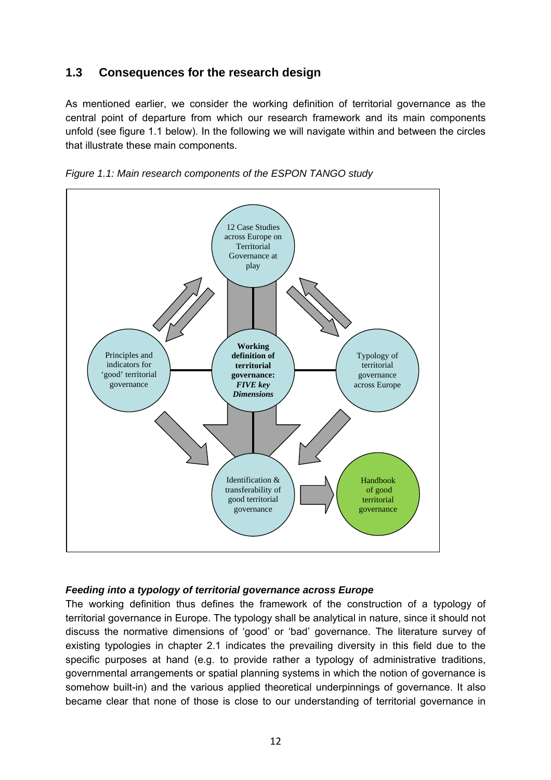## **1.3 Consequences for the research design**

As mentioned earlier, we consider the working definition of territorial governance as the central point of departure from which our research framework and its main components unfold (see figure 1.1 below). In the following we will navigate within and between the circles that illustrate these main components.





#### *Feeding into a typology of territorial governance across Europe*

The working definition thus defines the framework of the construction of a typology of territorial governance in Europe. The typology shall be analytical in nature, since it should not discuss the normative dimensions of 'good' or 'bad' governance. The literature survey of existing typologies in chapter 2.1 indicates the prevailing diversity in this field due to the specific purposes at hand (e.g. to provide rather a typology of administrative traditions, governmental arrangements or spatial planning systems in which the notion of governance is somehow built-in) and the various applied theoretical underpinnings of governance. It also became clear that none of those is close to our understanding of territorial governance in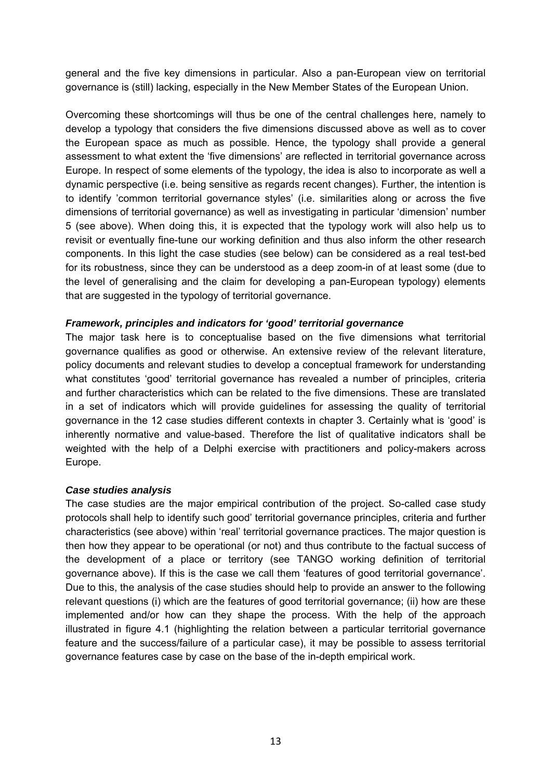general and the five key dimensions in particular. Also a pan-European view on territorial governance is (still) lacking, especially in the New Member States of the European Union.

Overcoming these shortcomings will thus be one of the central challenges here, namely to develop a typology that considers the five dimensions discussed above as well as to cover the European space as much as possible. Hence, the typology shall provide a general assessment to what extent the 'five dimensions' are reflected in territorial governance across Europe. In respect of some elements of the typology, the idea is also to incorporate as well a dynamic perspective (i.e. being sensitive as regards recent changes). Further, the intention is to identify 'common territorial governance styles' (i.e. similarities along or across the five dimensions of territorial governance) as well as investigating in particular 'dimension' number 5 (see above). When doing this, it is expected that the typology work will also help us to revisit or eventually fine-tune our working definition and thus also inform the other research components. In this light the case studies (see below) can be considered as a real test-bed for its robustness, since they can be understood as a deep zoom-in of at least some (due to the level of generalising and the claim for developing a pan-European typology) elements that are suggested in the typology of territorial governance.

#### *Framework, principles and indicators for 'good' territorial governance*

The major task here is to conceptualise based on the five dimensions what territorial governance qualifies as good or otherwise. An extensive review of the relevant literature, policy documents and relevant studies to develop a conceptual framework for understanding what constitutes 'good' territorial governance has revealed a number of principles, criteria and further characteristics which can be related to the five dimensions. These are translated in a set of indicators which will provide guidelines for assessing the quality of territorial governance in the 12 case studies different contexts in chapter 3. Certainly what is 'good' is inherently normative and value-based. Therefore the list of qualitative indicators shall be weighted with the help of a Delphi exercise with practitioners and policy-makers across Europe.

#### *Case studies analysis*

The case studies are the major empirical contribution of the project. So-called case study protocols shall help to identify such good' territorial governance principles, criteria and further characteristics (see above) within 'real' territorial governance practices. The major question is then how they appear to be operational (or not) and thus contribute to the factual success of the development of a place or territory (see TANGO working definition of territorial governance above). If this is the case we call them 'features of good territorial governance'. Due to this, the analysis of the case studies should help to provide an answer to the following relevant questions (i) which are the features of good territorial governance; (ii) how are these implemented and/or how can they shape the process. With the help of the approach illustrated in figure 4.1 (highlighting the relation between a particular territorial governance feature and the success/failure of a particular case), it may be possible to assess territorial governance features case by case on the base of the in-depth empirical work.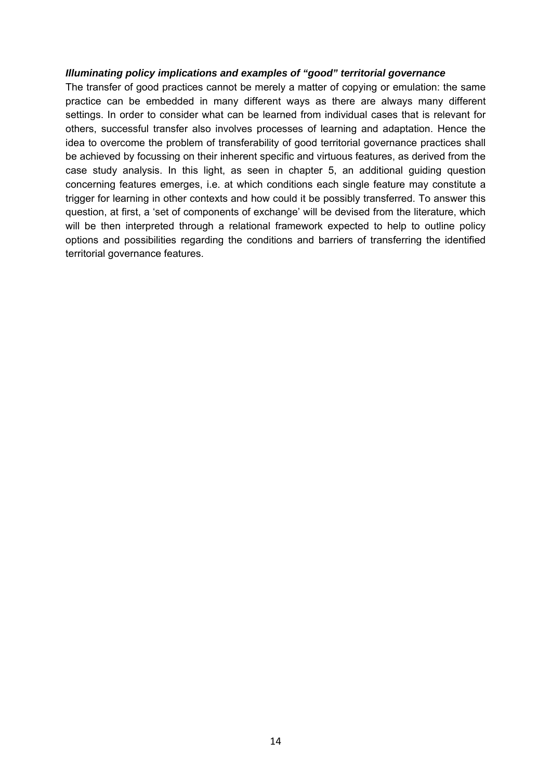#### *Illuminating policy implications and examples of "good" territorial governance*

The transfer of good practices cannot be merely a matter of copying or emulation: the same practice can be embedded in many different ways as there are always many different settings. In order to consider what can be learned from individual cases that is relevant for others, successful transfer also involves processes of learning and adaptation. Hence the idea to overcome the problem of transferability of good territorial governance practices shall be achieved by focussing on their inherent specific and virtuous features, as derived from the case study analysis. In this light, as seen in chapter 5, an additional guiding question concerning features emerges, i.e. at which conditions each single feature may constitute a trigger for learning in other contexts and how could it be possibly transferred. To answer this question, at first, a 'set of components of exchange' will be devised from the literature, which will be then interpreted through a relational framework expected to help to outline policy options and possibilities regarding the conditions and barriers of transferring the identified territorial governance features.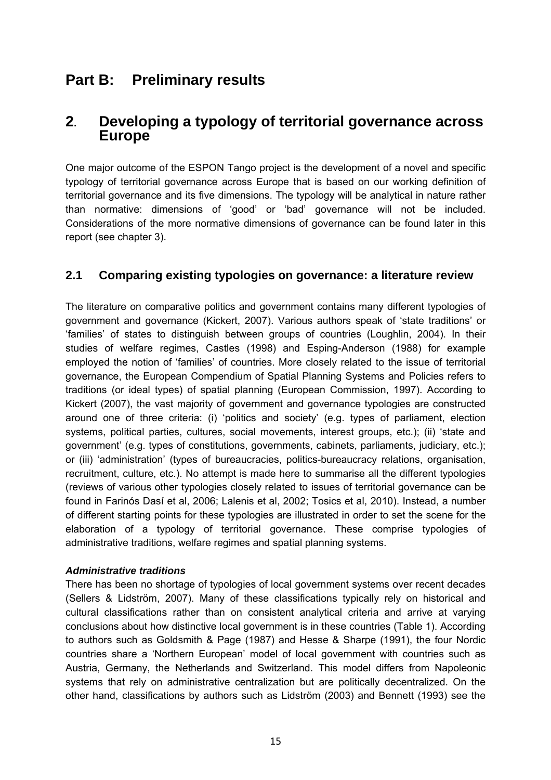## **Part B: Preliminary results**

## **2. Developing a typology of territorial governance across Europe**

One major outcome of the ESPON Tango project is the development of a novel and specific typology of territorial governance across Europe that is based on our working definition of territorial governance and its five dimensions. The typology will be analytical in nature rather than normative: dimensions of 'good' or 'bad' governance will not be included. Considerations of the more normative dimensions of governance can be found later in this report (see chapter 3).

## **2.1 Comparing existing typologies on governance: a literature review**

The literature on comparative politics and government contains many different typologies of government and governance (Kickert, 2007). Various authors speak of 'state traditions' or 'families' of states to distinguish between groups of countries (Loughlin, 2004). In their studies of welfare regimes, Castles (1998) and Esping-Anderson (1988) for example employed the notion of 'families' of countries. More closely related to the issue of territorial governance, the European Compendium of Spatial Planning Systems and Policies refers to traditions (or ideal types) of spatial planning (European Commission, 1997). According to Kickert (2007), the vast majority of government and governance typologies are constructed around one of three criteria: (i) 'politics and society' (e.g. types of parliament, election systems, political parties, cultures, social movements, interest groups, etc.); (ii) 'state and government' (e.g. types of constitutions, governments, cabinets, parliaments, judiciary, etc.); or (iii) 'administration' (types of bureaucracies, politics-bureaucracy relations, organisation, recruitment, culture, etc.). No attempt is made here to summarise all the different typologies (reviews of various other typologies closely related to issues of territorial governance can be found in Farinós Dasí et al, 2006; Lalenis et al, 2002; Tosics et al, 2010). Instead, a number of different starting points for these typologies are illustrated in order to set the scene for the elaboration of a typology of territorial governance. These comprise typologies of administrative traditions, welfare regimes and spatial planning systems.

#### *Administrative traditions*

There has been no shortage of typologies of local government systems over recent decades (Sellers & Lidström, 2007). Many of these classifications typically rely on historical and cultural classifications rather than on consistent analytical criteria and arrive at varying conclusions about how distinctive local government is in these countries (Table 1). According to authors such as Goldsmith & Page (1987) and Hesse & Sharpe (1991), the four Nordic countries share a 'Northern European' model of local government with countries such as Austria, Germany, the Netherlands and Switzerland. This model differs from Napoleonic systems that rely on administrative centralization but are politically decentralized. On the other hand, classifications by authors such as Lidström (2003) and Bennett (1993) see the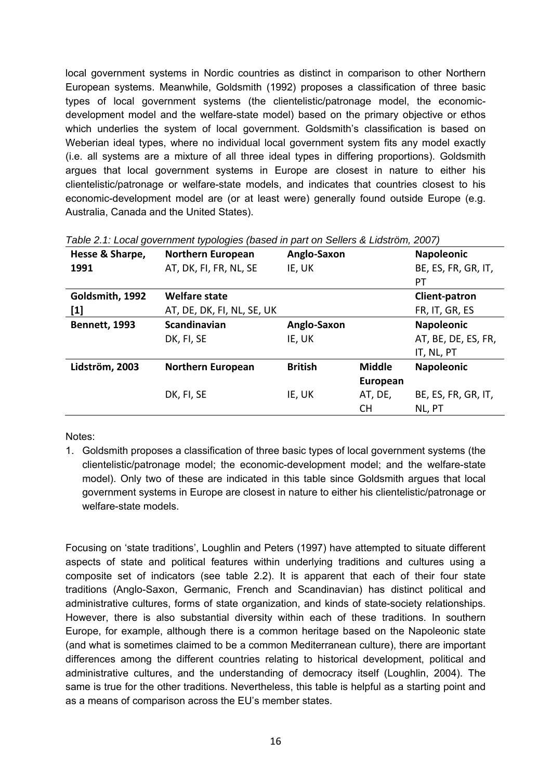local government systems in Nordic countries as distinct in comparison to other Northern European systems. Meanwhile, Goldsmith (1992) proposes a classification of three basic types of local government systems (the clientelistic/patronage model, the economicdevelopment model and the welfare-state model) based on the primary objective or ethos which underlies the system of local government. Goldsmith's classification is based on Weberian ideal types, where no individual local government system fits any model exactly (i.e. all systems are a mixture of all three ideal types in differing proportions). Goldsmith argues that local government systems in Europe are closest in nature to either his clientelistic/patronage or welfare-state models, and indicates that countries closest to his economic-development model are (or at least were) generally found outside Europe (e.g. Australia, Canada and the United States).

| Hesse & Sharpe,      | <b>Northern European</b>   | Anglo-Saxon    |               | <b>Napoleonic</b>   |
|----------------------|----------------------------|----------------|---------------|---------------------|
| 1991                 | AT, DK, FI, FR, NL, SE     | IE, UK         |               | BE, ES, FR, GR, IT, |
|                      |                            |                |               | PT                  |
| Goldsmith, 1992      | <b>Welfare state</b>       |                |               | Client-patron       |
| $[1]$                | AT, DE, DK, FI, NL, SE, UK |                |               | FR, IT, GR, ES      |
| <b>Bennett, 1993</b> | <b>Scandinavian</b>        | Anglo-Saxon    |               | <b>Napoleonic</b>   |
|                      | DK, FI, SE                 | IE, UK         |               | AT, BE, DE, ES, FR, |
|                      |                            |                |               | IT, NL, PT          |
| Lidström, 2003       | <b>Northern European</b>   | <b>British</b> | <b>Middle</b> | <b>Napoleonic</b>   |
|                      |                            |                | European      |                     |
|                      | DK, FI, SE                 | IE, UK         | AT, DE,       | BE, ES, FR, GR, IT, |
|                      |                            |                | <b>CH</b>     | NL, PT              |

| Table 2.1: Local government typologies (based in part on Sellers & Lidström, 2007) |  |  |
|------------------------------------------------------------------------------------|--|--|
|                                                                                    |  |  |

Notes:

1. Goldsmith proposes a classification of three basic types of local government systems (the clientelistic/patronage model; the economic-development model; and the welfare-state model). Only two of these are indicated in this table since Goldsmith argues that local government systems in Europe are closest in nature to either his clientelistic/patronage or welfare-state models.

Focusing on 'state traditions', Loughlin and Peters (1997) have attempted to situate different aspects of state and political features within underlying traditions and cultures using a composite set of indicators (see table 2.2). It is apparent that each of their four state traditions (Anglo-Saxon, Germanic, French and Scandinavian) has distinct political and administrative cultures, forms of state organization, and kinds of state-society relationships. However, there is also substantial diversity within each of these traditions. In southern Europe, for example, although there is a common heritage based on the Napoleonic state (and what is sometimes claimed to be a common Mediterranean culture), there are important differences among the different countries relating to historical development, political and administrative cultures, and the understanding of democracy itself (Loughlin, 2004). The same is true for the other traditions. Nevertheless, this table is helpful as a starting point and as a means of comparison across the EU's member states.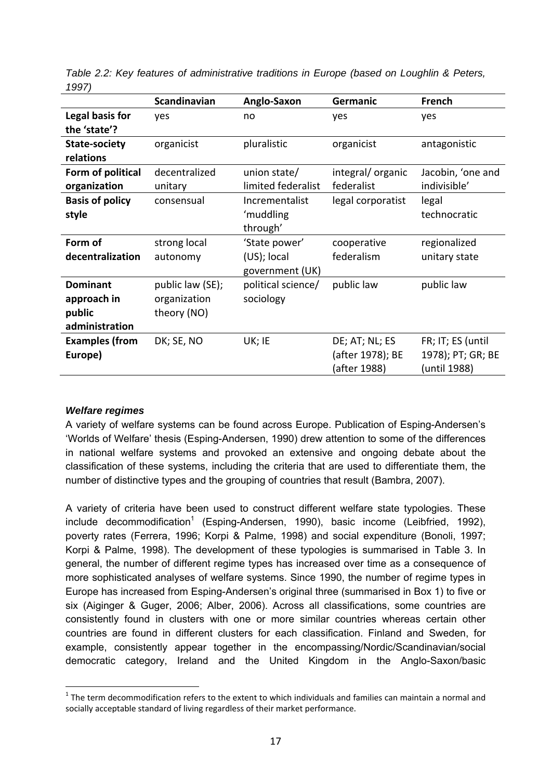| --- 1                  |                     |                    |                   |                   |
|------------------------|---------------------|--------------------|-------------------|-------------------|
|                        | <b>Scandinavian</b> | Anglo-Saxon        | Germanic          | French            |
| Legal basis for        | yes                 | no                 | yes               | yes               |
| the 'state'?           |                     |                    |                   |                   |
| <b>State-society</b>   | organicist          | pluralistic        | organicist        | antagonistic      |
| relations              |                     |                    |                   |                   |
| Form of political      | decentralized       | union state/       | integral/organic  | Jacobin, 'one and |
| organization           | unitary             | limited federalist | federalist        | indivisible'      |
| <b>Basis of policy</b> | consensual          | Incrementalist     | legal corporatist | legal             |
| style                  |                     | 'muddling          |                   | technocratic      |
|                        |                     | through'           |                   |                   |
| Form of                | strong local        | 'State power'      | cooperative       | regionalized      |
| decentralization       | autonomy            | $(US)$ ; local     | federalism        | unitary state     |
|                        |                     | government (UK)    |                   |                   |
| <b>Dominant</b>        | public law (SE);    | political science/ | public law        | public law        |
| approach in            | organization        | sociology          |                   |                   |
| public                 | theory (NO)         |                    |                   |                   |
| administration         |                     |                    |                   |                   |
| <b>Examples (from</b>  | DK; SE, NO          | UK; IE             | DE; AT; NL; ES    | FR; IT; ES (until |
| Europe)                |                     |                    | (after 1978); BE  | 1978); PT; GR; BE |
|                        |                     |                    | (after 1988)      | (until 1988)      |
|                        |                     |                    |                   |                   |

*Table 2.2: Key features of administrative traditions in Europe (based on Loughlin & Peters, 1997)* 

#### *Welfare regimes*

1

A variety of welfare systems can be found across Europe. Publication of Esping-Andersen's 'Worlds of Welfare' thesis (Esping-Andersen, 1990) drew attention to some of the differences in national welfare systems and provoked an extensive and ongoing debate about the classification of these systems, including the criteria that are used to differentiate them, the number of distinctive types and the grouping of countries that result (Bambra, 2007).

A variety of criteria have been used to construct different welfare state typologies. These include decommodification<sup>1</sup> (Esping-Andersen, 1990), basic income (Leibfried, 1992), poverty rates (Ferrera, 1996; Korpi & Palme, 1998) and social expenditure (Bonoli, 1997; Korpi & Palme, 1998). The development of these typologies is summarised in Table 3. In general, the number of different regime types has increased over time as a consequence of more sophisticated analyses of welfare systems. Since 1990, the number of regime types in Europe has increased from Esping-Andersen's original three (summarised in Box 1) to five or six (Aiginger & Guger, 2006; Alber, 2006). Across all classifications, some countries are consistently found in clusters with one or more similar countries whereas certain other countries are found in different clusters for each classification. Finland and Sweden, for example, consistently appear together in the encompassing/Nordic/Scandinavian/social democratic category, Ireland and the United Kingdom in the Anglo-Saxon/basic

 $1$  The term decommodification refers to the extent to which individuals and families can maintain a normal and socially acceptable standard of living regardless of their market performance.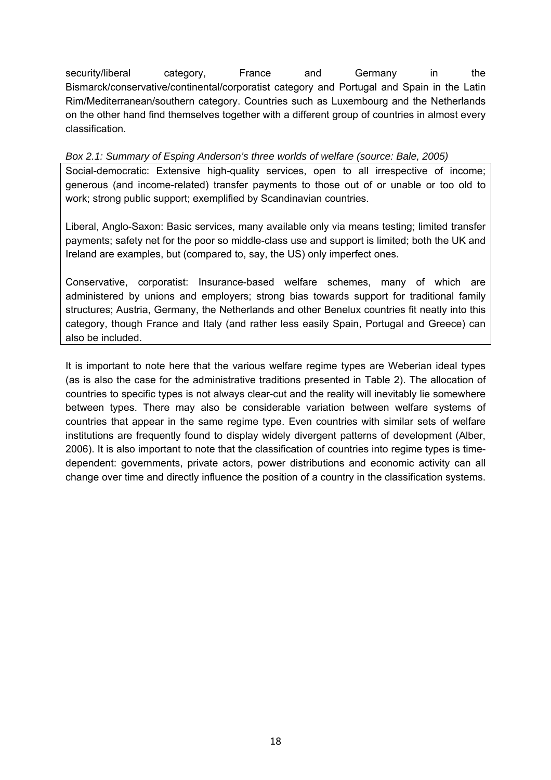security/liberal category, France and Germany in the Bismarck/conservative/continental/corporatist category and Portugal and Spain in the Latin Rim/Mediterranean/southern category. Countries such as Luxembourg and the Netherlands on the other hand find themselves together with a different group of countries in almost every classification.

*Box 2.1: Summary of Esping Anderson's three worlds of welfare (source: Bale, 2005)* 

Social-democratic: Extensive high-quality services, open to all irrespective of income; generous (and income-related) transfer payments to those out of or unable or too old to work; strong public support; exemplified by Scandinavian countries.

Liberal, Anglo-Saxon: Basic services, many available only via means testing; limited transfer payments; safety net for the poor so middle-class use and support is limited; both the UK and Ireland are examples, but (compared to, say, the US) only imperfect ones.

Conservative, corporatist: Insurance-based welfare schemes, many of which are administered by unions and employers; strong bias towards support for traditional family structures; Austria, Germany, the Netherlands and other Benelux countries fit neatly into this category, though France and Italy (and rather less easily Spain, Portugal and Greece) can also be included.

It is important to note here that the various welfare regime types are Weberian ideal types (as is also the case for the administrative traditions presented in Table 2). The allocation of countries to specific types is not always clear-cut and the reality will inevitably lie somewhere between types. There may also be considerable variation between welfare systems of countries that appear in the same regime type. Even countries with similar sets of welfare institutions are frequently found to display widely divergent patterns of development (Alber, 2006). It is also important to note that the classification of countries into regime types is timedependent: governments, private actors, power distributions and economic activity can all change over time and directly influence the position of a country in the classification systems.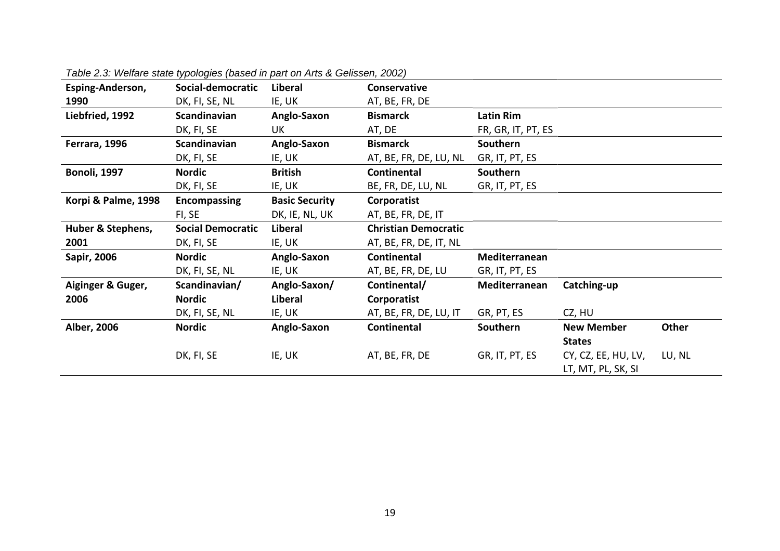| Esping-Anderson,    | Social-democratic        | Liberal               | Conservative                |                    |                     |        |
|---------------------|--------------------------|-----------------------|-----------------------------|--------------------|---------------------|--------|
| 1990                | DK, FI, SE, NL           | IE, UK                | AT, BE, FR, DE              |                    |                     |        |
| Liebfried, 1992     | Scandinavian             | Anglo-Saxon           | <b>Bismarck</b>             | <b>Latin Rim</b>   |                     |        |
|                     | DK, FI, SE               | UK                    | AT, DE                      | FR, GR, IT, PT, ES |                     |        |
| Ferrara, 1996       | Scandinavian             | Anglo-Saxon           | <b>Bismarck</b>             | Southern           |                     |        |
|                     | DK, FI, SE               | IE, UK                | AT, BE, FR, DE, LU, NL      | GR, IT, PT, ES     |                     |        |
| <b>Bonoli, 1997</b> | <b>Nordic</b>            | <b>British</b>        | Continental                 | Southern           |                     |        |
|                     | DK, FI, SE               | IE, UK                | BE, FR, DE, LU, NL          | GR, IT, PT, ES     |                     |        |
| Korpi & Palme, 1998 | <b>Encompassing</b>      | <b>Basic Security</b> | Corporatist                 |                    |                     |        |
|                     | FI, SE                   | DK, IE, NL, UK        | AT, BE, FR, DE, IT          |                    |                     |        |
| Huber & Stephens,   | <b>Social Democratic</b> | Liberal               | <b>Christian Democratic</b> |                    |                     |        |
| 2001                | DK, FI, SE               | IE, UK                | AT, BE, FR, DE, IT, NL      |                    |                     |        |
| Sapir, 2006         | <b>Nordic</b>            | Anglo-Saxon           | <b>Continental</b>          | Mediterranean      |                     |        |
|                     | DK, FI, SE, NL           | IE, UK                | AT, BE, FR, DE, LU          | GR, IT, PT, ES     |                     |        |
| Aiginger & Guger,   | Scandinavian/            | Anglo-Saxon/          | Continental/                | Mediterranean      | Catching-up         |        |
| 2006                | <b>Nordic</b>            | Liberal               | Corporatist                 |                    |                     |        |
|                     | DK, FI, SE, NL           | IE, UK                | AT, BE, FR, DE, LU, IT      | GR, PT, ES         | CZ, HU              |        |
| Alber, 2006         | <b>Nordic</b>            | Anglo-Saxon           | <b>Continental</b>          | Southern           | <b>New Member</b>   | Other  |
|                     |                          |                       |                             |                    | <b>States</b>       |        |
|                     | DK, FI, SE               | IE, UK                | AT, BE, FR, DE              | GR, IT, PT, ES     | CY, CZ, EE, HU, LV, | LU, NL |
|                     |                          |                       |                             |                    | LT, MT, PL, SK, SI  |        |

*Table 2.3: Welfare state typologies (based in part on Arts & Gelissen, 2002)*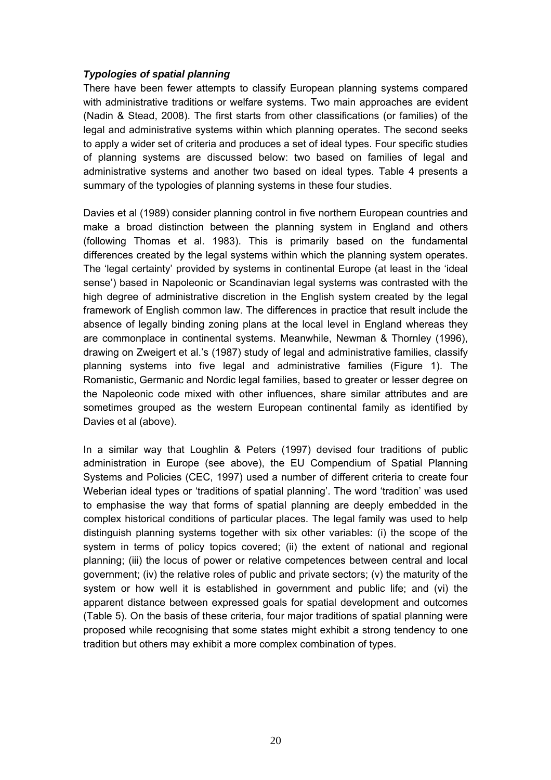#### *Typologies of spatial planning*

There have been fewer attempts to classify European planning systems compared with administrative traditions or welfare systems. Two main approaches are evident (Nadin & Stead, 2008). The first starts from other classifications (or families) of the legal and administrative systems within which planning operates. The second seeks to apply a wider set of criteria and produces a set of ideal types. Four specific studies of planning systems are discussed below: two based on families of legal and administrative systems and another two based on ideal types. Table 4 presents a summary of the typologies of planning systems in these four studies.

Davies et al (1989) consider planning control in five northern European countries and make a broad distinction between the planning system in England and others (following Thomas et al. 1983). This is primarily based on the fundamental differences created by the legal systems within which the planning system operates. The 'legal certainty' provided by systems in continental Europe (at least in the 'ideal sense') based in Napoleonic or Scandinavian legal systems was contrasted with the high degree of administrative discretion in the English system created by the legal framework of English common law. The differences in practice that result include the absence of legally binding zoning plans at the local level in England whereas they are commonplace in continental systems. Meanwhile, Newman & Thornley (1996), drawing on Zweigert et al.'s (1987) study of legal and administrative families, classify planning systems into five legal and administrative families (Figure 1). The Romanistic, Germanic and Nordic legal families, based to greater or lesser degree on the Napoleonic code mixed with other influences, share similar attributes and are sometimes grouped as the western European continental family as identified by Davies et al (above).

In a similar way that Loughlin & Peters (1997) devised four traditions of public administration in Europe (see above), the EU Compendium of Spatial Planning Systems and Policies (CEC, 1997) used a number of different criteria to create four Weberian ideal types or 'traditions of spatial planning'. The word 'tradition' was used to emphasise the way that forms of spatial planning are deeply embedded in the complex historical conditions of particular places. The legal family was used to help distinguish planning systems together with six other variables: (i) the scope of the system in terms of policy topics covered; (ii) the extent of national and regional planning; (iii) the locus of power or relative competences between central and local government; (iv) the relative roles of public and private sectors; (v) the maturity of the system or how well it is established in government and public life; and (vi) the apparent distance between expressed goals for spatial development and outcomes (Table 5). On the basis of these criteria, four major traditions of spatial planning were proposed while recognising that some states might exhibit a strong tendency to one tradition but others may exhibit a more complex combination of types.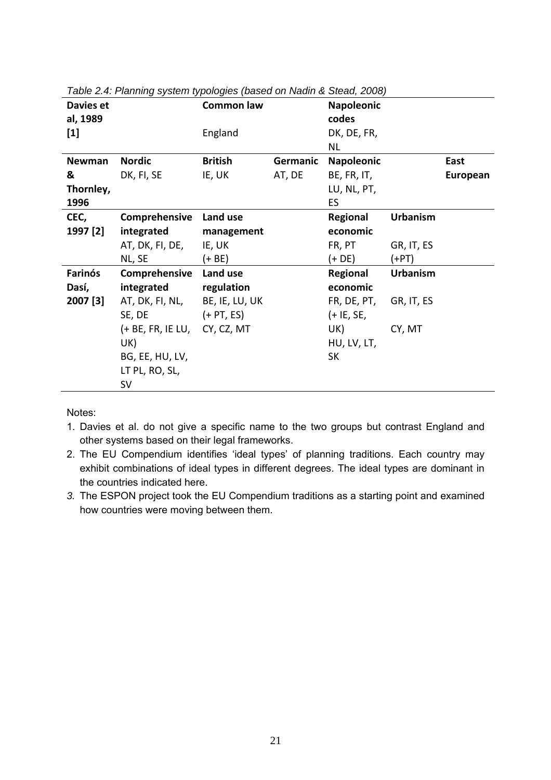| Davies et |                              | <b>Common law</b> |          | <b>Napoleonic</b> |                 |          |
|-----------|------------------------------|-------------------|----------|-------------------|-----------------|----------|
| al, 1989  |                              |                   |          | codes             |                 |          |
| $[1]$     |                              | England           |          | DK, DE, FR,       |                 |          |
|           |                              |                   |          | <b>NL</b>         |                 |          |
| Newman    | <b>Nordic</b>                | <b>British</b>    | Germanic | <b>Napoleonic</b> |                 | East     |
| &         | DK, FI, SE                   | IE, UK            | AT, DE   | BE, FR, IT,       |                 | European |
| Thornley, |                              |                   |          | LU, NL, PT,       |                 |          |
| 1996      |                              |                   |          | ES.               |                 |          |
| CEC,      | Comprehensive                | Land use          |          | Regional          | <b>Urbanism</b> |          |
| 1997 [2]  | integrated                   | management        |          | economic          |                 |          |
|           | AT, DK, FI, DE,              | IE, UK            |          | FR, PT            | GR, IT, ES      |          |
|           | NL, SE                       | (+ BE)            |          | $(+ DE)$          | (+PT)           |          |
| Farinós   | Comprehensive                | Land use          |          | Regional          | <b>Urbanism</b> |          |
| Dasí,     | integrated                   | regulation        |          | economic          |                 |          |
| 2007 [3]  | AT, DK, FI, NL,              | BE, IE, LU, UK    |          | FR, DE, PT,       | GR, IT, ES      |          |
|           | SE, DE                       | $(+ PT, ES)$      |          | $(+$ IE, SE,      |                 |          |
|           | (+ BE, FR, IE LU, CY, CZ, MT |                   |          | UK)               | CY, MT          |          |
|           | UK)                          |                   |          | HU, LV, LT,       |                 |          |
|           | BG, EE, HU, LV,              |                   |          | <b>SK</b>         |                 |          |
|           | LT PL, RO, SL,               |                   |          |                   |                 |          |
|           | <b>SV</b>                    |                   |          |                   |                 |          |

*Table 2.4: Planning system typologies (based on Nadin & Stead, 2008)* 

Notes:

- 1. Davies et al. do not give a specific name to the two groups but contrast England and other systems based on their legal frameworks.
- 2. The EU Compendium identifies 'ideal types' of planning traditions. Each country may exhibit combinations of ideal types in different degrees. The ideal types are dominant in the countries indicated here.
- *3.* The ESPON project took the EU Compendium traditions as a starting point and examined how countries were moving between them.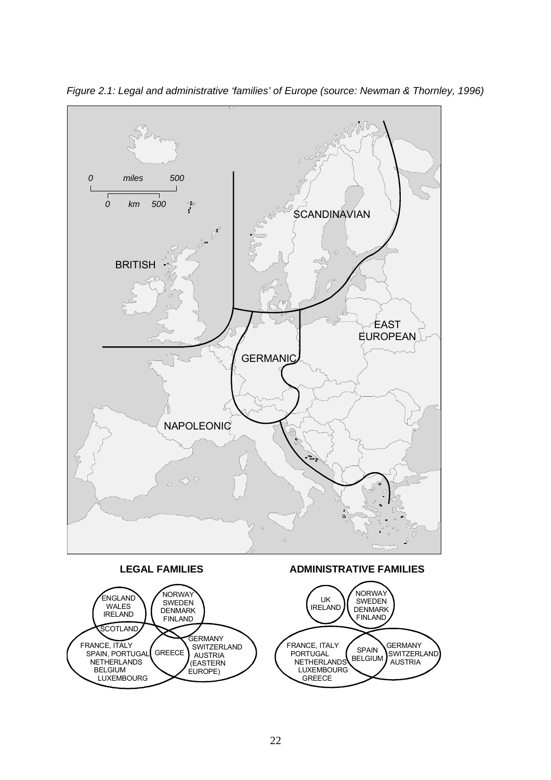

*Figure 2.1: Legal and administrative 'families' of Europe (source: Newman & Thornley, 1996)* 

 NETHERLANDS LUXEMBOURG GREECE

AUSTRIA

 (EASTERN EUROPE)

 NETHERLANDS BELGIUM LUXEMBOURG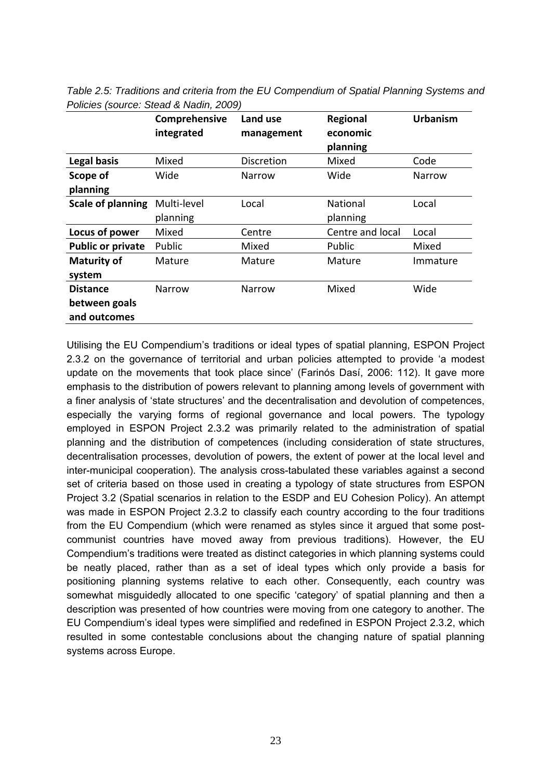|                                                  | Comprehensive<br>integrated | Land use<br>management | Regional<br>economic<br>planning | <b>Urbanism</b> |
|--------------------------------------------------|-----------------------------|------------------------|----------------------------------|-----------------|
| <b>Legal basis</b>                               | Mixed                       | Discretion             | Mixed                            | Code            |
| Scope of<br>planning                             | Wide                        | Narrow                 | Wide                             | Narrow          |
| <b>Scale of planning</b>                         | Multi-level<br>planning     | Local                  | <b>National</b><br>planning      | Local           |
| Locus of power                                   | Mixed                       | Centre                 | Centre and local                 | Local           |
| <b>Public or private</b>                         | Public                      | Mixed                  | Public                           | Mixed           |
| <b>Maturity of</b><br>system                     | Mature                      | Mature                 | Mature                           | Immature        |
| <b>Distance</b><br>between goals<br>and outcomes | Narrow                      | Narrow                 | Mixed                            | Wide            |

*Table 2.5: Traditions and criteria from the EU Compendium of Spatial Planning Systems and Policies (source: Stead & Nadin, 2009)* 

Utilising the EU Compendium's traditions or ideal types of spatial planning, ESPON Project 2.3.2 on the governance of territorial and urban policies attempted to provide 'a modest update on the movements that took place since' (Farinós Dasí, 2006: 112). It gave more emphasis to the distribution of powers relevant to planning among levels of government with a finer analysis of 'state structures' and the decentralisation and devolution of competences, especially the varying forms of regional governance and local powers. The typology employed in ESPON Project 2.3.2 was primarily related to the administration of spatial planning and the distribution of competences (including consideration of state structures, decentralisation processes, devolution of powers, the extent of power at the local level and inter-municipal cooperation). The analysis cross-tabulated these variables against a second set of criteria based on those used in creating a typology of state structures from ESPON Project 3.2 (Spatial scenarios in relation to the ESDP and EU Cohesion Policy). An attempt was made in ESPON Project 2.3.2 to classify each country according to the four traditions from the EU Compendium (which were renamed as styles since it argued that some postcommunist countries have moved away from previous traditions). However, the EU Compendium's traditions were treated as distinct categories in which planning systems could be neatly placed, rather than as a set of ideal types which only provide a basis for positioning planning systems relative to each other. Consequently, each country was somewhat misguidedly allocated to one specific 'category' of spatial planning and then a description was presented of how countries were moving from one category to another. The EU Compendium's ideal types were simplified and redefined in ESPON Project 2.3.2, which resulted in some contestable conclusions about the changing nature of spatial planning systems across Europe.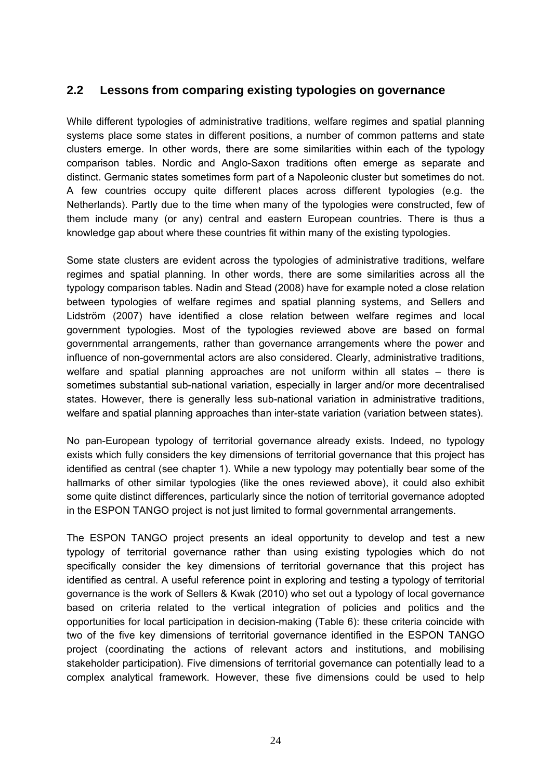## **2.2 Lessons from comparing existing typologies on governance**

While different typologies of administrative traditions, welfare regimes and spatial planning systems place some states in different positions, a number of common patterns and state clusters emerge. In other words, there are some similarities within each of the typology comparison tables. Nordic and Anglo-Saxon traditions often emerge as separate and distinct. Germanic states sometimes form part of a Napoleonic cluster but sometimes do not. A few countries occupy quite different places across different typologies (e.g. the Netherlands). Partly due to the time when many of the typologies were constructed, few of them include many (or any) central and eastern European countries. There is thus a knowledge gap about where these countries fit within many of the existing typologies.

Some state clusters are evident across the typologies of administrative traditions, welfare regimes and spatial planning. In other words, there are some similarities across all the typology comparison tables. Nadin and Stead (2008) have for example noted a close relation between typologies of welfare regimes and spatial planning systems, and Sellers and Lidström (2007) have identified a close relation between welfare regimes and local government typologies. Most of the typologies reviewed above are based on formal governmental arrangements, rather than governance arrangements where the power and influence of non-governmental actors are also considered. Clearly, administrative traditions, welfare and spatial planning approaches are not uniform within all states – there is sometimes substantial sub-national variation, especially in larger and/or more decentralised states. However, there is generally less sub-national variation in administrative traditions, welfare and spatial planning approaches than inter-state variation (variation between states).

No pan-European typology of territorial governance already exists. Indeed, no typology exists which fully considers the key dimensions of territorial governance that this project has identified as central (see chapter 1). While a new typology may potentially bear some of the hallmarks of other similar typologies (like the ones reviewed above), it could also exhibit some quite distinct differences, particularly since the notion of territorial governance adopted in the ESPON TANGO project is not just limited to formal governmental arrangements.

The ESPON TANGO project presents an ideal opportunity to develop and test a new typology of territorial governance rather than using existing typologies which do not specifically consider the key dimensions of territorial governance that this project has identified as central. A useful reference point in exploring and testing a typology of territorial governance is the work of Sellers & Kwak (2010) who set out a typology of local governance based on criteria related to the vertical integration of policies and politics and the opportunities for local participation in decision-making (Table 6): these criteria coincide with two of the five key dimensions of territorial governance identified in the ESPON TANGO project (coordinating the actions of relevant actors and institutions, and mobilising stakeholder participation). Five dimensions of territorial governance can potentially lead to a complex analytical framework. However, these five dimensions could be used to help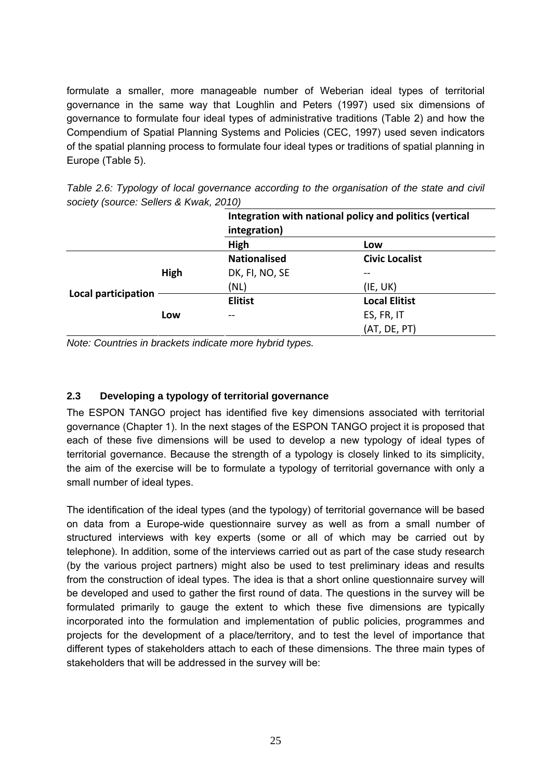formulate a smaller, more manageable number of Weberian ideal types of territorial governance in the same way that Loughlin and Peters (1997) used six dimensions of governance to formulate four ideal types of administrative traditions (Table 2) and how the Compendium of Spatial Planning Systems and Policies (CEC, 1997) used seven indicators of the spatial planning process to formulate four ideal types or traditions of spatial planning in Europe (Table 5).

| SOCIETY (SOUICE: Sellers & KWak, 2010) |      |                     |                                                         |
|----------------------------------------|------|---------------------|---------------------------------------------------------|
|                                        |      |                     | Integration with national policy and politics (vertical |
|                                        |      | integration)        |                                                         |
|                                        |      | High                | Low                                                     |
|                                        |      | <b>Nationalised</b> | <b>Civic Localist</b>                                   |
|                                        | High | DK, FI, NO, SE      | --                                                      |
|                                        |      | (NL)                | (IE, UK)                                                |
| Local participation                    |      | <b>Elitist</b>      | <b>Local Elitist</b>                                    |
|                                        | Low  |                     | ES, FR, IT                                              |
|                                        |      |                     | (AT, DE, PT)                                            |

*Table 2.6: Typology of local governance according to the organisation of the state and civil society (source: Sellers & Kwak, 2010)* 

*Note: Countries in brackets indicate more hybrid types.* 

#### **2.3 Developing a typology of territorial governance**

The ESPON TANGO project has identified five key dimensions associated with territorial governance (Chapter 1). In the next stages of the ESPON TANGO project it is proposed that each of these five dimensions will be used to develop a new typology of ideal types of territorial governance. Because the strength of a typology is closely linked to its simplicity, the aim of the exercise will be to formulate a typology of territorial governance with only a small number of ideal types.

The identification of the ideal types (and the typology) of territorial governance will be based on data from a Europe-wide questionnaire survey as well as from a small number of structured interviews with key experts (some or all of which may be carried out by telephone). In addition, some of the interviews carried out as part of the case study research (by the various project partners) might also be used to test preliminary ideas and results from the construction of ideal types. The idea is that a short online questionnaire survey will be developed and used to gather the first round of data. The questions in the survey will be formulated primarily to gauge the extent to which these five dimensions are typically incorporated into the formulation and implementation of public policies, programmes and projects for the development of a place/territory, and to test the level of importance that different types of stakeholders attach to each of these dimensions. The three main types of stakeholders that will be addressed in the survey will be: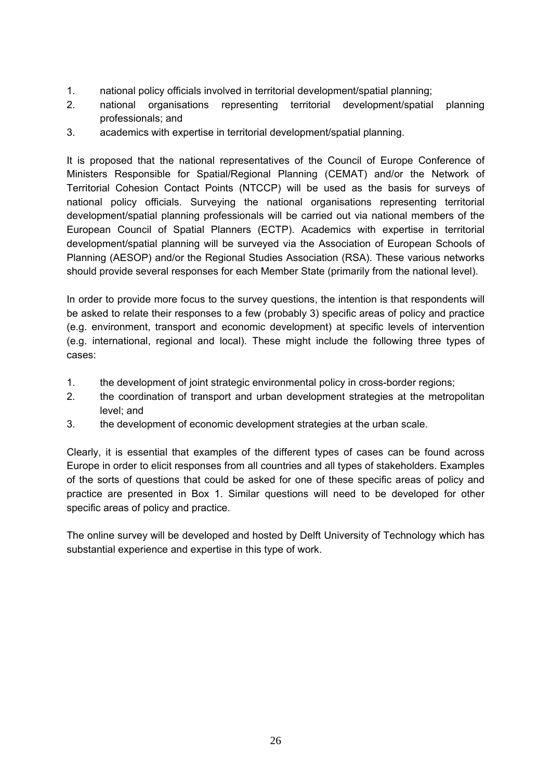- 1. national policy officials involved in territorial development/spatial planning;
- 2. national organisations representing territorial development/spatial planning professionals; and
- 3. academics with expertise in territorial development/spatial planning.

It is proposed that the national representatives of the Council of Europe Conference of Ministers Responsible for Spatial/Regional Planning (CEMAT) and/or the Network of Territorial Cohesion Contact Points (NTCCP) will be used as the basis for surveys of national policy officials. Surveying the national organisations representing territorial development/spatial planning professionals will be carried out via national members of the European Council of Spatial Planners (ECTP). Academics with expertise in territorial development/spatial planning will be surveyed via the Association of European Schools of Planning (AESOP) and/or the Regional Studies Association (RSA). These various networks should provide several responses for each Member State (primarily from the national level).

In order to provide more focus to the survey questions, the intention is that respondents will be asked to relate their responses to a few (probably 3) specific areas of policy and practice (e.g. environment, transport and economic development) at specific levels of intervention (e.g. international, regional and local). These might include the following three types of cases:

- 1. the development of joint strategic environmental policy in cross-border regions;
- 2. the coordination of transport and urban development strategies at the metropolitan level; and
- 3. the development of economic development strategies at the urban scale.

Clearly, it is essential that examples of the different types of cases can be found across Europe in order to elicit responses from all countries and all types of stakeholders. Examples of the sorts of questions that could be asked for one of these specific areas of policy and practice are presented in Box 1. Similar questions will need to be developed for other specific areas of policy and practice.

The online survey will be developed and hosted by Delft University of Technology which has substantial experience and expertise in this type of work.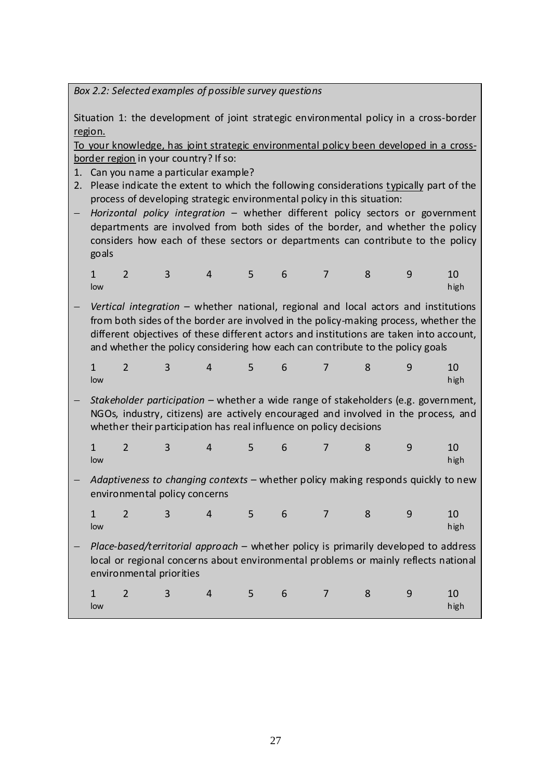*Box 2.2: Selected examples of possible survey questions*

Situation 1: the development of joint strategic environmental policy in a cross-border region.

To your knowledge, has joint strategic environmental policy been developed in a cross‐ border region in your country? If so:

- 1. Can you name a particular example?
- 2. Please indicate the extent to which the following considerations typically part of the process of developing strategic environmental policy in this situation:
- − *Horizontal policy integration* whether different policy sectors or government departments are involved from both sides of the border, and whether the policy considers how each of these sectors or departments can contribute to the policy goals

| low |  |  |  | <b>Example 1</b> high |  |
|-----|--|--|--|-----------------------|--|

− *Vertical integration* – whether national, regional and local actors and institutions from both sides of the border are involved in the policy-making process, whether the different objectives of these different actors and institutions are taken into account, and whether the policy considering how each can contribute to the policy goals

|     |  | $1 \qquad 2 \qquad 3 \qquad 4 \qquad 5 \qquad 6 \qquad 7 \qquad 8 \qquad 9 \qquad 10$ |  |  |                        |
|-----|--|---------------------------------------------------------------------------------------|--|--|------------------------|
| low |  |                                                                                       |  |  | <b>Example 1</b> Shigh |

− *Stakeholder participation* – whether a wide range of stakeholders (e.g. government, NGOs, industry, citizens) are actively encouraged and involved in the process, and whether their participation has real influence on policy decisions

|     |  |  | $1$ 2 3 4 5 6 7 8 9 10 |  |                       |
|-----|--|--|------------------------|--|-----------------------|
| low |  |  |                        |  | <b>Example 1</b> high |

− *Adaptiveness to changing contexts* – whether policy making responds quickly to new environmental policy concerns

|     |  |  |  | 1 2 3 4 5 6 7 8 9 10  |  |
|-----|--|--|--|-----------------------|--|
| low |  |  |  | <b>Example 1</b> high |  |

− *Place‐based/territorial approach* – whether policy is primarily developed to address local or regional concerns about environmental problems or mainly reflects national environmental priorities

|     |  |  |  |  | 1 2 3 4 5 6 7 8 9 10 |
|-----|--|--|--|--|----------------------|
| low |  |  |  |  | high                 |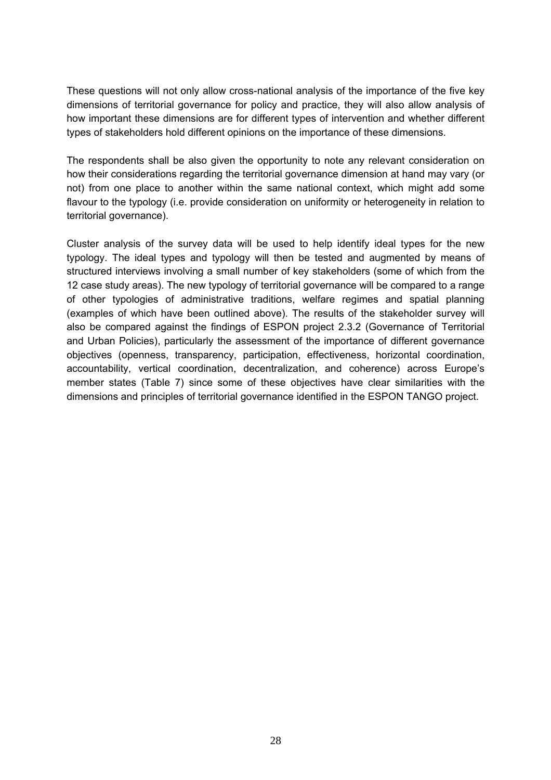These questions will not only allow cross-national analysis of the importance of the five key dimensions of territorial governance for policy and practice, they will also allow analysis of how important these dimensions are for different types of intervention and whether different types of stakeholders hold different opinions on the importance of these dimensions.

The respondents shall be also given the opportunity to note any relevant consideration on how their considerations regarding the territorial governance dimension at hand may vary (or not) from one place to another within the same national context, which might add some flavour to the typology (i.e. provide consideration on uniformity or heterogeneity in relation to territorial governance).

Cluster analysis of the survey data will be used to help identify ideal types for the new typology. The ideal types and typology will then be tested and augmented by means of structured interviews involving a small number of key stakeholders (some of which from the 12 case study areas). The new typology of territorial governance will be compared to a range of other typologies of administrative traditions, welfare regimes and spatial planning (examples of which have been outlined above). The results of the stakeholder survey will also be compared against the findings of ESPON project 2.3.2 (Governance of Territorial and Urban Policies), particularly the assessment of the importance of different governance objectives (openness, transparency, participation, effectiveness, horizontal coordination, accountability, vertical coordination, decentralization, and coherence) across Europe's member states (Table 7) since some of these objectives have clear similarities with the dimensions and principles of territorial governance identified in the ESPON TANGO project.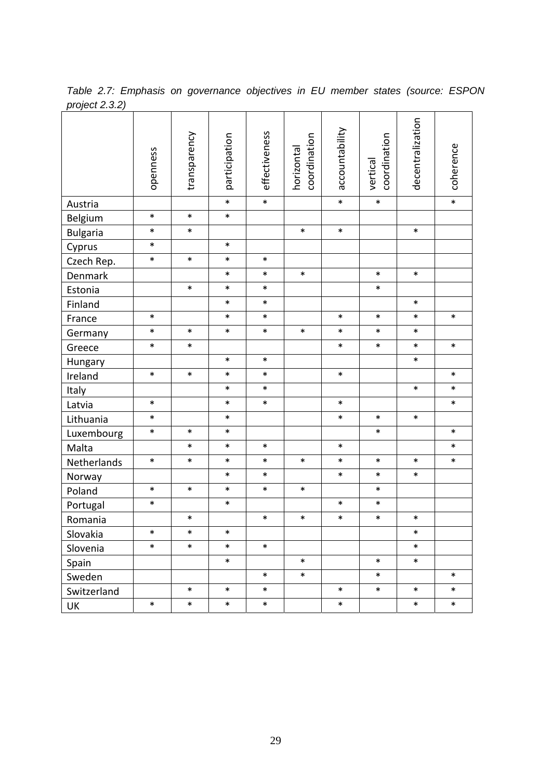|                 | openness | transparency | participation | effectiveness | coordination<br>horizontal | accountability | coordination<br>vertical | decentralization | coherence |
|-----------------|----------|--------------|---------------|---------------|----------------------------|----------------|--------------------------|------------------|-----------|
| Austria         |          |              | $\ast$        | $\ast$        |                            | $\ast$         | $\ast$                   |                  | $\ast$    |
| Belgium         | $\ast$   | $\ast$       | $\ast$        |               |                            |                |                          |                  |           |
| <b>Bulgaria</b> | $\ast$   | $\ast$       |               |               | $\ast$                     | $\ast$         |                          | $\ast$           |           |
| Cyprus          | $\ast$   |              | $\ast$        |               |                            |                |                          |                  |           |
| Czech Rep.      | $\ast$   | $\ast$       | $\ast$        | $\ast$        |                            |                |                          |                  |           |
| Denmark         |          |              | $\ast$        | $\ast$        | $\ast$                     |                | $\ast$                   | $\ast$           |           |
| Estonia         |          | $\ast$       | $\ast$        | $\ast$        |                            |                | $\ast$                   |                  |           |
| Finland         |          |              | $\ast$        | $\ast$        |                            |                |                          | $\ast$           |           |
| France          | $\ast$   |              | $\ast$        | $\ast$        |                            | $\ast$         | $\ast$                   | $\ast$           | $\ast$    |
| Germany         | $\ast$   | $\ast$       | $\ast$        | $\ast$        | $\ast$                     | $\ast$         | $\ast$                   | $\ast$           |           |
| Greece          | $\ast$   | $\ast$       |               |               |                            | $\ast$         | $\ast$                   | $\ast$           | $\ast$    |
| Hungary         |          |              | $\ast$        | $\ast$        |                            |                |                          | $\ast$           |           |
| Ireland         | $\ast$   | $\ast$       | $\ast$        | $\ast$        |                            | $\ast$         |                          |                  | $\ast$    |
| Italy           |          |              | $\ast$        | $\ast$        |                            |                |                          | $\ast$           | $\ast$    |
| Latvia          | $\ast$   |              | $\ast$        | $\ast$        |                            | $\ast$         |                          |                  | $\ast$    |
| Lithuania       | $\ast$   |              | $\ast$        |               |                            | $\ast$         | $\ast$                   | $\ast$           |           |
| Luxembourg      | $\ast$   | $\ast$       | $\ast$        |               |                            |                | $\ast$                   |                  | $\ast$    |
| Malta           |          | $\ast$       | $\ast$        | $\ast$        |                            | $\ast$         |                          |                  | $\ast$    |
| Netherlands     | $\ast$   | $\ast$       | $\ast$        | $\ast$        | $\ast$                     | $\ast$         | $\ast$                   | $\ast$           | $\ast$    |
| Norway          |          |              | *             | $\ast$        |                            | $\ast$         | $\ast$                   | $\ast$           |           |
| Poland          | $\ast$   | $\ast$       | $\ast$        | $\ast$        | $\ast$                     |                | $\ast$                   |                  |           |
| Portugal        | $\ast$   |              | $\ast$        |               |                            | $\ast$         | $\ast$                   |                  |           |
| Romania         |          | $\ast$       |               | $\ast$        | $\ast$                     | $\ast$         | $\ast$                   | $\ast$           |           |
| Slovakia        | $\ast$   | *            | $\ast$        |               |                            |                |                          | $\ast$           |           |
| Slovenia        | $\ast$   | $\ast$       | $\ast$        | $\ast$        |                            |                |                          | $\ast$           |           |
| Spain           |          |              | $\ast$        |               | $\ast$                     |                | $\ast$                   | $\ast$           |           |
| Sweden          |          |              |               | $\ast$        | $\ast$                     |                | $\ast$                   |                  | $\ast$    |
| Switzerland     |          | $\ast$       | $\ast$        | $\ast$        |                            | $\ast$         | $\ast$                   | $\ast$           | $\ast$    |
| UK              | $\ast$   | $\ast$       | $\ast$        | $\ast$        |                            | $\ast$         |                          | $\ast$           | $\ast$    |

*Table 2.7: Emphasis on governance objectives in EU member states (source: ESPON project 2.3.2)*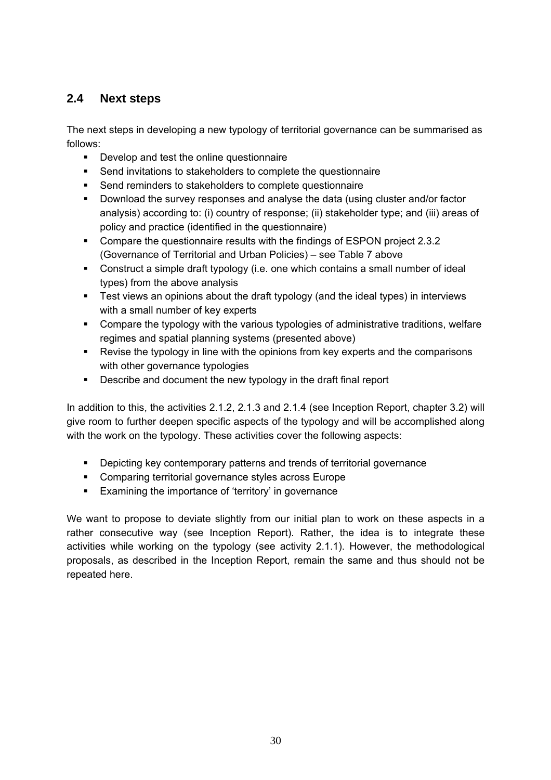## **2.4 Next steps**

The next steps in developing a new typology of territorial governance can be summarised as follows:

- Develop and test the online questionnaire
- Send invitations to stakeholders to complete the questionnaire
- **Send reminders to stakeholders to complete questionnaire**
- Download the survey responses and analyse the data (using cluster and/or factor analysis) according to: (i) country of response; (ii) stakeholder type; and (iii) areas of policy and practice (identified in the questionnaire)
- Compare the questionnaire results with the findings of ESPON project 2.3.2 (Governance of Territorial and Urban Policies) – see Table 7 above
- Construct a simple draft typology (i.e. one which contains a small number of ideal types) from the above analysis
- **Test views an opinions about the draft typology (and the ideal types) in interviews** with a small number of key experts
- Compare the typology with the various typologies of administrative traditions, welfare regimes and spatial planning systems (presented above)
- Revise the typology in line with the opinions from key experts and the comparisons with other governance typologies
- **Describe and document the new typology in the draft final report**

In addition to this, the activities 2.1.2, 2.1.3 and 2.1.4 (see Inception Report, chapter 3.2) will give room to further deepen specific aspects of the typology and will be accomplished along with the work on the typology. These activities cover the following aspects:

- Depicting key contemporary patterns and trends of territorial governance
- **Comparing territorial governance styles across Europe**
- **Examining the importance of 'territory' in governance**

We want to propose to deviate slightly from our initial plan to work on these aspects in a rather consecutive way (see Inception Report). Rather, the idea is to integrate these activities while working on the typology (see activity 2.1.1). However, the methodological proposals, as described in the Inception Report, remain the same and thus should not be repeated here.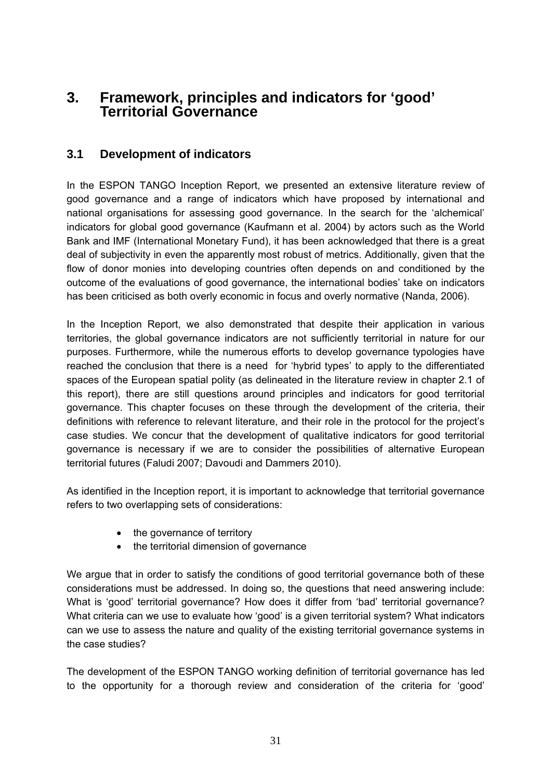# **3. Framework, principles and indicators for 'good' Territorial Governance**

## **3.1 Development of indicators**

In the ESPON TANGO Inception Report, we presented an extensive literature review of good governance and a range of indicators which have proposed by international and national organisations for assessing good governance. In the search for the 'alchemical' indicators for global good governance (Kaufmann et al. 2004) by actors such as the World Bank and IMF (International Monetary Fund), it has been acknowledged that there is a great deal of subjectivity in even the apparently most robust of metrics. Additionally, given that the flow of donor monies into developing countries often depends on and conditioned by the outcome of the evaluations of good governance, the international bodies' take on indicators has been criticised as both overly economic in focus and overly normative (Nanda, 2006).

In the Inception Report, we also demonstrated that despite their application in various territories, the global governance indicators are not sufficiently territorial in nature for our purposes. Furthermore, while the numerous efforts to develop governance typologies have reached the conclusion that there is a need for 'hybrid types' to apply to the differentiated spaces of the European spatial polity (as delineated in the literature review in chapter 2.1 of this report), there are still questions around principles and indicators for good territorial governance. This chapter focuses on these through the development of the criteria, their definitions with reference to relevant literature, and their role in the protocol for the project's case studies. We concur that the development of qualitative indicators for good territorial governance is necessary if we are to consider the possibilities of alternative European territorial futures (Faludi 2007; Davoudi and Dammers 2010).

As identified in the Inception report, it is important to acknowledge that territorial governance refers to two overlapping sets of considerations:

- the governance of territory
- the territorial dimension of governance

We argue that in order to satisfy the conditions of good territorial governance both of these considerations must be addressed. In doing so, the questions that need answering include: What is 'good' territorial governance? How does it differ from 'bad' territorial governance? What criteria can we use to evaluate how 'good' is a given territorial system? What indicators can we use to assess the nature and quality of the existing territorial governance systems in the case studies?

The development of the ESPON TANGO working definition of territorial governance has led to the opportunity for a thorough review and consideration of the criteria for 'good'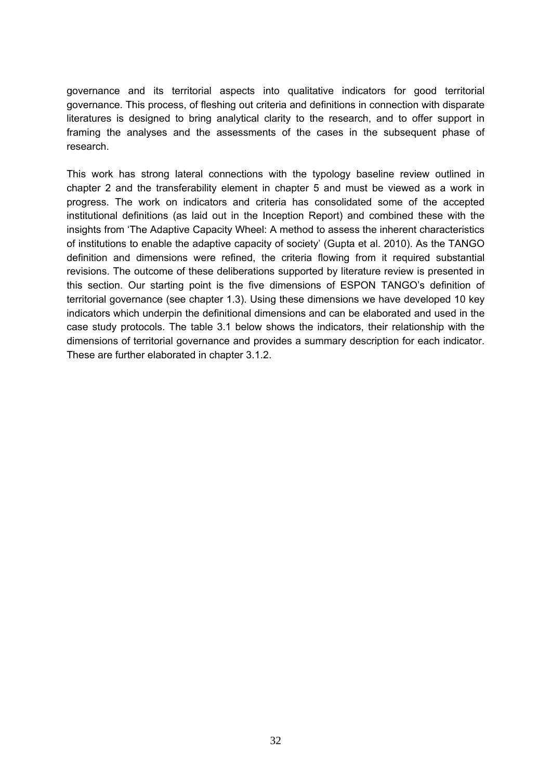governance and its territorial aspects into qualitative indicators for good territorial governance. This process, of fleshing out criteria and definitions in connection with disparate literatures is designed to bring analytical clarity to the research, and to offer support in framing the analyses and the assessments of the cases in the subsequent phase of research.

This work has strong lateral connections with the typology baseline review outlined in chapter 2 and the transferability element in chapter 5 and must be viewed as a work in progress. The work on indicators and criteria has consolidated some of the accepted institutional definitions (as laid out in the Inception Report) and combined these with the insights from 'The Adaptive Capacity Wheel: A method to assess the inherent characteristics of institutions to enable the adaptive capacity of society' (Gupta et al. 2010). As the TANGO definition and dimensions were refined, the criteria flowing from it required substantial revisions. The outcome of these deliberations supported by literature review is presented in this section. Our starting point is the five dimensions of ESPON TANGO's definition of territorial governance (see chapter 1.3). Using these dimensions we have developed 10 key indicators which underpin the definitional dimensions and can be elaborated and used in the case study protocols. The table 3.1 below shows the indicators, their relationship with the dimensions of territorial governance and provides a summary description for each indicator. These are further elaborated in chapter 3.1.2.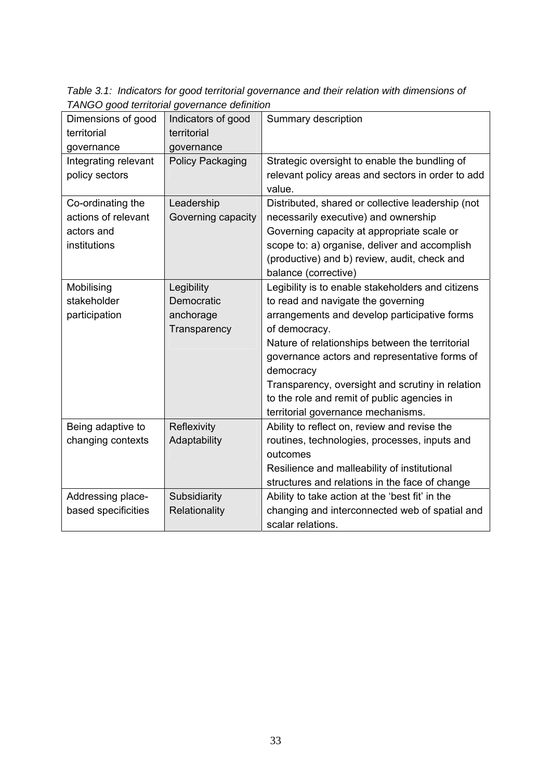*Table 3.1: Indicators for good territorial governance and their relation with dimensions of TANGO good territorial governance definition* 

| Dimensions of good   | Indicators of good      | Summary description                               |
|----------------------|-------------------------|---------------------------------------------------|
| territorial          | territorial             |                                                   |
| governance           | governance              |                                                   |
| Integrating relevant | <b>Policy Packaging</b> | Strategic oversight to enable the bundling of     |
| policy sectors       |                         | relevant policy areas and sectors in order to add |
|                      |                         | value.                                            |
| Co-ordinating the    | Leadership              | Distributed, shared or collective leadership (not |
| actions of relevant  | Governing capacity      | necessarily executive) and ownership              |
| actors and           |                         | Governing capacity at appropriate scale or        |
| institutions         |                         | scope to: a) organise, deliver and accomplish     |
|                      |                         | (productive) and b) review, audit, check and      |
|                      |                         | balance (corrective)                              |
| Mobilising           | Legibility              | Legibility is to enable stakeholders and citizens |
| stakeholder          | Democratic              | to read and navigate the governing                |
| participation        | anchorage               | arrangements and develop participative forms      |
|                      | Transparency            | of democracy.                                     |
|                      |                         | Nature of relationships between the territorial   |
|                      |                         | governance actors and representative forms of     |
|                      |                         | democracy                                         |
|                      |                         | Transparency, oversight and scrutiny in relation  |
|                      |                         | to the role and remit of public agencies in       |
|                      |                         | territorial governance mechanisms.                |
| Being adaptive to    | Reflexivity             | Ability to reflect on, review and revise the      |
| changing contexts    | Adaptability            | routines, technologies, processes, inputs and     |
|                      |                         | outcomes                                          |
|                      |                         | Resilience and malleability of institutional      |
|                      |                         | structures and relations in the face of change    |
| Addressing place-    | Subsidiarity            | Ability to take action at the 'best fit' in the   |
| based specificities  | Relationality           | changing and interconnected web of spatial and    |
|                      |                         | scalar relations.                                 |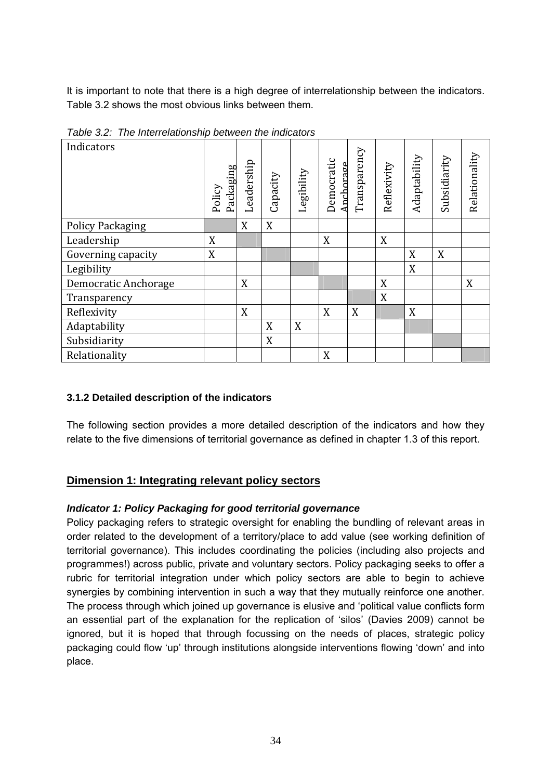It is important to note that there is a high degree of interrelationship between the indicators. Table 3.2 shows the most obvious links between them.

| Indicators              | Packaging<br>Policy | Leadership | Capacity | Legibility | Democratic<br>Anchorage | Transparency | Reflexivity | Adaptability | Subsidiarity | Relationality |
|-------------------------|---------------------|------------|----------|------------|-------------------------|--------------|-------------|--------------|--------------|---------------|
| <b>Policy Packaging</b> |                     | X          | X        |            |                         |              |             |              |              |               |
| Leadership              | X                   |            |          |            | X                       |              | X           |              |              |               |
| Governing capacity      | X                   |            |          |            |                         |              |             | X            | X            |               |
| Legibility              |                     |            |          |            |                         |              |             | X            |              |               |
| Democratic Anchorage    |                     | X          |          |            |                         |              | X           |              |              | X             |
| Transparency            |                     |            |          |            |                         |              | X           |              |              |               |
| Reflexivity             |                     | X          |          |            | X                       | X            |             | X            |              |               |
| Adaptability            |                     |            | X        | X          |                         |              |             |              |              |               |
| Subsidiarity            |                     |            | X        |            |                         |              |             |              |              |               |
| Relationality           |                     |            |          |            | X                       |              |             |              |              |               |

*Table 3.2: The Interrelationship between the indicators* 

## **3.1.2 Detailed description of the indicators**

The following section provides a more detailed description of the indicators and how they relate to the five dimensions of territorial governance as defined in chapter 1.3 of this report.

## **Dimension 1: Integrating relevant policy sectors**

## *Indicator 1: Policy Packaging for good territorial governance*

Policy packaging refers to strategic oversight for enabling the bundling of relevant areas in order related to the development of a territory/place to add value (see working definition of territorial governance). This includes coordinating the policies (including also projects and programmes!) across public, private and voluntary sectors. Policy packaging seeks to offer a rubric for territorial integration under which policy sectors are able to begin to achieve synergies by combining intervention in such a way that they mutually reinforce one another. The process through which joined up governance is elusive and 'political value conflicts form an essential part of the explanation for the replication of 'silos' (Davies 2009) cannot be ignored, but it is hoped that through focussing on the needs of places, strategic policy packaging could flow 'up' through institutions alongside interventions flowing 'down' and into place.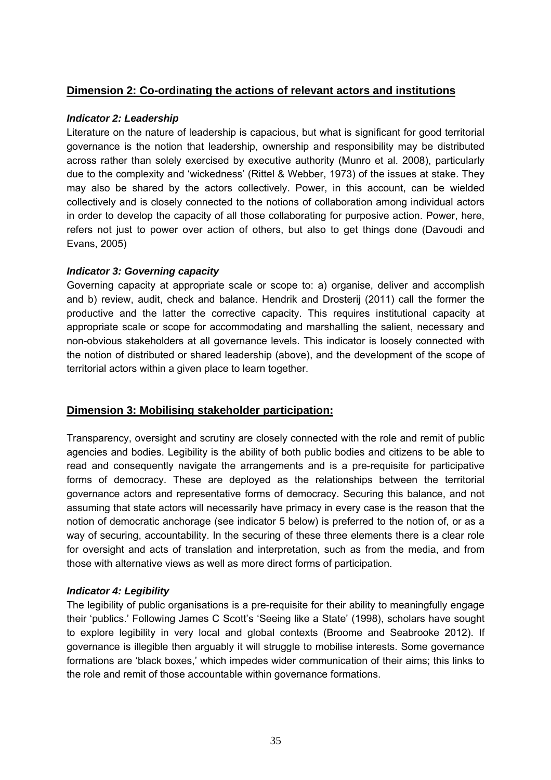#### **Dimension 2: Co-ordinating the actions of relevant actors and institutions**

#### *Indicator 2: Leadership*

Literature on the nature of leadership is capacious, but what is significant for good territorial governance is the notion that leadership, ownership and responsibility may be distributed across rather than solely exercised by executive authority (Munro et al. 2008), particularly due to the complexity and 'wickedness' (Rittel & Webber, 1973) of the issues at stake. They may also be shared by the actors collectively. Power, in this account, can be wielded collectively and is closely connected to the notions of collaboration among individual actors in order to develop the capacity of all those collaborating for purposive action. Power, here, refers not just to power over action of others, but also to get things done (Davoudi and Evans, 2005)

#### *Indicator 3: Governing capacity*

Governing capacity at appropriate scale or scope to: a) organise, deliver and accomplish and b) review, audit, check and balance. Hendrik and Drosterij (2011) call the former the productive and the latter the corrective capacity. This requires institutional capacity at appropriate scale or scope for accommodating and marshalling the salient, necessary and non-obvious stakeholders at all governance levels. This indicator is loosely connected with the notion of distributed or shared leadership (above), and the development of the scope of territorial actors within a given place to learn together.

## **Dimension 3: Mobilising stakeholder participation:**

Transparency, oversight and scrutiny are closely connected with the role and remit of public agencies and bodies. Legibility is the ability of both public bodies and citizens to be able to read and consequently navigate the arrangements and is a pre-requisite for participative forms of democracy. These are deployed as the relationships between the territorial governance actors and representative forms of democracy. Securing this balance, and not assuming that state actors will necessarily have primacy in every case is the reason that the notion of democratic anchorage (see indicator 5 below) is preferred to the notion of, or as a way of securing, accountability. In the securing of these three elements there is a clear role for oversight and acts of translation and interpretation, such as from the media, and from those with alternative views as well as more direct forms of participation.

#### *Indicator 4: Legibility*

The legibility of public organisations is a pre-requisite for their ability to meaningfully engage their 'publics.' Following James C Scott's 'Seeing like a State' (1998), scholars have sought to explore legibility in very local and global contexts (Broome and Seabrooke 2012). If governance is illegible then arguably it will struggle to mobilise interests. Some governance formations are 'black boxes,' which impedes wider communication of their aims; this links to the role and remit of those accountable within governance formations.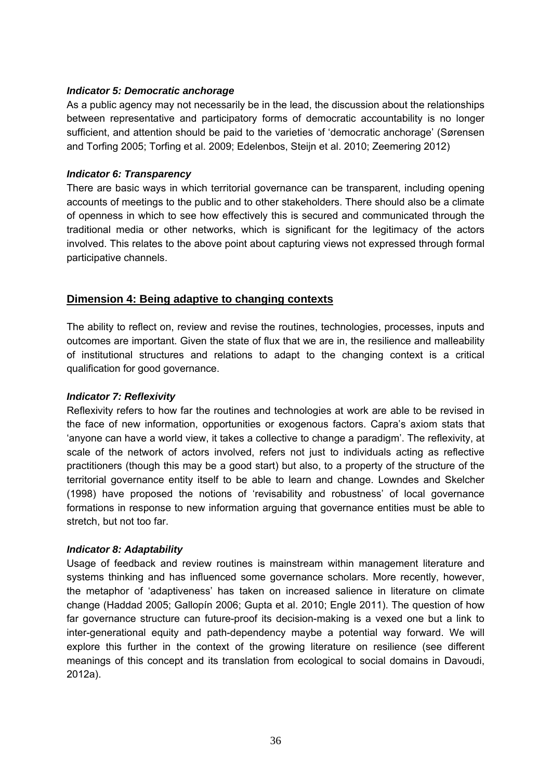#### *Indicator 5: Democratic anchorage*

As a public agency may not necessarily be in the lead, the discussion about the relationships between representative and participatory forms of democratic accountability is no longer sufficient, and attention should be paid to the varieties of 'democratic anchorage' (Sørensen and Torfing 2005; Torfing et al. 2009; Edelenbos, Steijn et al. 2010; Zeemering 2012)

#### *Indicator 6: Transparency*

There are basic ways in which territorial governance can be transparent, including opening accounts of meetings to the public and to other stakeholders. There should also be a climate of openness in which to see how effectively this is secured and communicated through the traditional media or other networks, which is significant for the legitimacy of the actors involved. This relates to the above point about capturing views not expressed through formal participative channels.

#### **Dimension 4: Being adaptive to changing contexts**

The ability to reflect on, review and revise the routines, technologies, processes, inputs and outcomes are important. Given the state of flux that we are in, the resilience and malleability of institutional structures and relations to adapt to the changing context is a critical qualification for good governance.

#### *Indicator 7: Reflexivity*

Reflexivity refers to how far the routines and technologies at work are able to be revised in the face of new information, opportunities or exogenous factors. Capra's axiom stats that 'anyone can have a world view, it takes a collective to change a paradigm'. The reflexivity, at scale of the network of actors involved, refers not just to individuals acting as reflective practitioners (though this may be a good start) but also, to a property of the structure of the territorial governance entity itself to be able to learn and change. Lowndes and Skelcher (1998) have proposed the notions of 'revisability and robustness' of local governance formations in response to new information arguing that governance entities must be able to stretch, but not too far.

#### *Indicator 8: Adaptability*

Usage of feedback and review routines is mainstream within management literature and systems thinking and has influenced some governance scholars. More recently, however, the metaphor of 'adaptiveness' has taken on increased salience in literature on climate change (Haddad 2005; Gallopín 2006; Gupta et al. 2010; Engle 2011). The question of how far governance structure can future-proof its decision-making is a vexed one but a link to inter-generational equity and path-dependency maybe a potential way forward. We will explore this further in the context of the growing literature on resilience (see different meanings of this concept and its translation from ecological to social domains in Davoudi, 2012a).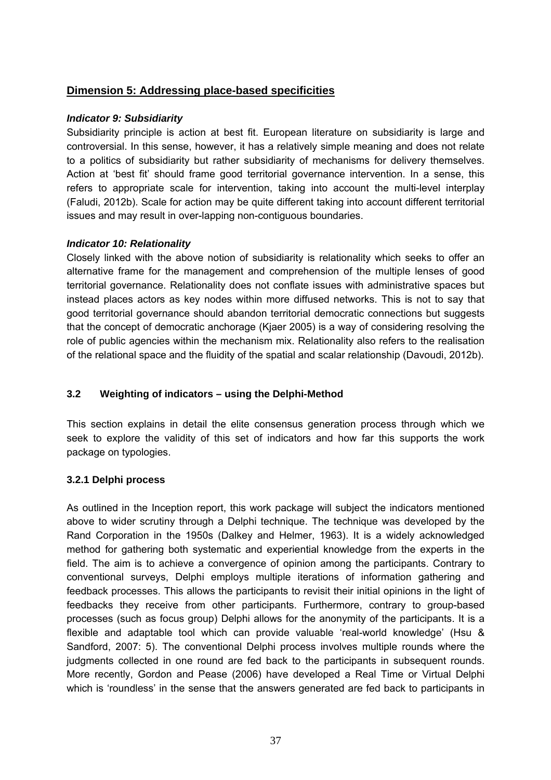# **Dimension 5: Addressing place-based specificities**

#### *Indicator 9: Subsidiarity*

Subsidiarity principle is action at best fit. European literature on subsidiarity is large and controversial. In this sense, however, it has a relatively simple meaning and does not relate to a politics of subsidiarity but rather subsidiarity of mechanisms for delivery themselves. Action at 'best fit' should frame good territorial governance intervention. In a sense, this refers to appropriate scale for intervention, taking into account the multi-level interplay (Faludi, 2012b). Scale for action may be quite different taking into account different territorial issues and may result in over-lapping non-contiguous boundaries.

### *Indicator 10: Relationality*

Closely linked with the above notion of subsidiarity is relationality which seeks to offer an alternative frame for the management and comprehension of the multiple lenses of good territorial governance. Relationality does not conflate issues with administrative spaces but instead places actors as key nodes within more diffused networks. This is not to say that good territorial governance should abandon territorial democratic connections but suggests that the concept of democratic anchorage (Kjaer 2005) is a way of considering resolving the role of public agencies within the mechanism mix. Relationality also refers to the realisation of the relational space and the fluidity of the spatial and scalar relationship (Davoudi, 2012b).

# **3.2 Weighting of indicators – using the Delphi-Method**

This section explains in detail the elite consensus generation process through which we seek to explore the validity of this set of indicators and how far this supports the work package on typologies.

### **3.2.1 Delphi process**

As outlined in the Inception report, this work package will subject the indicators mentioned above to wider scrutiny through a Delphi technique. The technique was developed by the Rand Corporation in the 1950s (Dalkey and Helmer, 1963). It is a widely acknowledged method for gathering both systematic and experiential knowledge from the experts in the field. The aim is to achieve a convergence of opinion among the participants. Contrary to conventional surveys, Delphi employs multiple iterations of information gathering and feedback processes. This allows the participants to revisit their initial opinions in the light of feedbacks they receive from other participants. Furthermore, contrary to group-based processes (such as focus group) Delphi allows for the anonymity of the participants. It is a flexible and adaptable tool which can provide valuable 'real-world knowledge' (Hsu & Sandford, 2007: 5). The conventional Delphi process involves multiple rounds where the judgments collected in one round are fed back to the participants in subsequent rounds. More recently, Gordon and Pease (2006) have developed a Real Time or Virtual Delphi which is 'roundless' in the sense that the answers generated are fed back to participants in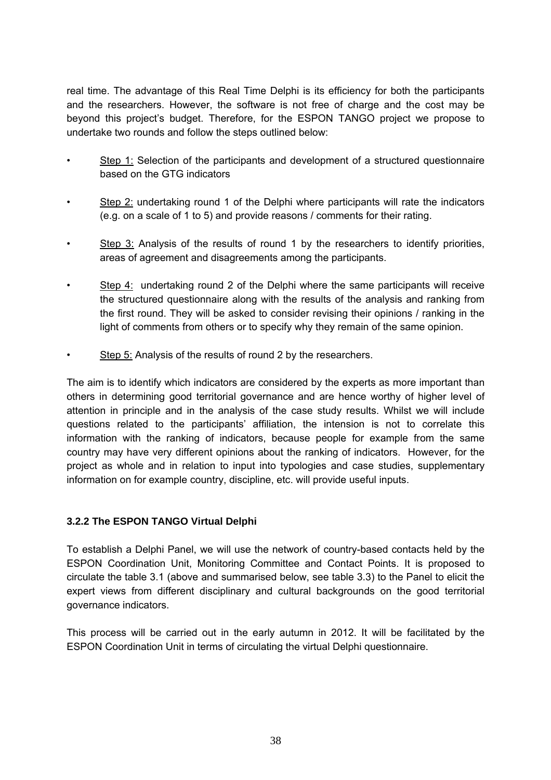real time. The advantage of this Real Time Delphi is its efficiency for both the participants and the researchers. However, the software is not free of charge and the cost may be beyond this project's budget. Therefore, for the ESPON TANGO project we propose to undertake two rounds and follow the steps outlined below:

- Step 1: Selection of the participants and development of a structured questionnaire based on the GTG indicators
- Step 2: undertaking round 1 of the Delphi where participants will rate the indicators (e.g. on a scale of 1 to 5) and provide reasons / comments for their rating.
- **Step 3:** Analysis of the results of round 1 by the researchers to identify priorities, areas of agreement and disagreements among the participants.
- Step 4: undertaking round 2 of the Delphi where the same participants will receive the structured questionnaire along with the results of the analysis and ranking from the first round. They will be asked to consider revising their opinions / ranking in the light of comments from others or to specify why they remain of the same opinion.
- Step 5: Analysis of the results of round 2 by the researchers.

The aim is to identify which indicators are considered by the experts as more important than others in determining good territorial governance and are hence worthy of higher level of attention in principle and in the analysis of the case study results. Whilst we will include questions related to the participants' affiliation, the intension is not to correlate this information with the ranking of indicators, because people for example from the same country may have very different opinions about the ranking of indicators. However, for the project as whole and in relation to input into typologies and case studies, supplementary information on for example country, discipline, etc. will provide useful inputs.

# **3.2.2 The ESPON TANGO Virtual Delphi**

To establish a Delphi Panel, we will use the network of country-based contacts held by the ESPON Coordination Unit, Monitoring Committee and Contact Points. It is proposed to circulate the table 3.1 (above and summarised below, see table 3.3) to the Panel to elicit the expert views from different disciplinary and cultural backgrounds on the good territorial governance indicators.

This process will be carried out in the early autumn in 2012. It will be facilitated by the ESPON Coordination Unit in terms of circulating the virtual Delphi questionnaire.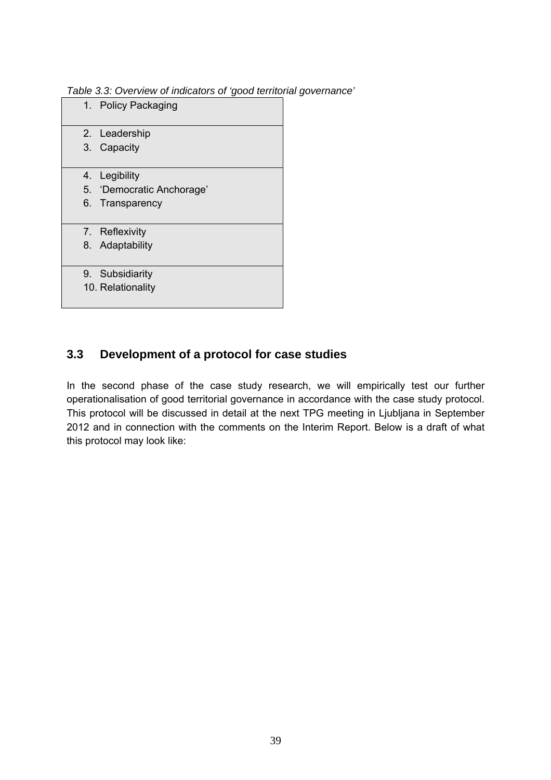*Table 3.3: Overview of indicators of 'good territorial governance'* 

| 1. Policy Packaging      |
|--------------------------|
| 2. Leadership            |
| 3. Capacity              |
|                          |
| 4. Legibility            |
| 5. Democratic Anchorage' |
| 6. Transparency          |
|                          |
| 7. Reflexivity           |
| 8. Adaptability          |
|                          |
| 9. Subsidiarity          |
| 10. Relationality        |
|                          |

# **3.3 Development of a protocol for case studies**

In the second phase of the case study research, we will empirically test our further operationalisation of good territorial governance in accordance with the case study protocol. This protocol will be discussed in detail at the next TPG meeting in Ljubljana in September 2012 and in connection with the comments on the Interim Report. Below is a draft of what this protocol may look like: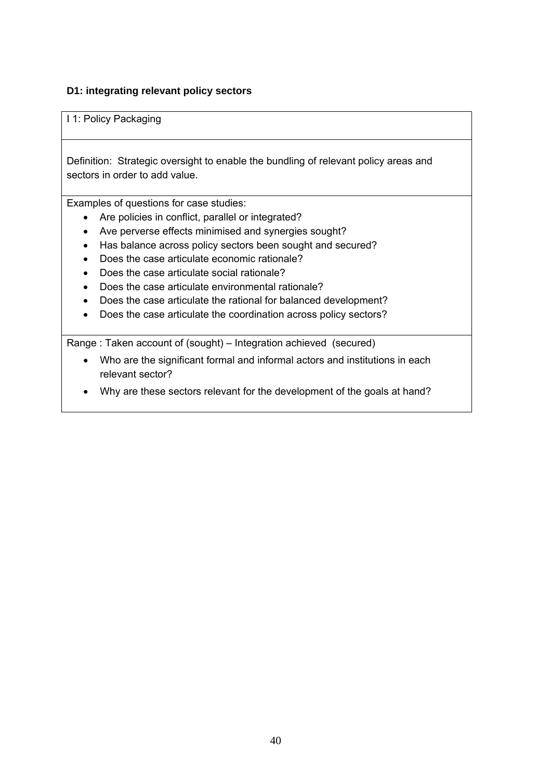### **D1: integrating relevant policy sectors**

I 1: Policy Packaging

Definition: Strategic oversight to enable the bundling of relevant policy areas and sectors in order to add value.

Examples of questions for case studies:

- Are policies in conflict, parallel or integrated?
- Ave perverse effects minimised and synergies sought?
- Has balance across policy sectors been sought and secured?
- Does the case articulate economic rationale?
- Does the case articulate social rationale?
- Does the case articulate environmental rationale?
- Does the case articulate the rational for balanced development?
- Does the case articulate the coordination across policy sectors?

Range : Taken account of (sought) – Integration achieved (secured)

- Who are the significant formal and informal actors and institutions in each relevant sector?
- Why are these sectors relevant for the development of the goals at hand?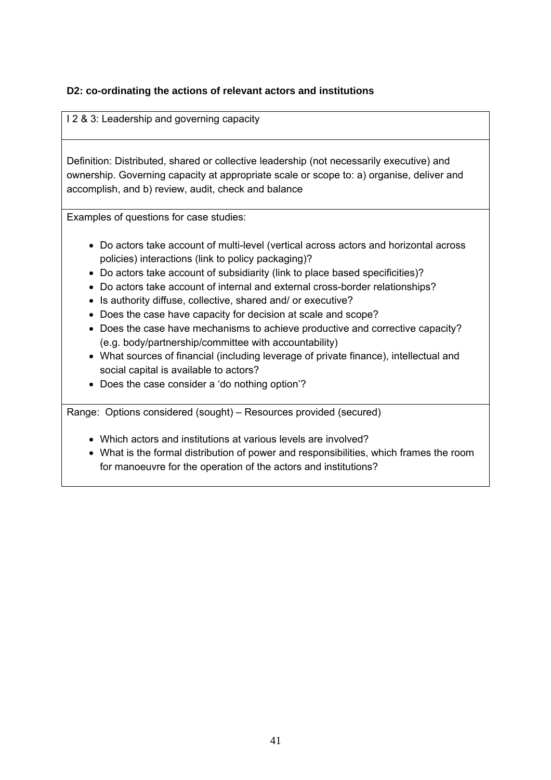# **D2: co-ordinating the actions of relevant actors and institutions**

I 2 & 3: Leadership and governing capacity

Definition: Distributed, shared or collective leadership (not necessarily executive) and ownership. Governing capacity at appropriate scale or scope to: a) organise, deliver and accomplish, and b) review, audit, check and balance

Examples of questions for case studies:

- Do actors take account of multi-level (vertical across actors and horizontal across policies) interactions (link to policy packaging)?
- Do actors take account of subsidiarity (link to place based specificities)?
- Do actors take account of internal and external cross-border relationships?
- Is authority diffuse, collective, shared and/ or executive?
- Does the case have capacity for decision at scale and scope?
- Does the case have mechanisms to achieve productive and corrective capacity? (e.g. body/partnership/committee with accountability)
- What sources of financial (including leverage of private finance), intellectual and social capital is available to actors?
- Does the case consider a 'do nothing option'?

Range: Options considered (sought) – Resources provided (secured)

- Which actors and institutions at various levels are involved?
- What is the formal distribution of power and responsibilities, which frames the room for manoeuvre for the operation of the actors and institutions?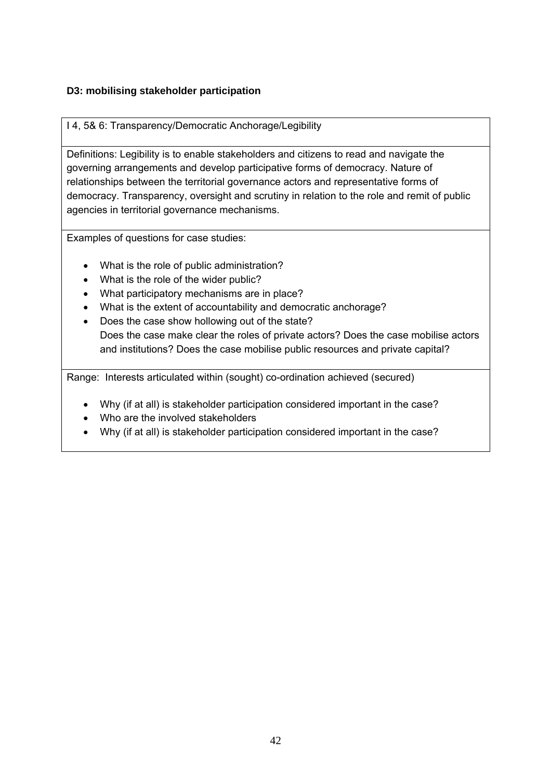# **D3: mobilising stakeholder participation**

### I 4, 5& 6: Transparency/Democratic Anchorage/Legibility

Definitions: Legibility is to enable stakeholders and citizens to read and navigate the governing arrangements and develop participative forms of democracy. Nature of relationships between the territorial governance actors and representative forms of democracy. Transparency, oversight and scrutiny in relation to the role and remit of public agencies in territorial governance mechanisms.

Examples of questions for case studies:

- What is the role of public administration?
- What is the role of the wider public?
- What participatory mechanisms are in place?
- What is the extent of accountability and democratic anchorage?
- Does the case show hollowing out of the state? Does the case make clear the roles of private actors? Does the case mobilise actors and institutions? Does the case mobilise public resources and private capital?

Range: Interests articulated within (sought) co-ordination achieved (secured)

- Why (if at all) is stakeholder participation considered important in the case?
- Who are the involved stakeholders
- Why (if at all) is stakeholder participation considered important in the case?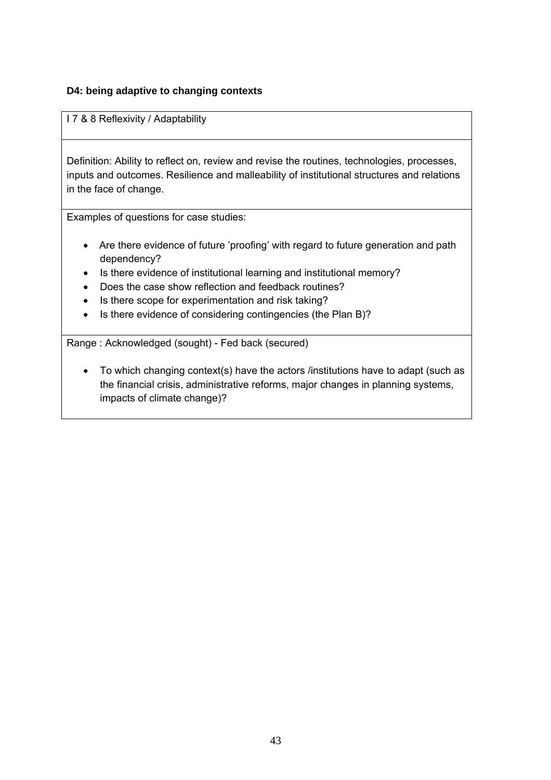### **D4: being adaptive to changing contexts**

I 7 & 8 Reflexivity / Adaptability

Definition: Ability to reflect on, review and revise the routines, technologies, processes, inputs and outcomes. Resilience and malleability of institutional structures and relations in the face of change.

Examples of questions for case studies:

- Are there evidence of future 'proofing' with regard to future generation and path dependency?
- Is there evidence of institutional learning and institutional memory?
- Does the case show reflection and feedback routines?
- Is there scope for experimentation and risk taking?
- Is there evidence of considering contingencies (the Plan B)?

Range : Acknowledged (sought) - Fed back (secured)

• To which changing context(s) have the actors /institutions have to adapt (such as the financial crisis, administrative reforms, major changes in planning systems, impacts of climate change)?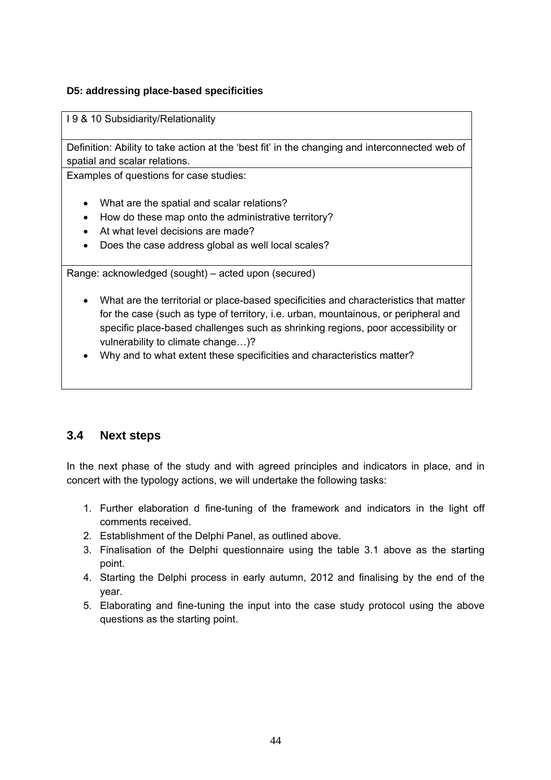### **D5: addressing place-based specificities**

I 9 & 10 Subsidiarity/Relationality

Definition: Ability to take action at the 'best fit' in the changing and interconnected web of spatial and scalar relations.

Examples of questions for case studies:

- What are the spatial and scalar relations?
- How do these map onto the administrative territory?
- At what level decisions are made?
- Does the case address global as well local scales?

Range: acknowledged (sought) – acted upon (secured)

- What are the territorial or place-based specificities and characteristics that matter for the case (such as type of territory, i.e. urban, mountainous, or peripheral and specific place-based challenges such as shrinking regions, poor accessibility or vulnerability to climate change…)?
- Why and to what extent these specificities and characteristics matter?

# **3.4 Next steps**

In the next phase of the study and with agreed principles and indicators in place, and in concert with the typology actions, we will undertake the following tasks:

- 1. Further elaboration d fine-tuning of the framework and indicators in the light off comments received.
- 2. Establishment of the Delphi Panel, as outlined above.
- 3. Finalisation of the Delphi questionnaire using the table 3.1 above as the starting point.
- 4. Starting the Delphi process in early autumn, 2012 and finalising by the end of the year.
- 5. Elaborating and fine-tuning the input into the case study protocol using the above questions as the starting point.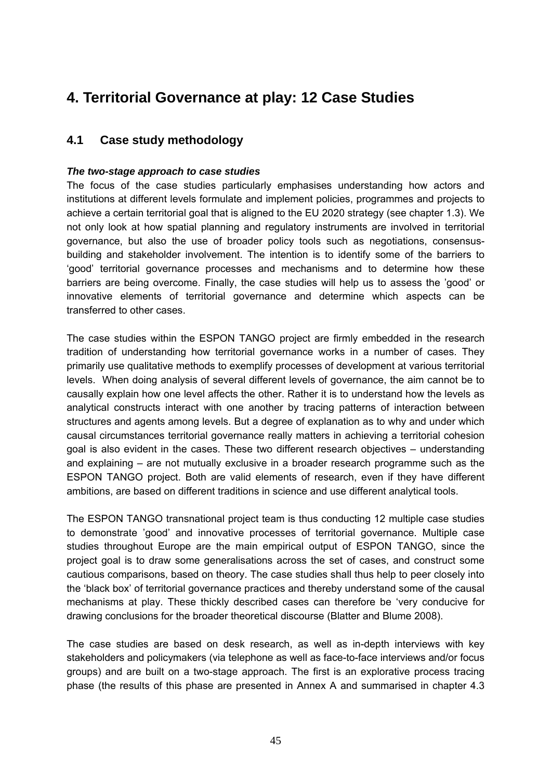# **4. Territorial Governance at play: 12 Case Studies**

# **4.1 Case study methodology**

### *The two-stage approach to case studies*

The focus of the case studies particularly emphasises understanding how actors and institutions at different levels formulate and implement policies, programmes and projects to achieve a certain territorial goal that is aligned to the EU 2020 strategy (see chapter 1.3). We not only look at how spatial planning and regulatory instruments are involved in territorial governance, but also the use of broader policy tools such as negotiations, consensusbuilding and stakeholder involvement. The intention is to identify some of the barriers to 'good' territorial governance processes and mechanisms and to determine how these barriers are being overcome. Finally, the case studies will help us to assess the 'good' or innovative elements of territorial governance and determine which aspects can be transferred to other cases.

The case studies within the ESPON TANGO project are firmly embedded in the research tradition of understanding how territorial governance works in a number of cases. They primarily use qualitative methods to exemplify processes of development at various territorial levels. When doing analysis of several different levels of governance, the aim cannot be to causally explain how one level affects the other. Rather it is to understand how the levels as analytical constructs interact with one another by tracing patterns of interaction between structures and agents among levels. But a degree of explanation as to why and under which causal circumstances territorial governance really matters in achieving a territorial cohesion goal is also evident in the cases. These two different research objectives – understanding and explaining – are not mutually exclusive in a broader research programme such as the ESPON TANGO project. Both are valid elements of research, even if they have different ambitions, are based on different traditions in science and use different analytical tools.

The ESPON TANGO transnational project team is thus conducting 12 multiple case studies to demonstrate 'good' and innovative processes of territorial governance. Multiple case studies throughout Europe are the main empirical output of ESPON TANGO, since the project goal is to draw some generalisations across the set of cases, and construct some cautious comparisons, based on theory. The case studies shall thus help to peer closely into the 'black box' of territorial governance practices and thereby understand some of the causal mechanisms at play. These thickly described cases can therefore be 'very conducive for drawing conclusions for the broader theoretical discourse (Blatter and Blume 2008).

The case studies are based on desk research, as well as in-depth interviews with key stakeholders and policymakers (via telephone as well as face-to-face interviews and/or focus groups) and are built on a two-stage approach. The first is an explorative process tracing phase (the results of this phase are presented in Annex A and summarised in chapter 4.3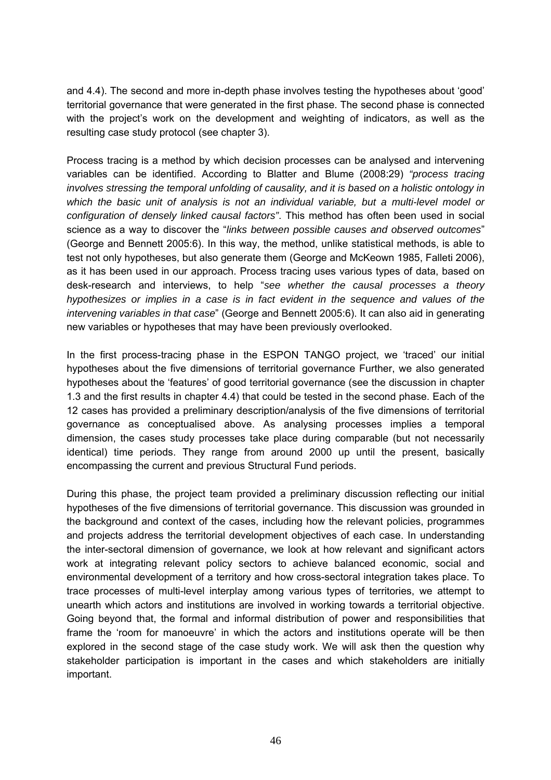and 4.4). The second and more in-depth phase involves testing the hypotheses about 'good' territorial governance that were generated in the first phase. The second phase is connected with the project's work on the development and weighting of indicators, as well as the resulting case study protocol (see chapter 3).

Process tracing is a method by which decision processes can be analysed and intervening variables can be identified. According to Blatter and Blume (2008:29) *"process tracing involves stressing the temporal unfolding of causality, and it is based on a holistic ontology in which the basic unit of analysis is not an individual variable, but a multi-level model or configuration of densely linked causal factors"*. This method has often been used in social science as a way to discover the "*links between possible causes and observed outcomes*" (George and Bennett 2005:6). In this way, the method, unlike statistical methods, is able to test not only hypotheses, but also generate them (George and McKeown 1985, Falleti 2006), as it has been used in our approach. Process tracing uses various types of data, based on desk-research and interviews, to help "*see whether the causal processes a theory hypothesizes or implies in a case is in fact evident in the sequence and values of the intervening variables in that case*" (George and Bennett 2005:6). It can also aid in generating new variables or hypotheses that may have been previously overlooked.

In the first process-tracing phase in the ESPON TANGO project, we 'traced' our initial hypotheses about the five dimensions of territorial governance Further, we also generated hypotheses about the 'features' of good territorial governance (see the discussion in chapter 1.3 and the first results in chapter 4.4) that could be tested in the second phase. Each of the 12 cases has provided a preliminary description/analysis of the five dimensions of territorial governance as conceptualised above. As analysing processes implies a temporal dimension, the cases study processes take place during comparable (but not necessarily identical) time periods. They range from around 2000 up until the present, basically encompassing the current and previous Structural Fund periods.

During this phase, the project team provided a preliminary discussion reflecting our initial hypotheses of the five dimensions of territorial governance. This discussion was grounded in the background and context of the cases, including how the relevant policies, programmes and projects address the territorial development objectives of each case. In understanding the inter-sectoral dimension of governance, we look at how relevant and significant actors work at integrating relevant policy sectors to achieve balanced economic, social and environmental development of a territory and how cross-sectoral integration takes place. To trace processes of multi-level interplay among various types of territories, we attempt to unearth which actors and institutions are involved in working towards a territorial objective. Going beyond that, the formal and informal distribution of power and responsibilities that frame the 'room for manoeuvre' in which the actors and institutions operate will be then explored in the second stage of the case study work. We will ask then the question why stakeholder participation is important in the cases and which stakeholders are initially important.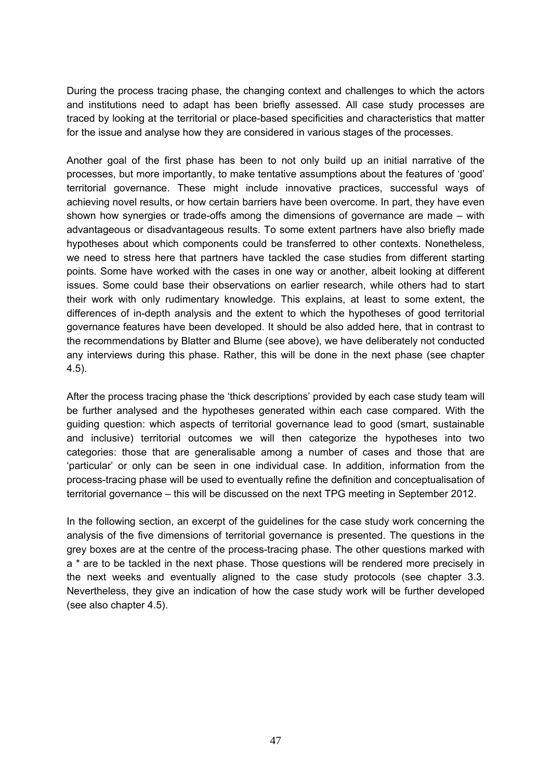During the process tracing phase, the changing context and challenges to which the actors and institutions need to adapt has been briefly assessed. All case study processes are traced by looking at the territorial or place-based specificities and characteristics that matter for the issue and analyse how they are considered in various stages of the processes.

Another goal of the first phase has been to not only build up an initial narrative of the processes, but more importantly, to make tentative assumptions about the features of 'good' territorial governance. These might include innovative practices, successful ways of achieving novel results, or how certain barriers have been overcome. In part, they have even shown how synergies or trade-offs among the dimensions of governance are made – with advantageous or disadvantageous results. To some extent partners have also briefly made hypotheses about which components could be transferred to other contexts. Nonetheless, we need to stress here that partners have tackled the case studies from different starting points. Some have worked with the cases in one way or another, albeit looking at different issues. Some could base their observations on earlier research, while others had to start their work with only rudimentary knowledge. This explains, at least to some extent, the differences of in-depth analysis and the extent to which the hypotheses of good territorial governance features have been developed. It should be also added here, that in contrast to the recommendations by Blatter and Blume (see above), we have deliberately not conducted any interviews during this phase. Rather, this will be done in the next phase (see chapter 4.5).

After the process tracing phase the 'thick descriptions' provided by each case study team will be further analysed and the hypotheses generated within each case compared. With the guiding question: which aspects of territorial governance lead to good (smart, sustainable and inclusive) territorial outcomes we will then categorize the hypotheses into two categories: those that are generalisable among a number of cases and those that are 'particular' or only can be seen in one individual case. In addition, information from the process-tracing phase will be used to eventually refine the definition and conceptualisation of territorial governance – this will be discussed on the next TPG meeting in September 2012.

In the following section, an excerpt of the guidelines for the case study work concerning the analysis of the five dimensions of territorial governance is presented. The questions in the grey boxes are at the centre of the process-tracing phase. The other questions marked with a \* are to be tackled in the next phase. Those questions will be rendered more precisely in the next weeks and eventually aligned to the case study protocols (see chapter 3.3. Nevertheless, they give an indication of how the case study work will be further developed (see also chapter 4.5).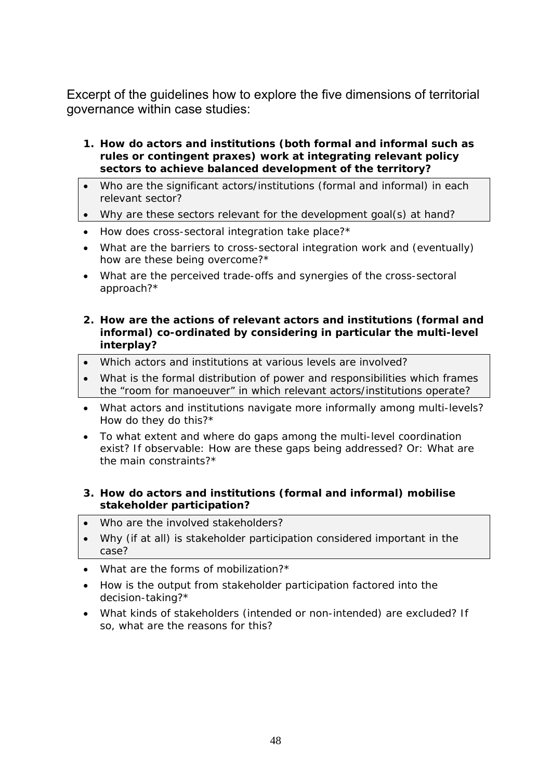Excerpt of the guidelines how to explore the five dimensions of territorial governance within case studies:

- **1. How do actors and institutions (both formal and informal such as rules or contingent praxes) work at integrating relevant policy sectors to achieve balanced development of the territory?**
- Who are the significant actors/institutions (formal and informal) in each relevant sector?
- Why are these sectors relevant for the development goal(s) at hand?
- *How does cross-sectoral integration take place?\**
- *What are the barriers to cross-sectoral integration work and (eventually) how are these being overcome?\**
- *What are the perceived trade-offs and synergies of the cross-sectoral approach?\**
- **2. How are the actions of relevant actors and institutions (formal and informal) co-ordinated by considering in particular the multi-level interplay?**
- Which actors and institutions at various levels are involved?
- What is the formal distribution of power and responsibilities which frames the "room for manoeuver" in which relevant actors/institutions operate?
- *What actors and institutions navigate more informally among multi-levels? How do they do this?\**
- *To what extent and where do gaps among the multi-level coordination exist? If observable: How are these gaps being addressed? Or: What are the main constraints?\**

### **3. How do actors and institutions (formal and informal) mobilise stakeholder participation?**

- Who are the involved stakeholders?
- Why (if at all) is stakeholder participation considered important in the case?
- *What are the forms of mobilization?\**
- *How is the output from stakeholder participation factored into the decision-taking?\**
- *What kinds of stakeholders (intended or non-intended) are excluded? If so, what are the reasons for this?*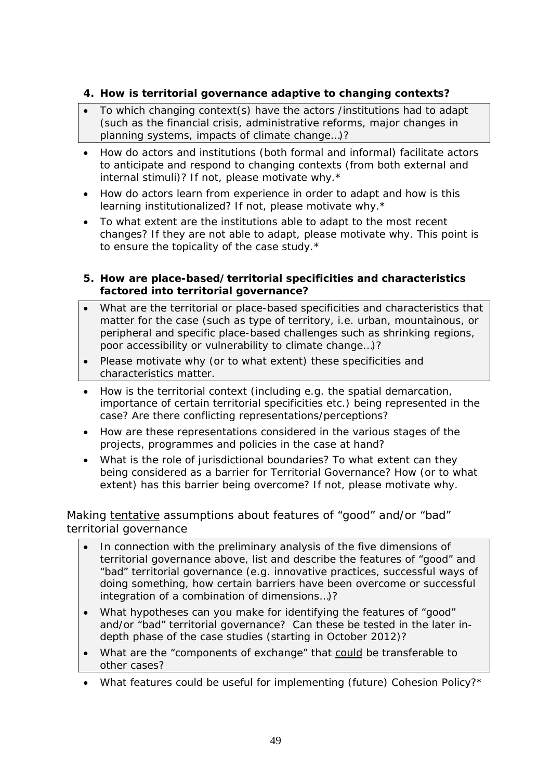# **4. How is territorial governance adaptive to changing contexts?**

- To which changing context(s) have the actors /institutions had to adapt (such as the financial crisis, administrative reforms, major changes in planning systems, impacts of climate change…)?
- *How do actors and institutions (both formal and informal) facilitate actors to anticipate and respond to changing contexts (from both external and internal stimuli)? If not, please motivate why.\**
- *How do actors learn from experience in order to adapt and how is this learning institutionalized? If not, please motivate why.\**
- *To what extent are the institutions able to adapt to the most recent changes? If they are not able to adapt, please motivate why. This point is to ensure the topicality of the case study.\**

### **5. How are place-based/territorial specificities and characteristics factored into territorial governance?**

- What are the territorial or place-based specificities and characteristics that matter for the case (such as type of territory, i.e. urban, mountainous, or peripheral and specific place-based challenges such as shrinking regions, poor accessibility or vulnerability to climate change…)?
- Please motivate why (or to what extent) these specificities and characteristics matter.
- *How is the territorial context (including e.g. the spatial demarcation, importance of certain territorial specificities etc.) being represented in the case? Are there conflicting representations/perceptions?*
- *How are these representations considered in the various stages of the projects, programmes and policies in the case at hand?*
- *What is the role of jurisdictional boundaries? To what extent can they being considered as a barrier for Territorial Governance? How (or to what extent) has this barrier being overcome? If not, please motivate why.*

Making tentative assumptions about features of "good" and/or "bad" territorial governance

- In connection with the preliminary analysis of the five dimensions of territorial governance above, list and describe the features of "good" and "bad" territorial governance (e.g. innovative practices, successful ways of doing something, how certain barriers have been overcome or successful integration of a combination of dimensions…)?
- What hypotheses can you make for identifying the features of "good" and/or "bad" territorial governance? Can these be tested in the later indepth phase of the case studies (starting in October 2012)?
- What are the "components of exchange" that could be transferable to other cases?
- *What features could be useful for implementing (future) Cohesion Policy?\**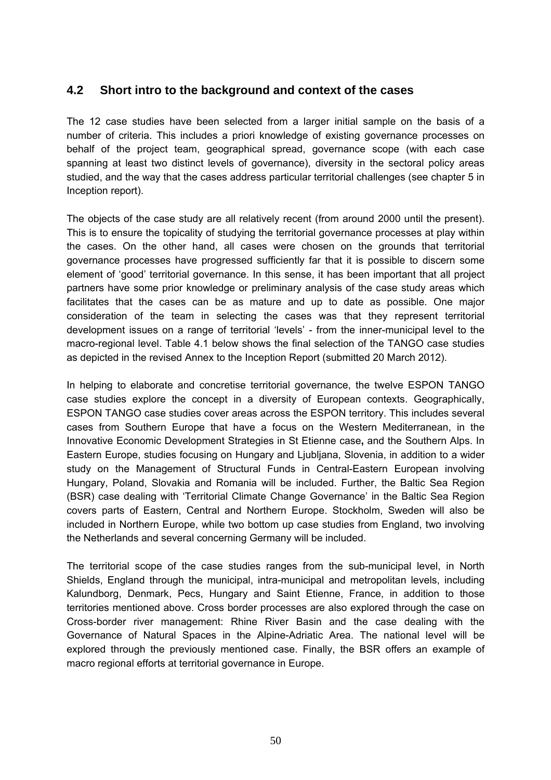# **4.2 Short intro to the background and context of the cases**

The 12 case studies have been selected from a larger initial sample on the basis of a number of criteria. This includes a priori knowledge of existing governance processes on behalf of the project team, geographical spread, governance scope (with each case spanning at least two distinct levels of governance), diversity in the sectoral policy areas studied, and the way that the cases address particular territorial challenges (see chapter 5 in Inception report).

The objects of the case study are all relatively recent (from around 2000 until the present). This is to ensure the topicality of studying the territorial governance processes at play within the cases. On the other hand, all cases were chosen on the grounds that territorial governance processes have progressed sufficiently far that it is possible to discern some element of 'good' territorial governance. In this sense, it has been important that all project partners have some prior knowledge or preliminary analysis of the case study areas which facilitates that the cases can be as mature and up to date as possible. One major consideration of the team in selecting the cases was that they represent territorial development issues on a range of territorial 'levels' - from the inner-municipal level to the macro-regional level. Table 4.1 below shows the final selection of the TANGO case studies as depicted in the revised Annex to the Inception Report (submitted 20 March 2012).

In helping to elaborate and concretise territorial governance, the twelve ESPON TANGO case studies explore the concept in a diversity of European contexts. Geographically, ESPON TANGO case studies cover areas across the ESPON territory. This includes several cases from Southern Europe that have a focus on the Western Mediterranean, in the Innovative Economic Development Strategies in St Etienne case**,** and the Southern Alps. In Eastern Europe, studies focusing on Hungary and Ljubljana, Slovenia, in addition to a wider study on the Management of Structural Funds in Central-Eastern European involving Hungary, Poland, Slovakia and Romania will be included. Further, the Baltic Sea Region (BSR) case dealing with 'Territorial Climate Change Governance' in the Baltic Sea Region covers parts of Eastern, Central and Northern Europe. Stockholm, Sweden will also be included in Northern Europe, while two bottom up case studies from England, two involving the Netherlands and several concerning Germany will be included.

The territorial scope of the case studies ranges from the sub-municipal level, in North Shields, England through the municipal, intra-municipal and metropolitan levels, including Kalundborg, Denmark, Pecs, Hungary and Saint Etienne, France, in addition to those territories mentioned above. Cross border processes are also explored through the case on Cross-border river management: Rhine River Basin and the case dealing with the Governance of Natural Spaces in the Alpine-Adriatic Area. The national level will be explored through the previously mentioned case. Finally, the BSR offers an example of macro regional efforts at territorial governance in Europe.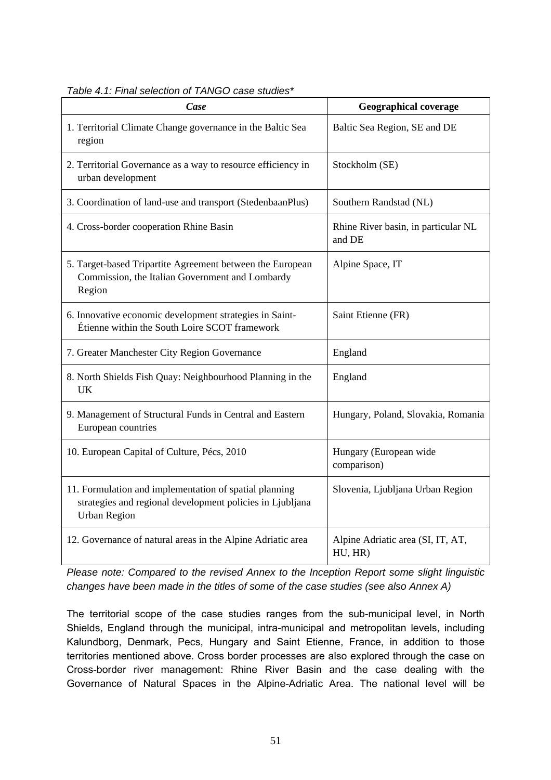| Case                                                                                                                                       | <b>Geographical coverage</b>                  |
|--------------------------------------------------------------------------------------------------------------------------------------------|-----------------------------------------------|
| 1. Territorial Climate Change governance in the Baltic Sea<br>region                                                                       | Baltic Sea Region, SE and DE                  |
| 2. Territorial Governance as a way to resource efficiency in<br>urban development                                                          | Stockholm (SE)                                |
| 3. Coordination of land-use and transport (StedenbaanPlus)                                                                                 | Southern Randstad (NL)                        |
| 4. Cross-border cooperation Rhine Basin                                                                                                    | Rhine River basin, in particular NL<br>and DE |
| 5. Target-based Tripartite Agreement between the European<br>Commission, the Italian Government and Lombardy<br>Region                     | Alpine Space, IT                              |
| 6. Innovative economic development strategies in Saint-<br>Étienne within the South Loire SCOT framework                                   | Saint Etienne (FR)                            |
| 7. Greater Manchester City Region Governance                                                                                               | England                                       |
| 8. North Shields Fish Quay: Neighbourhood Planning in the<br><b>UK</b>                                                                     | England                                       |
| 9. Management of Structural Funds in Central and Eastern<br>European countries                                                             | Hungary, Poland, Slovakia, Romania            |
| 10. European Capital of Culture, Pécs, 2010                                                                                                | Hungary (European wide<br>comparison)         |
| 11. Formulation and implementation of spatial planning<br>strategies and regional development policies in Ljubljana<br><b>Urban Region</b> | Slovenia, Ljubljana Urban Region              |
| 12. Governance of natural areas in the Alpine Adriatic area                                                                                | Alpine Adriatic area (SI, IT, AT,<br>HU, HR)  |

*Table 4.1: Final selection of TANGO case studies\** 

*Please note: Compared to the revised Annex to the Inception Report some slight linguistic changes have been made in the titles of some of the case studies (see also Annex A)* 

The territorial scope of the case studies ranges from the sub-municipal level, in North Shields, England through the municipal, intra-municipal and metropolitan levels, including Kalundborg, Denmark, Pecs, Hungary and Saint Etienne, France, in addition to those territories mentioned above. Cross border processes are also explored through the case on Cross-border river management: Rhine River Basin and the case dealing with the Governance of Natural Spaces in the Alpine-Adriatic Area. The national level will be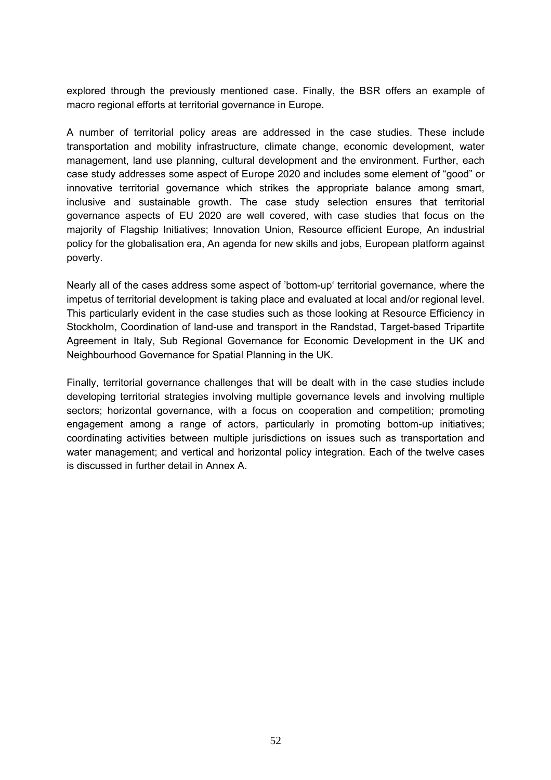explored through the previously mentioned case. Finally, the BSR offers an example of macro regional efforts at territorial governance in Europe.

A number of territorial policy areas are addressed in the case studies. These include transportation and mobility infrastructure, climate change, economic development, water management, land use planning, cultural development and the environment. Further, each case study addresses some aspect of Europe 2020 and includes some element of "good" or innovative territorial governance which strikes the appropriate balance among smart, inclusive and sustainable growth. The case study selection ensures that territorial governance aspects of EU 2020 are well covered, with case studies that focus on the majority of Flagship Initiatives; Innovation Union, Resource efficient Europe, An industrial policy for the globalisation era, An agenda for new skills and jobs, European platform against poverty.

Nearly all of the cases address some aspect of 'bottom-up' territorial governance, where the impetus of territorial development is taking place and evaluated at local and/or regional level. This particularly evident in the case studies such as those looking at Resource Efficiency in Stockholm, Coordination of land-use and transport in the Randstad, Target-based Tripartite Agreement in Italy, Sub Regional Governance for Economic Development in the UK and Neighbourhood Governance for Spatial Planning in the UK.

Finally, territorial governance challenges that will be dealt with in the case studies include developing territorial strategies involving multiple governance levels and involving multiple sectors; horizontal governance, with a focus on cooperation and competition; promoting engagement among a range of actors, particularly in promoting bottom-up initiatives; coordinating activities between multiple jurisdictions on issues such as transportation and water management; and vertical and horizontal policy integration. Each of the twelve cases is discussed in further detail in Annex A.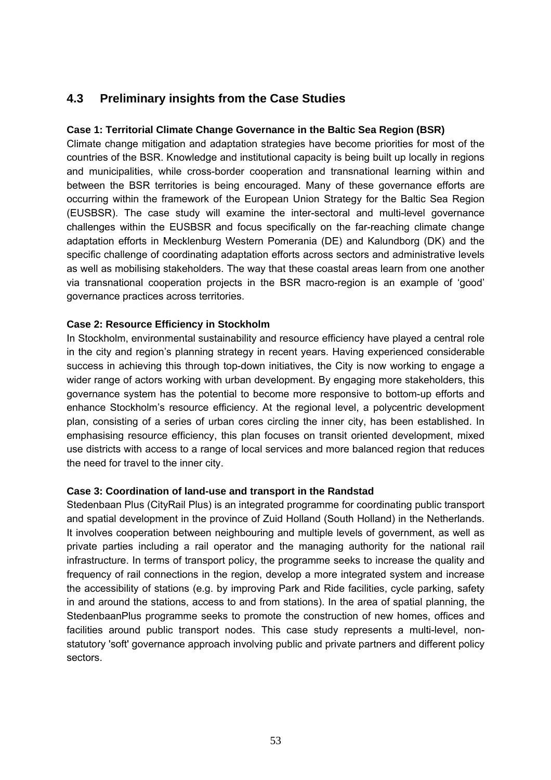# **4.3 Preliminary insights from the Case Studies**

### **Case 1: Territorial Climate Change Governance in the Baltic Sea Region (BSR)**

Climate change mitigation and adaptation strategies have become priorities for most of the countries of the BSR. Knowledge and institutional capacity is being built up locally in regions and municipalities, while cross-border cooperation and transnational learning within and between the BSR territories is being encouraged. Many of these governance efforts are occurring within the framework of the European Union Strategy for the Baltic Sea Region (EUSBSR). The case study will examine the inter-sectoral and multi-level governance challenges within the EUSBSR and focus specifically on the far-reaching climate change adaptation efforts in Mecklenburg Western Pomerania (DE) and Kalundborg (DK) and the specific challenge of coordinating adaptation efforts across sectors and administrative levels as well as mobilising stakeholders. The way that these coastal areas learn from one another via transnational cooperation projects in the BSR macro-region is an example of 'good' governance practices across territories.

### **Case 2: Resource Efficiency in Stockholm**

In Stockholm, environmental sustainability and resource efficiency have played a central role in the city and region's planning strategy in recent years. Having experienced considerable success in achieving this through top-down initiatives, the City is now working to engage a wider range of actors working with urban development. By engaging more stakeholders, this governance system has the potential to become more responsive to bottom-up efforts and enhance Stockholm's resource efficiency. At the regional level, a polycentric development plan, consisting of a series of urban cores circling the inner city, has been established. In emphasising resource efficiency, this plan focuses on transit oriented development, mixed use districts with access to a range of local services and more balanced region that reduces the need for travel to the inner city.

#### **Case 3: Coordination of land-use and transport in the Randstad**

Stedenbaan Plus (CityRail Plus) is an integrated programme for coordinating public transport and spatial development in the province of Zuid Holland (South Holland) in the Netherlands. It involves cooperation between neighbouring and multiple levels of government, as well as private parties including a rail operator and the managing authority for the national rail infrastructure. In terms of transport policy, the programme seeks to increase the quality and frequency of rail connections in the region, develop a more integrated system and increase the accessibility of stations (e.g. by improving Park and Ride facilities, cycle parking, safety in and around the stations, access to and from stations). In the area of spatial planning, the StedenbaanPlus programme seeks to promote the construction of new homes, offices and facilities around public transport nodes. This case study represents a multi-level, nonstatutory 'soft' governance approach involving public and private partners and different policy sectors.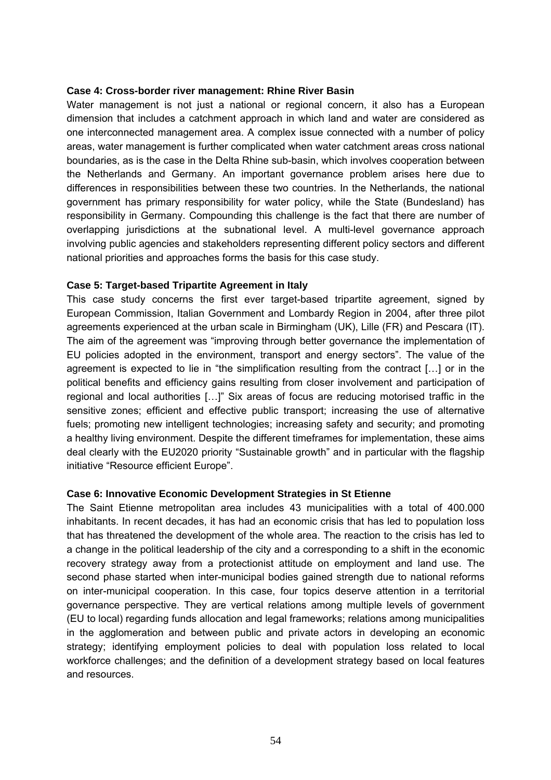#### **Case 4: Cross-border river management: Rhine River Basin**

Water management is not just a national or regional concern, it also has a European dimension that includes a catchment approach in which land and water are considered as one interconnected management area. A complex issue connected with a number of policy areas, water management is further complicated when water catchment areas cross national boundaries, as is the case in the Delta Rhine sub-basin, which involves cooperation between the Netherlands and Germany. An important governance problem arises here due to differences in responsibilities between these two countries. In the Netherlands, the national government has primary responsibility for water policy, while the State (Bundesland) has responsibility in Germany. Compounding this challenge is the fact that there are number of overlapping jurisdictions at the subnational level. A multi-level governance approach involving public agencies and stakeholders representing different policy sectors and different national priorities and approaches forms the basis for this case study.

#### **Case 5: Target-based Tripartite Agreement in Italy**

This case study concerns the first ever target-based tripartite agreement, signed by European Commission, Italian Government and Lombardy Region in 2004, after three pilot agreements experienced at the urban scale in Birmingham (UK), Lille (FR) and Pescara (IT). The aim of the agreement was "improving through better governance the implementation of EU policies adopted in the environment, transport and energy sectors". The value of the agreement is expected to lie in "the simplification resulting from the contract […] or in the political benefits and efficiency gains resulting from closer involvement and participation of regional and local authorities […]" Six areas of focus are reducing motorised traffic in the sensitive zones; efficient and effective public transport; increasing the use of alternative fuels; promoting new intelligent technologies; increasing safety and security; and promoting a healthy living environment. Despite the different timeframes for implementation, these aims deal clearly with the EU2020 priority "Sustainable growth" and in particular with the flagship initiative "Resource efficient Europe".

#### **Case 6: Innovative Economic Development Strategies in St Etienne**

The Saint Etienne metropolitan area includes 43 municipalities with a total of 400.000 inhabitants. In recent decades, it has had an economic crisis that has led to population loss that has threatened the development of the whole area. The reaction to the crisis has led to a change in the political leadership of the city and a corresponding to a shift in the economic recovery strategy away from a protectionist attitude on employment and land use. The second phase started when inter-municipal bodies gained strength due to national reforms on inter-municipal cooperation. In this case, four topics deserve attention in a territorial governance perspective. They are vertical relations among multiple levels of government (EU to local) regarding funds allocation and legal frameworks; relations among municipalities in the agglomeration and between public and private actors in developing an economic strategy; identifying employment policies to deal with population loss related to local workforce challenges; and the definition of a development strategy based on local features and resources.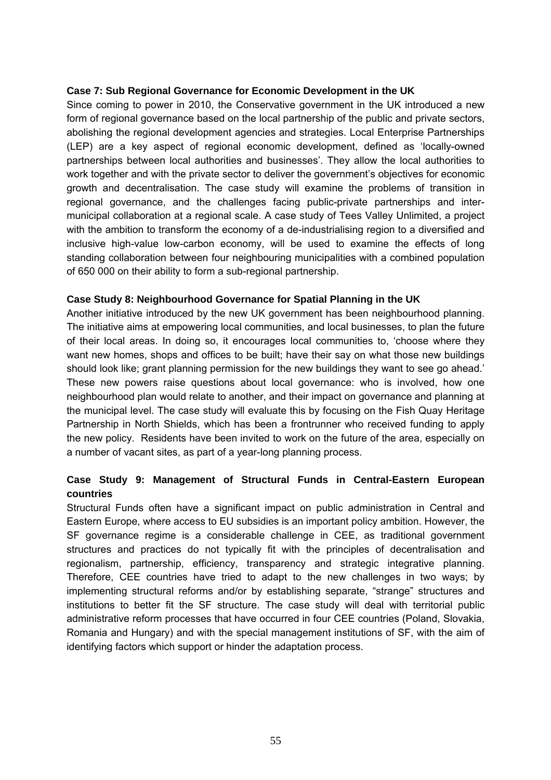#### **Case 7: Sub Regional Governance for Economic Development in the UK**

Since coming to power in 2010, the Conservative government in the UK introduced a new form of regional governance based on the local partnership of the public and private sectors, abolishing the regional development agencies and strategies. Local Enterprise Partnerships (LEP) are a key aspect of regional economic development, defined as 'locally-owned partnerships between local authorities and businesses'. They allow the local authorities to work together and with the private sector to deliver the government's objectives for economic growth and decentralisation. The case study will examine the problems of transition in regional governance, and the challenges facing public-private partnerships and intermunicipal collaboration at a regional scale. A case study of Tees Valley Unlimited, a project with the ambition to transform the economy of a de-industrialising region to a diversified and inclusive high-value low-carbon economy, will be used to examine the effects of long standing collaboration between four neighbouring municipalities with a combined population of 650 000 on their ability to form a sub-regional partnership.

### **Case Study 8: Neighbourhood Governance for Spatial Planning in the UK**

Another initiative introduced by the new UK government has been neighbourhood planning. The initiative aims at empowering local communities, and local businesses, to plan the future of their local areas. In doing so, it encourages local communities to, 'choose where they want new homes, shops and offices to be built; have their say on what those new buildings should look like; grant planning permission for the new buildings they want to see go ahead.' These new powers raise questions about local governance: who is involved, how one neighbourhood plan would relate to another, and their impact on governance and planning at the municipal level. The case study will evaluate this by focusing on the Fish Quay Heritage Partnership in North Shields, which has been a frontrunner who received funding to apply the new policy. Residents have been invited to work on the future of the area, especially on a number of vacant sites, as part of a year-long planning process.

### **Case Study 9: Management of Structural Funds in Central-Eastern European countries**

Structural Funds often have a significant impact on public administration in Central and Eastern Europe, where access to EU subsidies is an important policy ambition. However, the SF governance regime is a considerable challenge in CEE, as traditional government structures and practices do not typically fit with the principles of decentralisation and regionalism, partnership, efficiency, transparency and strategic integrative planning. Therefore, CEE countries have tried to adapt to the new challenges in two ways; by implementing structural reforms and/or by establishing separate, "strange" structures and institutions to better fit the SF structure. The case study will deal with territorial public administrative reform processes that have occurred in four CEE countries (Poland, Slovakia, Romania and Hungary) and with the special management institutions of SF, with the aim of identifying factors which support or hinder the adaptation process.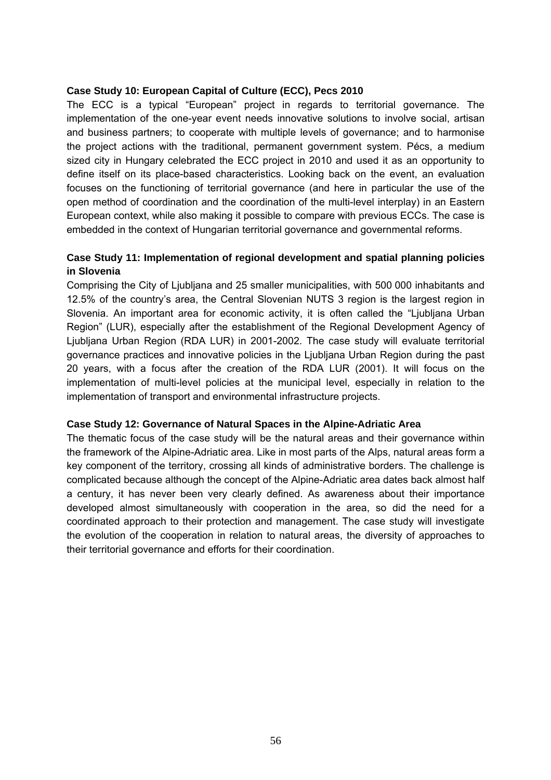#### **Case Study 10: European Capital of Culture (ECC), Pecs 2010**

The ECC is a typical "European" project in regards to territorial governance. The implementation of the one-year event needs innovative solutions to involve social, artisan and business partners; to cooperate with multiple levels of governance; and to harmonise the project actions with the traditional, permanent government system. Pécs, a medium sized city in Hungary celebrated the ECC project in 2010 and used it as an opportunity to define itself on its place-based characteristics. Looking back on the event, an evaluation focuses on the functioning of territorial governance (and here in particular the use of the open method of coordination and the coordination of the multi-level interplay) in an Eastern European context, while also making it possible to compare with previous ECCs. The case is embedded in the context of Hungarian territorial governance and governmental reforms.

# **Case Study 11: Implementation of regional development and spatial planning policies in Slovenia**

Comprising the City of Ljubljana and 25 smaller municipalities, with 500 000 inhabitants and 12.5% of the country's area, the Central Slovenian NUTS 3 region is the largest region in Slovenia. An important area for economic activity, it is often called the "Ljubljana Urban Region" (LUR), especially after the establishment of the Regional Development Agency of Ljubljana Urban Region (RDA LUR) in 2001-2002. The case study will evaluate territorial governance practices and innovative policies in the Ljubljana Urban Region during the past 20 years, with a focus after the creation of the RDA LUR (2001). It will focus on the implementation of multi-level policies at the municipal level, especially in relation to the implementation of transport and environmental infrastructure projects.

#### **Case Study 12: Governance of Natural Spaces in the Alpine-Adriatic Area**

The thematic focus of the case study will be the natural areas and their governance within the framework of the Alpine-Adriatic area. Like in most parts of the Alps, natural areas form a key component of the territory, crossing all kinds of administrative borders. The challenge is complicated because although the concept of the Alpine-Adriatic area dates back almost half a century, it has never been very clearly defined. As awareness about their importance developed almost simultaneously with cooperation in the area, so did the need for a coordinated approach to their protection and management. The case study will investigate the evolution of the cooperation in relation to natural areas, the diversity of approaches to their territorial governance and efforts for their coordination.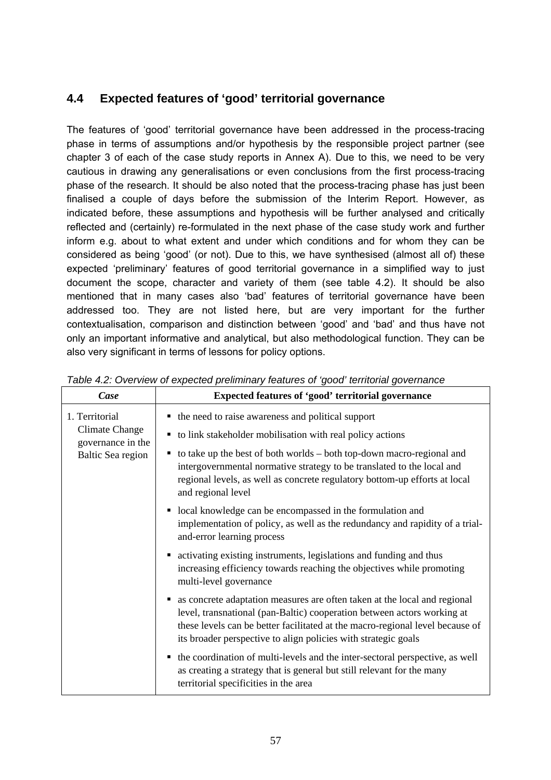# **4.4 Expected features of 'good' territorial governance**

The features of 'good' territorial governance have been addressed in the process-tracing phase in terms of assumptions and/or hypothesis by the responsible project partner (see chapter 3 of each of the case study reports in Annex A). Due to this, we need to be very cautious in drawing any generalisations or even conclusions from the first process-tracing phase of the research. It should be also noted that the process-tracing phase has just been finalised a couple of days before the submission of the Interim Report. However, as indicated before, these assumptions and hypothesis will be further analysed and critically reflected and (certainly) re-formulated in the next phase of the case study work and further inform e.g. about to what extent and under which conditions and for whom they can be considered as being 'good' (or not). Due to this, we have synthesised (almost all of) these expected 'preliminary' features of good territorial governance in a simplified way to just document the scope, character and variety of them (see table 4.2). It should be also mentioned that in many cases also 'bad' features of territorial governance have been addressed too. They are not listed here, but are very important for the further contextualisation, comparison and distinction between 'good' and 'bad' and thus have not only an important informative and analytical, but also methodological function. They can be also very significant in terms of lessons for policy options.

| Case                                                                              | Expected features of 'good' territorial governance                                                                                                                                                                                                                                                        |  |  |  |  |  |
|-----------------------------------------------------------------------------------|-----------------------------------------------------------------------------------------------------------------------------------------------------------------------------------------------------------------------------------------------------------------------------------------------------------|--|--|--|--|--|
| 1. Territorial<br><b>Climate Change</b><br>governance in the<br>Baltic Sea region | • the need to raise awareness and political support<br>• to link stakeholder mobilisation with real policy actions<br>• to take up the best of both worlds – both top-down macro-regional and                                                                                                             |  |  |  |  |  |
|                                                                                   | intergovernmental normative strategy to be translated to the local and<br>regional levels, as well as concrete regulatory bottom-up efforts at local<br>and regional level                                                                                                                                |  |  |  |  |  |
|                                                                                   | • local knowledge can be encompassed in the formulation and<br>implementation of policy, as well as the redundancy and rapidity of a trial-<br>and-error learning process                                                                                                                                 |  |  |  |  |  |
|                                                                                   | • activating existing instruments, legislations and funding and thus<br>increasing efficiency towards reaching the objectives while promoting<br>multi-level governance                                                                                                                                   |  |  |  |  |  |
|                                                                                   | • as concrete adaptation measures are often taken at the local and regional<br>level, transnational (pan-Baltic) cooperation between actors working at<br>these levels can be better facilitated at the macro-regional level because of<br>its broader perspective to align policies with strategic goals |  |  |  |  |  |
|                                                                                   | • the coordination of multi-levels and the inter-sectoral perspective, as well<br>as creating a strategy that is general but still relevant for the many<br>territorial specificities in the area                                                                                                         |  |  |  |  |  |

*Table 4.2: Overview of expected preliminary features of 'good' territorial governance*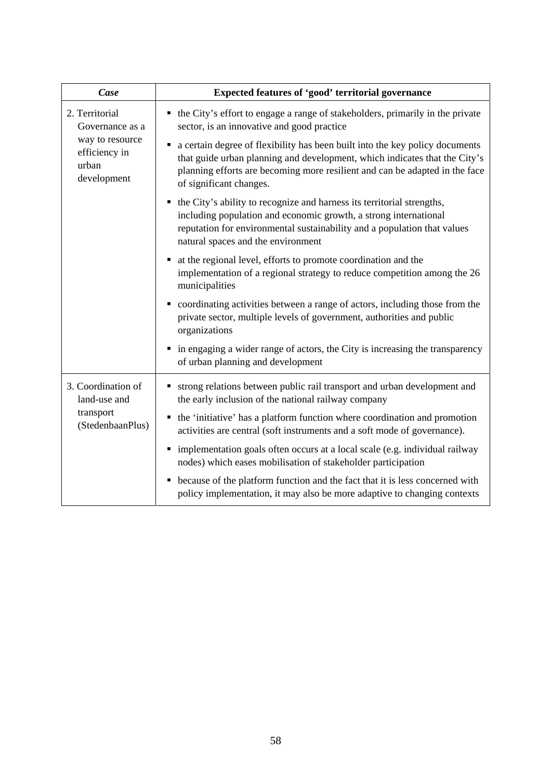| Case                                                                                          | Expected features of 'good' territorial governance                                                                                                                                                                                                                        |  |  |  |  |  |
|-----------------------------------------------------------------------------------------------|---------------------------------------------------------------------------------------------------------------------------------------------------------------------------------------------------------------------------------------------------------------------------|--|--|--|--|--|
| 2. Territorial<br>Governance as a<br>way to resource<br>efficiency in<br>urban<br>development | • the City's effort to engage a range of stakeholders, primarily in the private<br>sector, is an innovative and good practice                                                                                                                                             |  |  |  |  |  |
|                                                                                               | a certain degree of flexibility has been built into the key policy documents<br>٠<br>that guide urban planning and development, which indicates that the City's<br>planning efforts are becoming more resilient and can be adapted in the face<br>of significant changes. |  |  |  |  |  |
|                                                                                               | the City's ability to recognize and harness its territorial strengths,<br>including population and economic growth, a strong international<br>reputation for environmental sustainability and a population that values<br>natural spaces and the environment              |  |  |  |  |  |
|                                                                                               | at the regional level, efforts to promote coordination and the<br>implementation of a regional strategy to reduce competition among the 26<br>municipalities                                                                                                              |  |  |  |  |  |
|                                                                                               | coordinating activities between a range of actors, including those from the<br>٠<br>private sector, multiple levels of government, authorities and public<br>organizations                                                                                                |  |  |  |  |  |
|                                                                                               | in engaging a wider range of actors, the City is increasing the transparency<br>٠<br>of urban planning and development                                                                                                                                                    |  |  |  |  |  |
| 3. Coordination of<br>land-use and                                                            | • strong relations between public rail transport and urban development and<br>the early inclusion of the national railway company                                                                                                                                         |  |  |  |  |  |
| transport<br>(StedenbaanPlus)                                                                 | the 'initiative' has a platform function where coordination and promotion<br>activities are central (soft instruments and a soft mode of governance).                                                                                                                     |  |  |  |  |  |
|                                                                                               | implementation goals often occurs at a local scale (e.g. individual railway<br>٠<br>nodes) which eases mobilisation of stakeholder participation                                                                                                                          |  |  |  |  |  |
|                                                                                               | • because of the platform function and the fact that it is less concerned with<br>policy implementation, it may also be more adaptive to changing contexts                                                                                                                |  |  |  |  |  |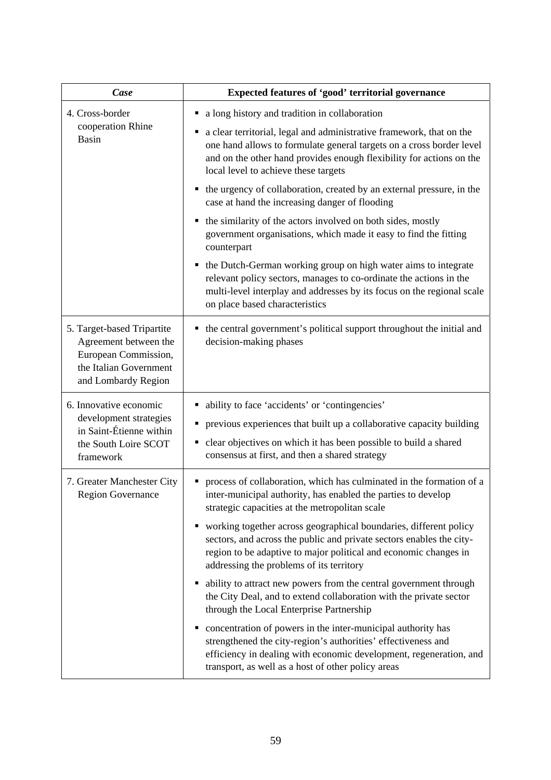| Case                                                                                                                         | Expected features of 'good' territorial governance                                                                                                                                                                                                           |  |  |  |  |  |
|------------------------------------------------------------------------------------------------------------------------------|--------------------------------------------------------------------------------------------------------------------------------------------------------------------------------------------------------------------------------------------------------------|--|--|--|--|--|
| 4. Cross-border                                                                                                              | a long history and tradition in collaboration                                                                                                                                                                                                                |  |  |  |  |  |
| cooperation Rhine<br><b>Basin</b>                                                                                            | a clear territorial, legal and administrative framework, that on the<br>one hand allows to formulate general targets on a cross border level<br>and on the other hand provides enough flexibility for actions on the<br>local level to achieve these targets |  |  |  |  |  |
|                                                                                                                              | the urgency of collaboration, created by an external pressure, in the<br>case at hand the increasing danger of flooding                                                                                                                                      |  |  |  |  |  |
|                                                                                                                              | the similarity of the actors involved on both sides, mostly<br>government organisations, which made it easy to find the fitting<br>counterpart                                                                                                               |  |  |  |  |  |
|                                                                                                                              | the Dutch-German working group on high water aims to integrate<br>п<br>relevant policy sectors, manages to co-ordinate the actions in the<br>multi-level interplay and addresses by its focus on the regional scale<br>on place based characteristics        |  |  |  |  |  |
| 5. Target-based Tripartite<br>Agreement between the<br>European Commission,<br>the Italian Government<br>and Lombardy Region | the central government's political support throughout the initial and<br>decision-making phases                                                                                                                                                              |  |  |  |  |  |
| 6. Innovative economic                                                                                                       | ability to face 'accidents' or 'contingencies'                                                                                                                                                                                                               |  |  |  |  |  |
| development strategies<br>in Saint-Étienne within                                                                            | previous experiences that built up a collaborative capacity building                                                                                                                                                                                         |  |  |  |  |  |
| the South Loire SCOT<br>framework                                                                                            | clear objectives on which it has been possible to build a shared<br>٠<br>consensus at first, and then a shared strategy                                                                                                                                      |  |  |  |  |  |
| 7. Greater Manchester City<br>Region Governance                                                                              | process of collaboration, which has culminated in the formation of a<br>inter-municipal authority, has enabled the parties to develop<br>strategic capacities at the metropolitan scale                                                                      |  |  |  |  |  |
|                                                                                                                              | working together across geographical boundaries, different policy<br>sectors, and across the public and private sectors enables the city-<br>region to be adaptive to major political and economic changes in<br>addressing the problems of its territory    |  |  |  |  |  |
|                                                                                                                              | ability to attract new powers from the central government through<br>the City Deal, and to extend collaboration with the private sector<br>through the Local Enterprise Partnership                                                                          |  |  |  |  |  |
|                                                                                                                              | concentration of powers in the inter-municipal authority has<br>strengthened the city-region's authorities' effectiveness and<br>efficiency in dealing with economic development, regeneration, and<br>transport, as well as a host of other policy areas    |  |  |  |  |  |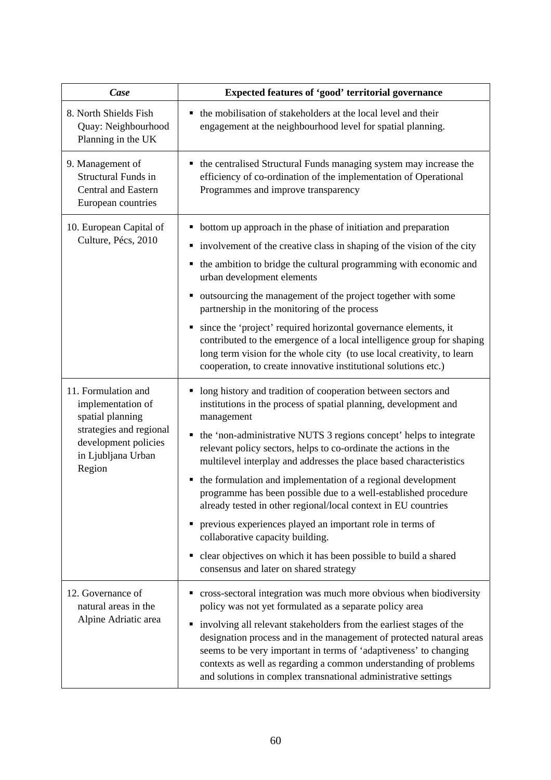| Case                                                                                                                                            | Expected features of 'good' territorial governance                                                                                                                                                                                                                                                                                                                                                                                                                                                                                                                                                                                                                                                                                                                                                                        |  |  |  |  |
|-------------------------------------------------------------------------------------------------------------------------------------------------|---------------------------------------------------------------------------------------------------------------------------------------------------------------------------------------------------------------------------------------------------------------------------------------------------------------------------------------------------------------------------------------------------------------------------------------------------------------------------------------------------------------------------------------------------------------------------------------------------------------------------------------------------------------------------------------------------------------------------------------------------------------------------------------------------------------------------|--|--|--|--|
| 8. North Shields Fish<br>Quay: Neighbourhood<br>Planning in the UK                                                                              | • the mobilisation of stakeholders at the local level and their<br>engagement at the neighbourhood level for spatial planning.                                                                                                                                                                                                                                                                                                                                                                                                                                                                                                                                                                                                                                                                                            |  |  |  |  |
| 9. Management of<br><b>Structural Funds in</b><br><b>Central and Eastern</b><br>European countries                                              | • the centralised Structural Funds managing system may increase the<br>efficiency of co-ordination of the implementation of Operational<br>Programmes and improve transparency                                                                                                                                                                                                                                                                                                                                                                                                                                                                                                                                                                                                                                            |  |  |  |  |
| 10. European Capital of<br>Culture, Pécs, 2010                                                                                                  | • bottom up approach in the phase of initiation and preparation<br>• involvement of the creative class in shaping of the vision of the city<br>the ambition to bridge the cultural programming with economic and<br>п<br>urban development elements<br>outsourcing the management of the project together with some<br>п<br>partnership in the monitoring of the process<br>• since the 'project' required horizontal governance elements, it<br>contributed to the emergence of a local intelligence group for shaping<br>long term vision for the whole city (to use local creativity, to learn<br>cooperation, to create innovative institutional solutions etc.)                                                                                                                                                      |  |  |  |  |
| 11. Formulation and<br>implementation of<br>spatial planning<br>strategies and regional<br>development policies<br>in Ljubljana Urban<br>Region | long history and tradition of cooperation between sectors and<br>٠<br>institutions in the process of spatial planning, development and<br>management<br>the 'non-administrative NUTS 3 regions concept' helps to integrate<br>$\blacksquare$<br>relevant policy sectors, helps to co-ordinate the actions in the<br>multilevel interplay and addresses the place based characteristics<br>the formulation and implementation of a regional development<br>п<br>programme has been possible due to a well-established procedure<br>already tested in other regional/local context in EU countries<br>previous experiences played an important role in terms of<br>п<br>collaborative capacity building.<br>clear objectives on which it has been possible to build a shared<br>п<br>consensus and later on shared strategy |  |  |  |  |
| 12. Governance of<br>natural areas in the<br>Alpine Adriatic area                                                                               | cross-sectoral integration was much more obvious when biodiversity<br>policy was not yet formulated as a separate policy area<br>involving all relevant stakeholders from the earliest stages of the<br>٠<br>designation process and in the management of protected natural areas<br>seems to be very important in terms of 'adaptiveness' to changing<br>contexts as well as regarding a common understanding of problems<br>and solutions in complex transnational administrative settings                                                                                                                                                                                                                                                                                                                              |  |  |  |  |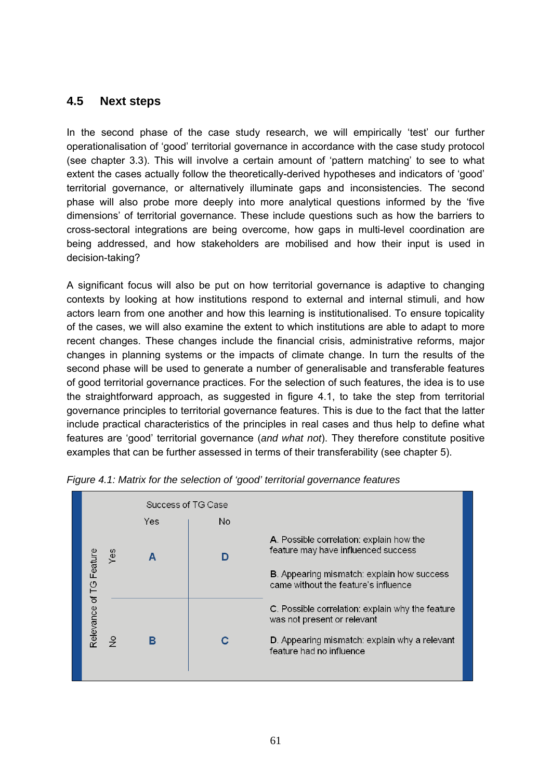# **4.5 Next steps**

In the second phase of the case study research, we will empirically 'test' our further operationalisation of 'good' territorial governance in accordance with the case study protocol (see chapter 3.3). This will involve a certain amount of 'pattern matching' to see to what extent the cases actually follow the theoretically-derived hypotheses and indicators of 'good' territorial governance, or alternatively illuminate gaps and inconsistencies. The second phase will also probe more deeply into more analytical questions informed by the 'five dimensions' of territorial governance. These include questions such as how the barriers to cross-sectoral integrations are being overcome, how gaps in multi-level coordination are being addressed, and how stakeholders are mobilised and how their input is used in decision-taking?

A significant focus will also be put on how territorial governance is adaptive to changing contexts by looking at how institutions respond to external and internal stimuli, and how actors learn from one another and how this learning is institutionalised. To ensure topicality of the cases, we will also examine the extent to which institutions are able to adapt to more recent changes. These changes include the financial crisis, administrative reforms, major changes in planning systems or the impacts of climate change. In turn the results of the second phase will be used to generate a number of generalisable and transferable features of good territorial governance practices. For the selection of such features, the idea is to use the straightforward approach, as suggested in figure 4.1, to take the step from territorial governance principles to territorial governance features. This is due to the fact that the latter include practical characteristics of the principles in real cases and thus help to define what features are 'good' territorial governance (*and what not*). They therefore constitute positive examples that can be further assessed in terms of their transferability (see chapter 5).



*Figure 4.1: Matrix for the selection of 'good' territorial governance features*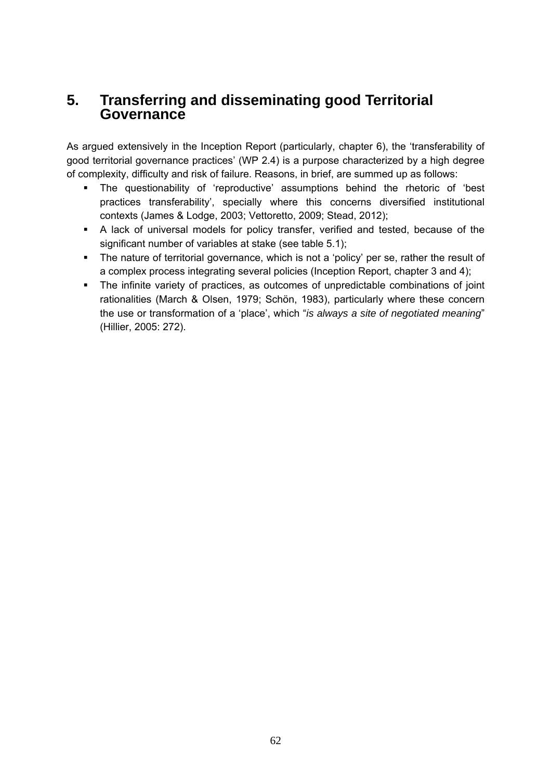# **5. Transferring and disseminating good Territorial Governance**

As argued extensively in the Inception Report (particularly, chapter 6), the 'transferability of good territorial governance practices' (WP 2.4) is a purpose characterized by a high degree of complexity, difficulty and risk of failure. Reasons, in brief, are summed up as follows:

- The questionability of 'reproductive' assumptions behind the rhetoric of 'best practices transferability', specially where this concerns diversified institutional contexts (James & Lodge, 2003; Vettoretto, 2009; Stead, 2012);
- A lack of universal models for policy transfer, verified and tested, because of the significant number of variables at stake (see table 5.1);
- The nature of territorial governance, which is not a 'policy' per se, rather the result of a complex process integrating several policies (Inception Report, chapter 3 and 4);
- The infinite variety of practices, as outcomes of unpredictable combinations of joint rationalities (March & Olsen, 1979; Schön, 1983), particularly where these concern the use or transformation of a 'place', which "*is always a site of negotiated meaning*" (Hillier, 2005: 272).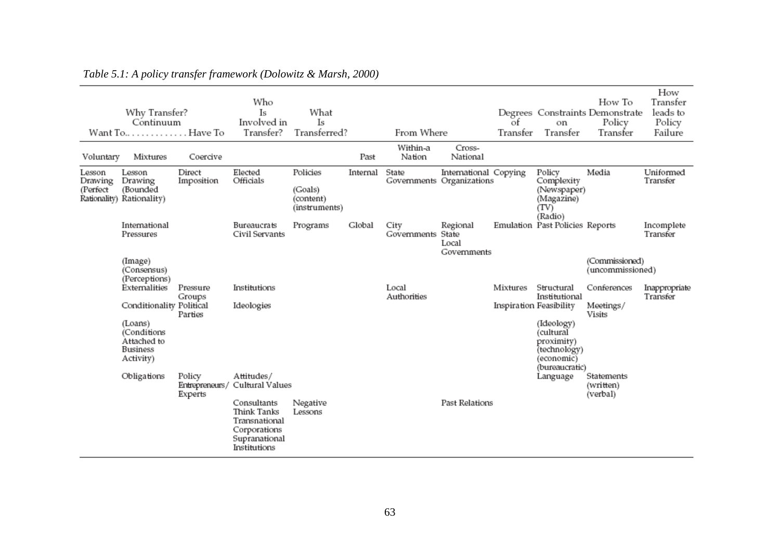| Voluntary                     | Why Transfer?<br>Continuum<br>Want To Have To<br>Mixtures             | Coercive                            | Who<br>Is<br>Involved in<br>Transfer?                                                        | What<br>Is<br>Transferred?                        | Past     | From Where<br>Within-a<br>Nation | Cross-<br>National                                 | of<br>Transfer          | on<br>Transfer                                                                        | How To<br>Degrees Constraints Demonstrate<br>Policy<br>Transfer | How<br>Transfer<br>leads to<br>Policy<br>Failure |
|-------------------------------|-----------------------------------------------------------------------|-------------------------------------|----------------------------------------------------------------------------------------------|---------------------------------------------------|----------|----------------------------------|----------------------------------------------------|-------------------------|---------------------------------------------------------------------------------------|-----------------------------------------------------------------|--------------------------------------------------|
| Lesson<br>Drawing<br>(Perfect | Lesson<br>Drawing<br>(Bounded<br>Rationality) Rationality)            | Direct<br>Imposition                | Elected<br>Officials                                                                         | Policies<br>(Goals)<br>(content)<br>(instruments) | Internal | State                            | International Copying<br>Governments Organizations |                         | Policy<br>Complexity<br>(Newspaper)<br>(Magazine)<br>(TV)<br>(Radio)                  | Media                                                           | Uniformed<br>Transfer                            |
|                               | International<br>Pressures                                            |                                     | Bureaucrats<br>Civil Servants                                                                | Programs                                          | Global   | City<br>Governments              | Regional<br>State<br>Local<br>Governments          |                         | Emulation Past Policies Reports                                                       |                                                                 | Incomplete<br>Transfer                           |
|                               | (Image)<br>(Consensus)<br>(Perceptions)                               |                                     |                                                                                              |                                                   |          |                                  |                                                    |                         |                                                                                       | (Commissioned)<br>(uncommissioned)                              |                                                  |
|                               | Externalities                                                         | Pressure<br>Groups                  | Institutions                                                                                 |                                                   |          | Local<br>Authorities             |                                                    | Mixtures                | Structural<br>Institutional                                                           | Conferences                                                     | Inappropriate<br>Transfer                        |
|                               | Conditionality Political                                              | Parties                             | Ideologies                                                                                   |                                                   |          |                                  |                                                    | Inspiration Feasibility |                                                                                       | Meetings/<br><b>Visits</b>                                      |                                                  |
|                               | (Loans)<br>(Conditions<br>Attached to<br><b>Business</b><br>Activity) |                                     |                                                                                              |                                                   |          |                                  |                                                    |                         | (Ideology)<br>(cultural<br>proximity)<br>(technology)<br>(economic)<br>(bureaucratic) |                                                                 |                                                  |
|                               | Obligations                                                           | Policy<br>Entrepreneurs/<br>Experts | Attitudes/<br>Cultural Values                                                                |                                                   |          |                                  |                                                    |                         | Language                                                                              | Statements<br>(written)<br>(verbal)                             |                                                  |
|                               |                                                                       |                                     | Consultants<br>Think Tanks<br>Transnational<br>Corporations<br>Supranational<br>Institutions | Negative<br>Lessons                               |          |                                  | Past Relations                                     |                         |                                                                                       |                                                                 |                                                  |

# *Table 5.1: A policy transfer framework (Dolowitz & Marsh, 2000)*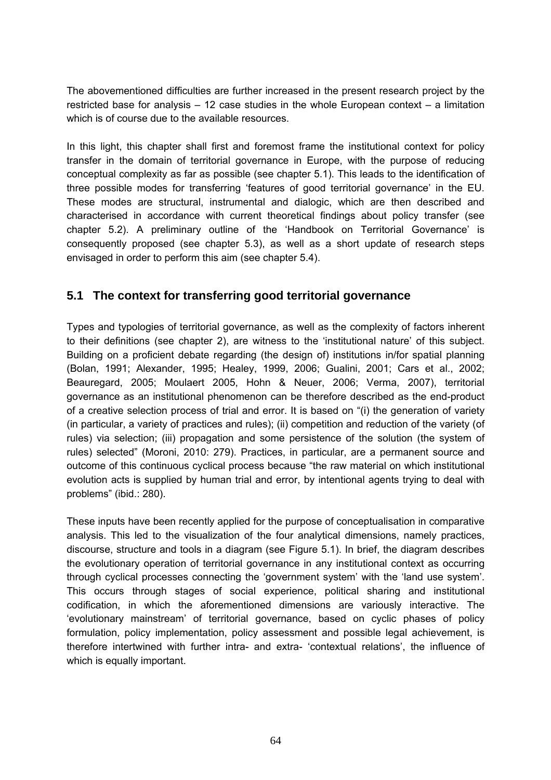The abovementioned difficulties are further increased in the present research project by the restricted base for analysis – 12 case studies in the whole European context – a limitation which is of course due to the available resources.

In this light, this chapter shall first and foremost frame the institutional context for policy transfer in the domain of territorial governance in Europe, with the purpose of reducing conceptual complexity as far as possible (see chapter 5.1). This leads to the identification of three possible modes for transferring 'features of good territorial governance' in the EU. These modes are structural, instrumental and dialogic, which are then described and characterised in accordance with current theoretical findings about policy transfer (see chapter 5.2). A preliminary outline of the 'Handbook on Territorial Governance' is consequently proposed (see chapter 5.3), as well as a short update of research steps envisaged in order to perform this aim (see chapter 5.4).

# **5.1 The context for transferring good territorial governance**

Types and typologies of territorial governance, as well as the complexity of factors inherent to their definitions (see chapter 2), are witness to the 'institutional nature' of this subject. Building on a proficient debate regarding (the design of) institutions in/for spatial planning (Bolan, 1991; Alexander, 1995; Healey, 1999, 2006; Gualini, 2001; Cars et al., 2002; Beauregard, 2005; Moulaert 2005, Hohn & Neuer, 2006; Verma, 2007), territorial governance as an institutional phenomenon can be therefore described as the end-product of a creative selection process of trial and error. It is based on "(i) the generation of variety (in particular, a variety of practices and rules); (ii) competition and reduction of the variety (of rules) via selection; (iii) propagation and some persistence of the solution (the system of rules) selected" (Moroni, 2010: 279). Practices, in particular, are a permanent source and outcome of this continuous cyclical process because "the raw material on which institutional evolution acts is supplied by human trial and error, by intentional agents trying to deal with problems" (ibid.: 280).

These inputs have been recently applied for the purpose of conceptualisation in comparative analysis. This led to the visualization of the four analytical dimensions, namely practices, discourse, structure and tools in a diagram (see Figure 5.1). In brief, the diagram describes the evolutionary operation of territorial governance in any institutional context as occurring through cyclical processes connecting the 'government system' with the 'land use system'. This occurs through stages of social experience, political sharing and institutional codification, in which the aforementioned dimensions are variously interactive. The 'evolutionary mainstream' of territorial governance, based on cyclic phases of policy formulation, policy implementation, policy assessment and possible legal achievement, is therefore intertwined with further intra- and extra- 'contextual relations', the influence of which is equally important.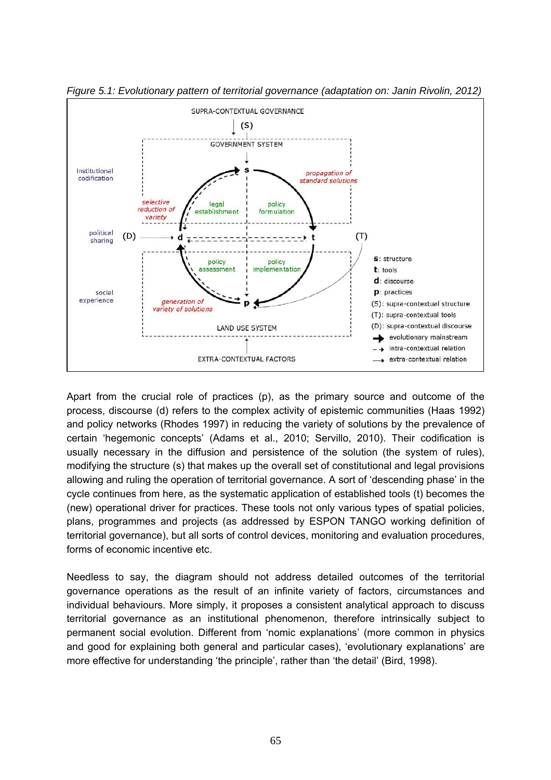

*Figure 5.1: Evolutionary pattern of territorial governance (adaptation on: Janin Rivolin, 2012)* 

Apart from the crucial role of practices (p), as the primary source and outcome of the process, discourse (d) refers to the complex activity of epistemic communities (Haas 1992) and policy networks (Rhodes 1997) in reducing the variety of solutions by the prevalence of certain 'hegemonic concepts' (Adams et al., 2010; Servillo, 2010). Their codification is usually necessary in the diffusion and persistence of the solution (the system of rules), modifying the structure (s) that makes up the overall set of constitutional and legal provisions allowing and ruling the operation of territorial governance. A sort of 'descending phase' in the cycle continues from here, as the systematic application of established tools (t) becomes the (new) operational driver for practices. These tools not only various types of spatial policies, plans, programmes and projects (as addressed by ESPON TANGO working definition of territorial governance), but all sorts of control devices, monitoring and evaluation procedures, forms of economic incentive etc.

Needless to say, the diagram should not address detailed outcomes of the territorial governance operations as the result of an infinite variety of factors, circumstances and individual behaviours. More simply, it proposes a consistent analytical approach to discuss territorial governance as an institutional phenomenon, therefore intrinsically subject to permanent social evolution. Different from 'nomic explanations' (more common in physics and good for explaining both general and particular cases), 'evolutionary explanations' are more effective for understanding 'the principle', rather than 'the detail' (Bird, 1998).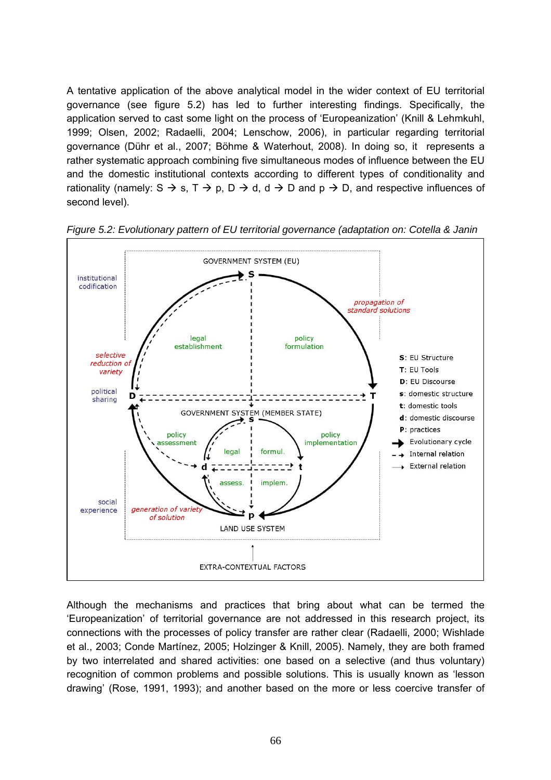A tentative application of the above analytical model in the wider context of EU territorial governance (see figure 5.2) has led to further interesting findings. Specifically, the application served to cast some light on the process of 'Europeanization' (Knill & Lehmkuhl, 1999; Olsen, 2002; Radaelli, 2004; Lenschow, 2006), in particular regarding territorial governance (Dühr et al., 2007; Böhme & Waterhout, 2008). In doing so, it represents a rather systematic approach combining five simultaneous modes of influence between the EU and the domestic institutional contexts according to different types of conditionality and rationality (namely:  $S \to s$ ,  $T \to p$ ,  $D \to d$ ,  $d \to D$  and  $p \to D$ , and respective influences of second level).



*Figure 5.2: Evolutionary pattern of EU territorial governance (adaptation on: Cotella & Janin* 

Although the mechanisms and practices that bring about what can be termed the 'Europeanization' of territorial governance are not addressed in this research project, its connections with the processes of policy transfer are rather clear (Radaelli, 2000; Wishlade et al., 2003; Conde Martínez, 2005; Holzinger & Knill, 2005). Namely, they are both framed by two interrelated and shared activities: one based on a selective (and thus voluntary) recognition of common problems and possible solutions. This is usually known as 'lesson drawing' (Rose, 1991, 1993); and another based on the more or less coercive transfer of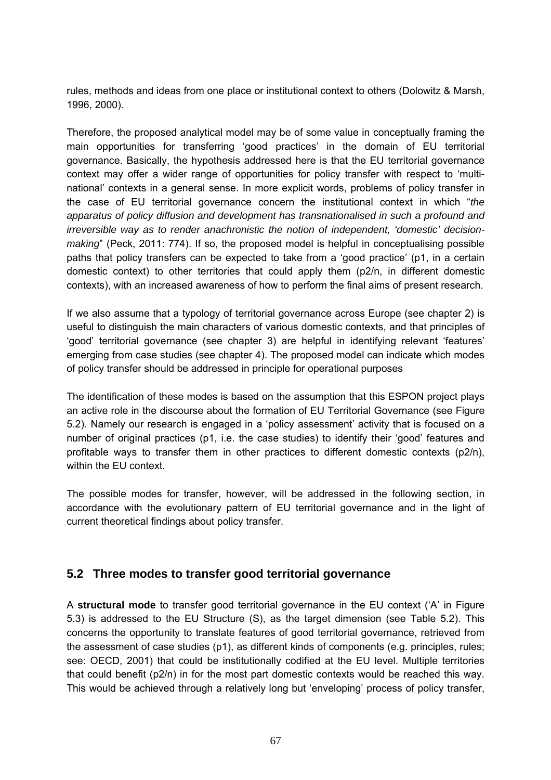rules, methods and ideas from one place or institutional context to others (Dolowitz & Marsh, 1996, 2000).

Therefore, the proposed analytical model may be of some value in conceptually framing the main opportunities for transferring 'good practices' in the domain of EU territorial governance. Basically, the hypothesis addressed here is that the EU territorial governance context may offer a wider range of opportunities for policy transfer with respect to 'multinational' contexts in a general sense. In more explicit words, problems of policy transfer in the case of EU territorial governance concern the institutional context in which "*the apparatus of policy diffusion and development has transnationalised in such a profound and irreversible way as to render anachronistic the notion of independent, 'domestic' decisionmaking*" (Peck, 2011: 774). If so, the proposed model is helpful in conceptualising possible paths that policy transfers can be expected to take from a 'good practice' (p1, in a certain domestic context) to other territories that could apply them (p2/n, in different domestic contexts), with an increased awareness of how to perform the final aims of present research.

If we also assume that a typology of territorial governance across Europe (see chapter 2) is useful to distinguish the main characters of various domestic contexts, and that principles of 'good' territorial governance (see chapter 3) are helpful in identifying relevant 'features' emerging from case studies (see chapter 4). The proposed model can indicate which modes of policy transfer should be addressed in principle for operational purposes

The identification of these modes is based on the assumption that this ESPON project plays an active role in the discourse about the formation of EU Territorial Governance (see Figure 5.2). Namely our research is engaged in a 'policy assessment' activity that is focused on a number of original practices (p1, i.e. the case studies) to identify their 'good' features and profitable ways to transfer them in other practices to different domestic contexts (p2/n), within the EU context.

The possible modes for transfer, however, will be addressed in the following section, in accordance with the evolutionary pattern of EU territorial governance and in the light of current theoretical findings about policy transfer.

# **5.2 Three modes to transfer good territorial governance**

A **structural mode** to transfer good territorial governance in the EU context ('A' in Figure 5.3) is addressed to the EU Structure (S), as the target dimension (see Table 5.2). This concerns the opportunity to translate features of good territorial governance, retrieved from the assessment of case studies (p1), as different kinds of components (e.g. principles, rules; see: OECD, 2001) that could be institutionally codified at the EU level. Multiple territories that could benefit (p2/n) in for the most part domestic contexts would be reached this way. This would be achieved through a relatively long but 'enveloping' process of policy transfer,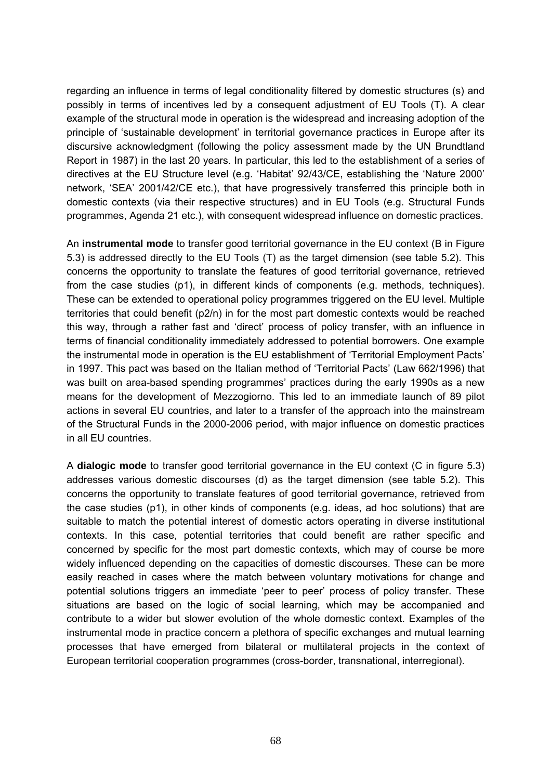regarding an influence in terms of legal conditionality filtered by domestic structures (s) and possibly in terms of incentives led by a consequent adjustment of EU Tools (T). A clear example of the structural mode in operation is the widespread and increasing adoption of the principle of 'sustainable development' in territorial governance practices in Europe after its discursive acknowledgment (following the policy assessment made by the UN Brundtland Report in 1987) in the last 20 years. In particular, this led to the establishment of a series of directives at the EU Structure level (e.g. 'Habitat' 92/43/CE, establishing the 'Nature 2000' network, 'SEA' 2001/42/CE etc.), that have progressively transferred this principle both in domestic contexts (via their respective structures) and in EU Tools (e.g. Structural Funds programmes, Agenda 21 etc.), with consequent widespread influence on domestic practices.

An **instrumental mode** to transfer good territorial governance in the EU context (B in Figure 5.3) is addressed directly to the EU Tools (T) as the target dimension (see table 5.2). This concerns the opportunity to translate the features of good territorial governance, retrieved from the case studies (p1), in different kinds of components (e.g. methods, techniques). These can be extended to operational policy programmes triggered on the EU level. Multiple territories that could benefit (p2/n) in for the most part domestic contexts would be reached this way, through a rather fast and 'direct' process of policy transfer, with an influence in terms of financial conditionality immediately addressed to potential borrowers. One example the instrumental mode in operation is the EU establishment of 'Territorial Employment Pacts' in 1997. This pact was based on the Italian method of 'Territorial Pacts' (Law 662/1996) that was built on area-based spending programmes' practices during the early 1990s as a new means for the development of Mezzogiorno. This led to an immediate launch of 89 pilot actions in several EU countries, and later to a transfer of the approach into the mainstream of the Structural Funds in the 2000-2006 period, with major influence on domestic practices in all EU countries.

A **dialogic mode** to transfer good territorial governance in the EU context (C in figure 5.3) addresses various domestic discourses (d) as the target dimension (see table 5.2). This concerns the opportunity to translate features of good territorial governance, retrieved from the case studies (p1), in other kinds of components (e.g. ideas, ad hoc solutions) that are suitable to match the potential interest of domestic actors operating in diverse institutional contexts. In this case, potential territories that could benefit are rather specific and concerned by specific for the most part domestic contexts, which may of course be more widely influenced depending on the capacities of domestic discourses. These can be more easily reached in cases where the match between voluntary motivations for change and potential solutions triggers an immediate 'peer to peer' process of policy transfer. These situations are based on the logic of social learning, which may be accompanied and contribute to a wider but slower evolution of the whole domestic context. Examples of the instrumental mode in practice concern a plethora of specific exchanges and mutual learning processes that have emerged from bilateral or multilateral projects in the context of European territorial cooperation programmes (cross-border, transnational, interregional).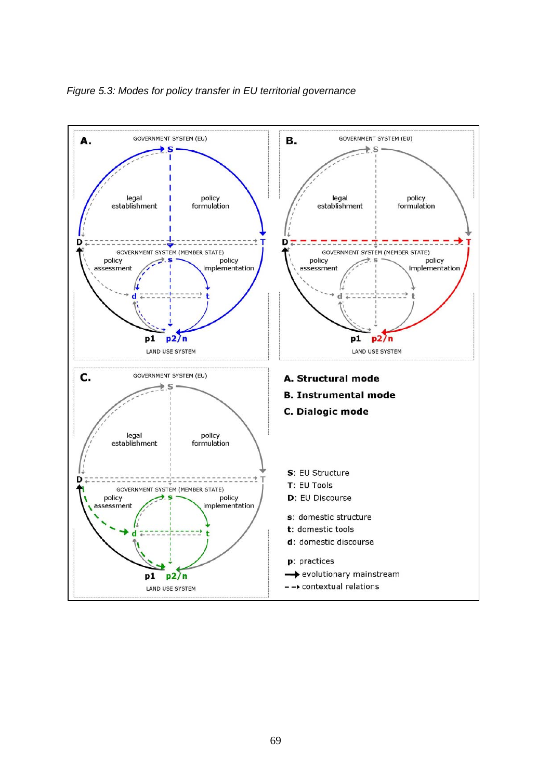

*Figure 5.3: Modes for policy transfer in EU territorial governance*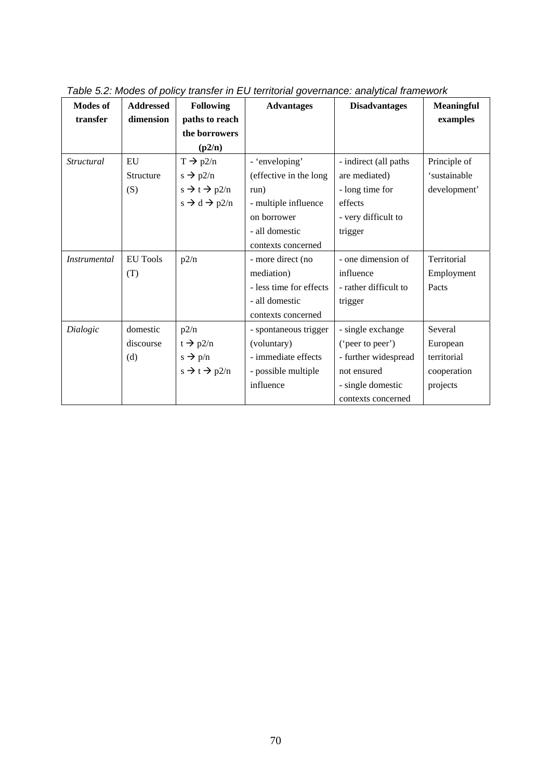| <b>Modes of</b>     | <b>Addressed</b> | <b>Following</b>                   | <b>Advantages</b>       | <b>Disadvantages</b>  | <b>Meaningful</b> |
|---------------------|------------------|------------------------------------|-------------------------|-----------------------|-------------------|
| transfer            | dimension        | paths to reach                     |                         |                       | examples          |
|                     |                  | the borrowers                      |                         |                       |                   |
|                     |                  | (p2/n)                             |                         |                       |                   |
| Structural          | EU               | $T \rightarrow p2/n$               | - 'enveloping'          | - indirect (all paths | Principle of      |
|                     | Structure        | $s \rightarrow p2/n$               | (effective in the long  | are mediated)         | 'sustainable      |
|                     | (S)              | $s \rightarrow t \rightarrow p2/n$ | run)                    | - long time for       | development'      |
|                     |                  | $s \rightarrow d \rightarrow p2/n$ | - multiple influence    | effects               |                   |
|                     |                  |                                    | on borrower             | - very difficult to   |                   |
|                     |                  |                                    | - all domestic          | trigger               |                   |
|                     |                  |                                    | contexts concerned      |                       |                   |
| <i>Instrumental</i> | <b>EU</b> Tools  | p2/n                               | - more direct (no       | - one dimension of    | Territorial       |
|                     | (T)              |                                    | mediation)              | influence             | Employment        |
|                     |                  |                                    | - less time for effects | - rather difficult to | Pacts             |
|                     |                  |                                    | - all domestic          | trigger               |                   |
|                     |                  |                                    | contexts concerned      |                       |                   |
| Dialogic            | domestic         | p2/n                               | - spontaneous trigger   | - single exchange     | Several           |
|                     | discourse        | $t \rightarrow p2/n$               | (voluntary)             | ('peer to peer')      | European          |
|                     | (d)              | $s \rightarrow p/n$                | - immediate effects     | - further widespread  | territorial       |
|                     |                  | $s \rightarrow t \rightarrow p2/n$ | - possible multiple     | not ensured           | cooperation       |
|                     |                  |                                    | influence               | - single domestic     | projects          |
|                     |                  |                                    |                         | contexts concerned    |                   |

*Table 5.2: Modes of policy transfer in EU territorial governance: analytical framework*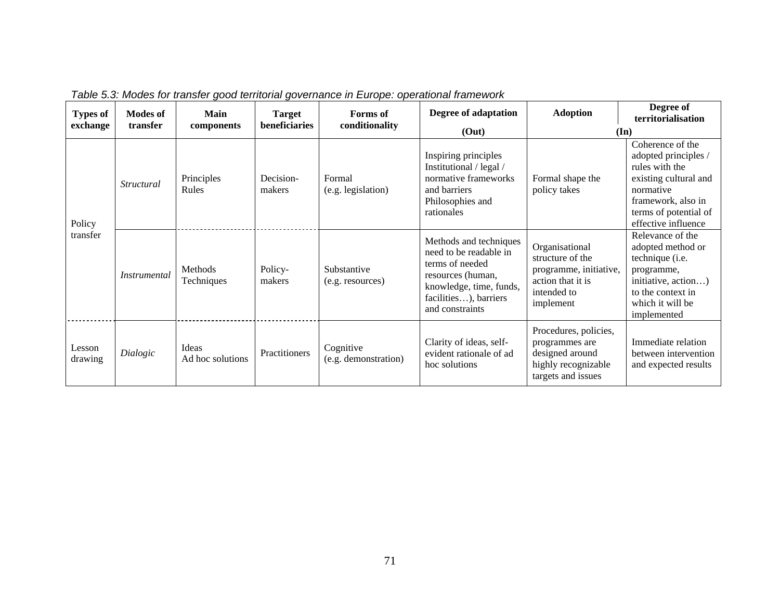| <b>Types of</b><br>exchange | <b>Modes of</b><br>transfer | Main<br>components        | <b>Target</b><br>beneficiaries | Forms of<br>conditionality        | Degree of adaptation<br>(Out)                                                                                                                                   | <b>Adoption</b>                                                                                               | Degree of<br>territorialisation<br>$(\mathbf{In})$                                                                                                                     |
|-----------------------------|-----------------------------|---------------------------|--------------------------------|-----------------------------------|-----------------------------------------------------------------------------------------------------------------------------------------------------------------|---------------------------------------------------------------------------------------------------------------|------------------------------------------------------------------------------------------------------------------------------------------------------------------------|
| Policy<br>transfer          | <i>Structural</i>           | Principles<br>Rules       | Decision-<br>makers            | Formal<br>(e.g. legislation)      | Inspiring principles<br>Institutional / legal /<br>normative frameworks<br>and barriers<br>Philosophies and<br>rationales                                       | Formal shape the<br>policy takes                                                                              | Coherence of the<br>adopted principles /<br>rules with the<br>existing cultural and<br>normative<br>framework, also in<br>terms of potential of<br>effective influence |
|                             | <i>Instrumental</i>         | Methods<br>Techniques     | Policy-<br>makers              | Substantive<br>(e.g. resources)   | Methods and techniques<br>need to be readable in<br>terms of needed<br>resources (human,<br>knowledge, time, funds,<br>facilities), barriers<br>and constraints | Organisational<br>structure of the<br>programme, initiative,<br>action that it is<br>intended to<br>implement | Relevance of the<br>adopted method or<br>technique (i.e.<br>programme,<br>initiative, action)<br>to the context in<br>which it will be<br>implemented                  |
| Lesson<br>drawing           | Dialogic                    | Ideas<br>Ad hoc solutions | Practitioners                  | Cognitive<br>(e.g. demonstration) | Clarity of ideas, self-<br>evident rationale of ad<br>hoc solutions                                                                                             | Procedures, policies,<br>programmes are<br>designed around<br>highly recognizable<br>targets and issues       | Immediate relation<br>between intervention<br>and expected results                                                                                                     |

*Table 5.3: Modes for transfer good territorial governance in Europe: operational framework*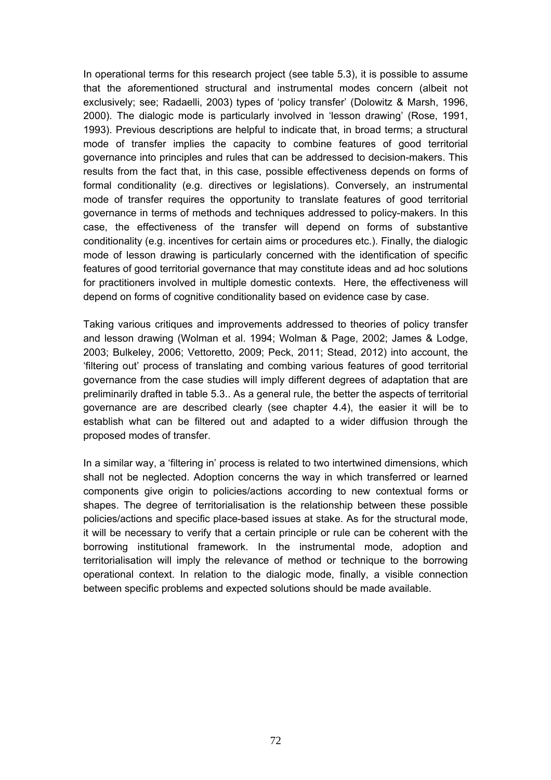In operational terms for this research project (see table 5.3), it is possible to assume that the aforementioned structural and instrumental modes concern (albeit not exclusively; see; Radaelli, 2003) types of 'policy transfer' (Dolowitz & Marsh, 1996, 2000). The dialogic mode is particularly involved in 'lesson drawing' (Rose, 1991, 1993). Previous descriptions are helpful to indicate that, in broad terms; a structural mode of transfer implies the capacity to combine features of good territorial governance into principles and rules that can be addressed to decision-makers. This results from the fact that, in this case, possible effectiveness depends on forms of formal conditionality (e.g. directives or legislations). Conversely, an instrumental mode of transfer requires the opportunity to translate features of good territorial governance in terms of methods and techniques addressed to policy-makers. In this case, the effectiveness of the transfer will depend on forms of substantive conditionality (e.g. incentives for certain aims or procedures etc.). Finally, the dialogic mode of lesson drawing is particularly concerned with the identification of specific features of good territorial governance that may constitute ideas and ad hoc solutions for practitioners involved in multiple domestic contexts. Here, the effectiveness will depend on forms of cognitive conditionality based on evidence case by case.

Taking various critiques and improvements addressed to theories of policy transfer and lesson drawing (Wolman et al. 1994; Wolman & Page, 2002; James & Lodge, 2003; Bulkeley, 2006; Vettoretto, 2009; Peck, 2011; Stead, 2012) into account, the 'filtering out' process of translating and combing various features of good territorial governance from the case studies will imply different degrees of adaptation that are preliminarily drafted in table 5.3.. As a general rule, the better the aspects of territorial governance are are described clearly (see chapter 4.4), the easier it will be to establish what can be filtered out and adapted to a wider diffusion through the proposed modes of transfer.

In a similar way, a 'filtering in' process is related to two intertwined dimensions, which shall not be neglected. Adoption concerns the way in which transferred or learned components give origin to policies/actions according to new contextual forms or shapes. The degree of territorialisation is the relationship between these possible policies/actions and specific place-based issues at stake. As for the structural mode, it will be necessary to verify that a certain principle or rule can be coherent with the borrowing institutional framework. In the instrumental mode, adoption and territorialisation will imply the relevance of method or technique to the borrowing operational context. In relation to the dialogic mode, finally, a visible connection between specific problems and expected solutions should be made available.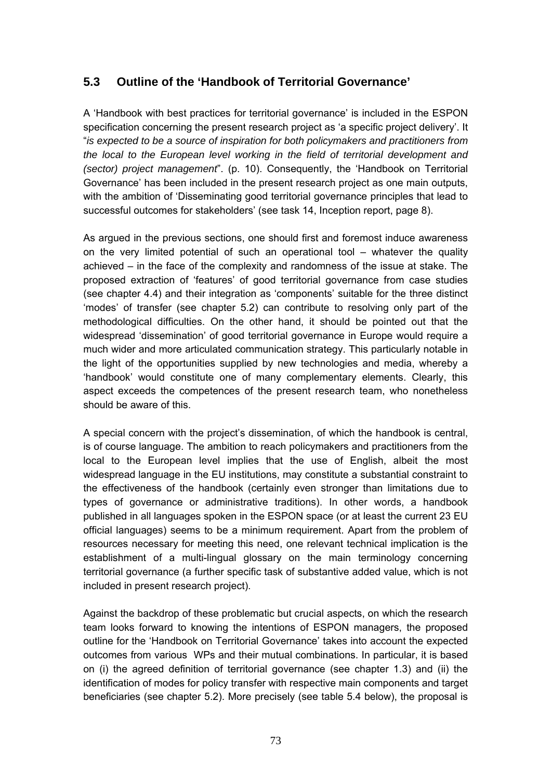# **5.3 Outline of the 'Handbook of Territorial Governance'**

A 'Handbook with best practices for territorial governance' is included in the ESPON specification concerning the present research project as 'a specific project delivery'. It "*is expected to be a source of inspiration for both policymakers and practitioners from the local to the European level working in the field of territorial development and (sector) project management*". (p. 10). Consequently, the 'Handbook on Territorial Governance' has been included in the present research project as one main outputs, with the ambition of 'Disseminating good territorial governance principles that lead to successful outcomes for stakeholders' (see task 14, Inception report, page 8).

As argued in the previous sections, one should first and foremost induce awareness on the very limited potential of such an operational tool – whatever the quality achieved – in the face of the complexity and randomness of the issue at stake. The proposed extraction of 'features' of good territorial governance from case studies (see chapter 4.4) and their integration as 'components' suitable for the three distinct 'modes' of transfer (see chapter 5.2) can contribute to resolving only part of the methodological difficulties. On the other hand, it should be pointed out that the widespread 'dissemination' of good territorial governance in Europe would require a much wider and more articulated communication strategy. This particularly notable in the light of the opportunities supplied by new technologies and media, whereby a 'handbook' would constitute one of many complementary elements. Clearly, this aspect exceeds the competences of the present research team, who nonetheless should be aware of this.

A special concern with the project's dissemination, of which the handbook is central, is of course language. The ambition to reach policymakers and practitioners from the local to the European level implies that the use of English, albeit the most widespread language in the EU institutions, may constitute a substantial constraint to the effectiveness of the handbook (certainly even stronger than limitations due to types of governance or administrative traditions). In other words, a handbook published in all languages spoken in the ESPON space (or at least the current 23 EU official languages) seems to be a minimum requirement. Apart from the problem of resources necessary for meeting this need, one relevant technical implication is the establishment of a multi-lingual glossary on the main terminology concerning territorial governance (a further specific task of substantive added value, which is not included in present research project).

Against the backdrop of these problematic but crucial aspects, on which the research team looks forward to knowing the intentions of ESPON managers, the proposed outline for the 'Handbook on Territorial Governance' takes into account the expected outcomes from various WPs and their mutual combinations. In particular, it is based on (i) the agreed definition of territorial governance (see chapter 1.3) and (ii) the identification of modes for policy transfer with respective main components and target beneficiaries (see chapter 5.2). More precisely (see table 5.4 below), the proposal is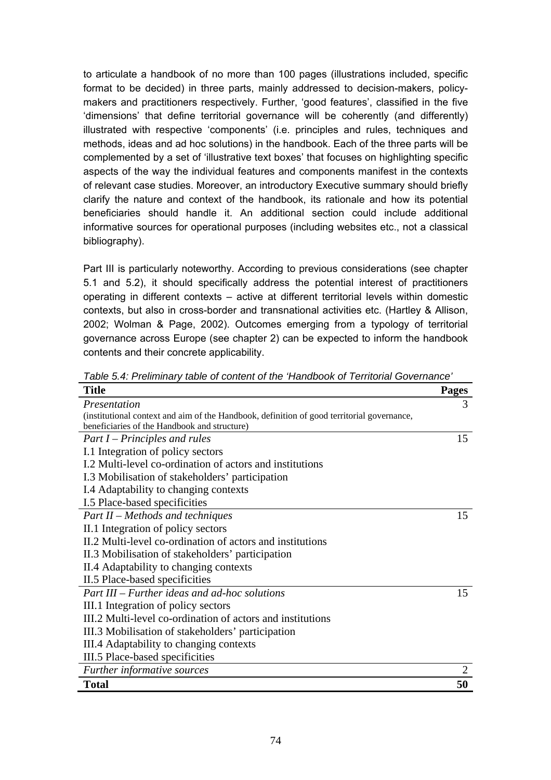to articulate a handbook of no more than 100 pages (illustrations included, specific format to be decided) in three parts, mainly addressed to decision-makers, policymakers and practitioners respectively. Further, 'good features', classified in the five 'dimensions' that define territorial governance will be coherently (and differently) illustrated with respective 'components' (i.e. principles and rules, techniques and methods, ideas and ad hoc solutions) in the handbook. Each of the three parts will be complemented by a set of 'illustrative text boxes' that focuses on highlighting specific aspects of the way the individual features and components manifest in the contexts of relevant case studies. Moreover, an introductory Executive summary should briefly clarify the nature and context of the handbook, its rationale and how its potential beneficiaries should handle it. An additional section could include additional informative sources for operational purposes (including websites etc., not a classical bibliography).

Part III is particularly noteworthy. According to previous considerations (see chapter 5.1 and 5.2), it should specifically address the potential interest of practitioners operating in different contexts – active at different territorial levels within domestic contexts, but also in cross-border and transnational activities etc. (Hartley & Allison, 2002; Wolman & Page, 2002). Outcomes emerging from a typology of territorial governance across Europe (see chapter 2) can be expected to inform the handbook contents and their concrete applicability.

| <b>Title</b>                                                                               | <b>Pages</b> |
|--------------------------------------------------------------------------------------------|--------------|
| Presentation                                                                               | 3            |
| (institutional context and aim of the Handbook, definition of good territorial governance, |              |
| beneficiaries of the Handbook and structure)                                               |              |
| $Part I - Principles and rules$                                                            | 15           |
| I.1 Integration of policy sectors                                                          |              |
| I.2 Multi-level co-ordination of actors and institutions                                   |              |
| I.3 Mobilisation of stakeholders' participation                                            |              |
| I.4 Adaptability to changing contexts                                                      |              |
| I.5 Place-based specificities                                                              |              |
| Part II – Methods and techniques                                                           | 15           |
| II.1 Integration of policy sectors                                                         |              |
| II.2 Multi-level co-ordination of actors and institutions                                  |              |
| II.3 Mobilisation of stakeholders' participation                                           |              |
| II.4 Adaptability to changing contexts                                                     |              |
| II.5 Place-based specificities                                                             |              |
| $Part III - Further ideas and ad-hoc solutions$                                            | 15           |
| III.1 Integration of policy sectors                                                        |              |
| III.2 Multi-level co-ordination of actors and institutions                                 |              |
| III.3 Mobilisation of stakeholders' participation                                          |              |
| III.4 Adaptability to changing contexts                                                    |              |
| III.5 Place-based specificities                                                            |              |
| Further informative sources                                                                |              |
| <b>Total</b>                                                                               | 50           |

*Table 5.4: Preliminary table of content of the 'Handbook of Territorial Governance'*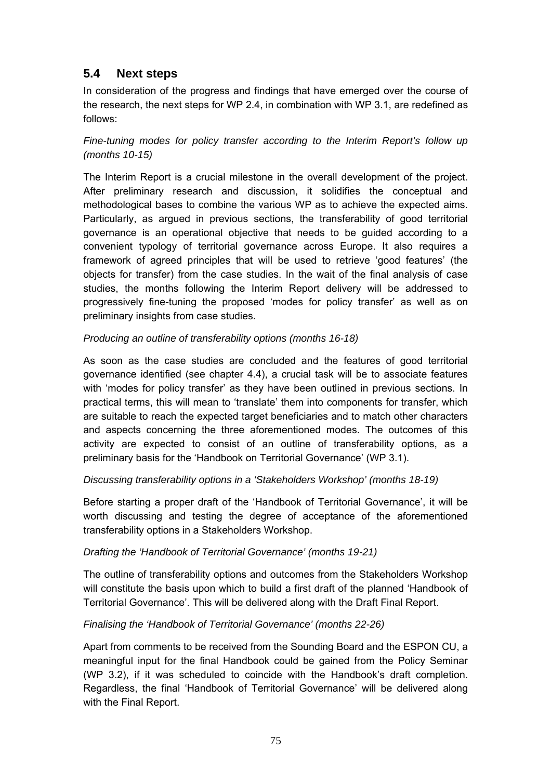# **5.4 Next steps**

In consideration of the progress and findings that have emerged over the course of the research, the next steps for WP 2.4, in combination with WP 3.1, are redefined as follows:

*Fine-tuning modes for policy transfer according to the Interim Report's follow up (months 10-15)* 

The Interim Report is a crucial milestone in the overall development of the project. After preliminary research and discussion, it solidifies the conceptual and methodological bases to combine the various WP as to achieve the expected aims. Particularly, as argued in previous sections, the transferability of good territorial governance is an operational objective that needs to be guided according to a convenient typology of territorial governance across Europe. It also requires a framework of agreed principles that will be used to retrieve 'good features' (the objects for transfer) from the case studies. In the wait of the final analysis of case studies, the months following the Interim Report delivery will be addressed to progressively fine-tuning the proposed 'modes for policy transfer' as well as on preliminary insights from case studies.

### *Producing an outline of transferability options (months 16-18)*

As soon as the case studies are concluded and the features of good territorial governance identified (see chapter 4.4), a crucial task will be to associate features with 'modes for policy transfer' as they have been outlined in previous sections. In practical terms, this will mean to 'translate' them into components for transfer, which are suitable to reach the expected target beneficiaries and to match other characters and aspects concerning the three aforementioned modes. The outcomes of this activity are expected to consist of an outline of transferability options, as a preliminary basis for the 'Handbook on Territorial Governance' (WP 3.1).

## *Discussing transferability options in a 'Stakeholders Workshop' (months 18-19)*

Before starting a proper draft of the 'Handbook of Territorial Governance', it will be worth discussing and testing the degree of acceptance of the aforementioned transferability options in a Stakeholders Workshop.

### *Drafting the 'Handbook of Territorial Governance' (months 19-21)*

The outline of transferability options and outcomes from the Stakeholders Workshop will constitute the basis upon which to build a first draft of the planned 'Handbook of Territorial Governance'. This will be delivered along with the Draft Final Report.

### *Finalising the 'Handbook of Territorial Governance' (months 22-26)*

Apart from comments to be received from the Sounding Board and the ESPON CU, a meaningful input for the final Handbook could be gained from the Policy Seminar (WP 3.2), if it was scheduled to coincide with the Handbook's draft completion. Regardless, the final 'Handbook of Territorial Governance' will be delivered along with the Final Report.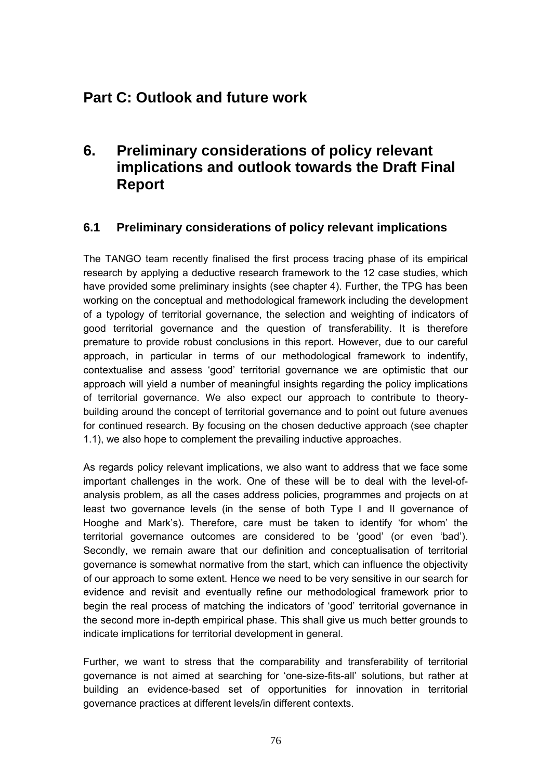# **Part C: Outlook and future work**

# **6. Preliminary considerations of policy relevant implications and outlook towards the Draft Final Report**

# **6.1 Preliminary considerations of policy relevant implications**

The TANGO team recently finalised the first process tracing phase of its empirical research by applying a deductive research framework to the 12 case studies, which have provided some preliminary insights (see chapter 4). Further, the TPG has been working on the conceptual and methodological framework including the development of a typology of territorial governance, the selection and weighting of indicators of good territorial governance and the question of transferability. It is therefore premature to provide robust conclusions in this report. However, due to our careful approach, in particular in terms of our methodological framework to indentify, contextualise and assess 'good' territorial governance we are optimistic that our approach will yield a number of meaningful insights regarding the policy implications of territorial governance. We also expect our approach to contribute to theorybuilding around the concept of territorial governance and to point out future avenues for continued research. By focusing on the chosen deductive approach (see chapter 1.1), we also hope to complement the prevailing inductive approaches.

As regards policy relevant implications, we also want to address that we face some important challenges in the work. One of these will be to deal with the level-ofanalysis problem, as all the cases address policies, programmes and projects on at least two governance levels (in the sense of both Type I and II governance of Hooghe and Mark's). Therefore, care must be taken to identify 'for whom' the territorial governance outcomes are considered to be 'good' (or even 'bad'). Secondly, we remain aware that our definition and conceptualisation of territorial governance is somewhat normative from the start, which can influence the objectivity of our approach to some extent. Hence we need to be very sensitive in our search for evidence and revisit and eventually refine our methodological framework prior to begin the real process of matching the indicators of 'good' territorial governance in the second more in-depth empirical phase. This shall give us much better grounds to indicate implications for territorial development in general.

Further, we want to stress that the comparability and transferability of territorial governance is not aimed at searching for 'one-size-fits-all' solutions, but rather at building an evidence-based set of opportunities for innovation in territorial governance practices at different levels/in different contexts.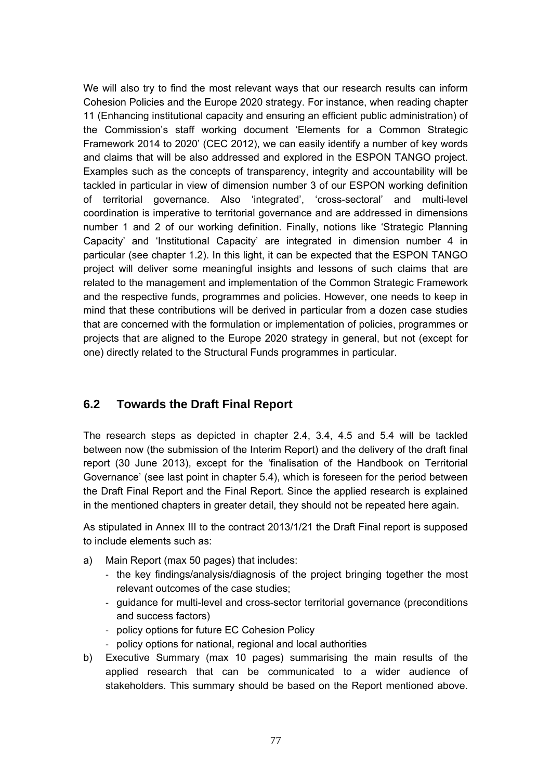We will also try to find the most relevant ways that our research results can inform Cohesion Policies and the Europe 2020 strategy. For instance, when reading chapter 11 (Enhancing institutional capacity and ensuring an efficient public administration) of the Commission's staff working document 'Elements for a Common Strategic Framework 2014 to 2020' (CEC 2012), we can easily identify a number of key words and claims that will be also addressed and explored in the ESPON TANGO project. Examples such as the concepts of transparency, integrity and accountability will be tackled in particular in view of dimension number 3 of our ESPON working definition of territorial governance. Also 'integrated', 'cross-sectoral' and multi-level coordination is imperative to territorial governance and are addressed in dimensions number 1 and 2 of our working definition. Finally, notions like 'Strategic Planning Capacity' and 'Institutional Capacity' are integrated in dimension number 4 in particular (see chapter 1.2). In this light, it can be expected that the ESPON TANGO project will deliver some meaningful insights and lessons of such claims that are related to the management and implementation of the Common Strategic Framework and the respective funds, programmes and policies. However, one needs to keep in mind that these contributions will be derived in particular from a dozen case studies that are concerned with the formulation or implementation of policies, programmes or projects that are aligned to the Europe 2020 strategy in general, but not (except for one) directly related to the Structural Funds programmes in particular.

## **6.2 Towards the Draft Final Report**

The research steps as depicted in chapter 2.4, 3.4, 4.5 and 5.4 will be tackled between now (the submission of the Interim Report) and the delivery of the draft final report (30 June 2013), except for the 'finalisation of the Handbook on Territorial Governance' (see last point in chapter 5.4), which is foreseen for the period between the Draft Final Report and the Final Report. Since the applied research is explained in the mentioned chapters in greater detail, they should not be repeated here again.

As stipulated in Annex III to the contract 2013/1/21 the Draft Final report is supposed to include elements such as:

- a) Main Report (max 50 pages) that includes:
	- ‐ the key findings/analysis/diagnosis of the project bringing together the most relevant outcomes of the case studies;
	- ‐ guidance for multi-level and cross-sector territorial governance (preconditions and success factors)
	- ‐ policy options for future EC Cohesion Policy
	- ‐ policy options for national, regional and local authorities
- b) Executive Summary (max 10 pages) summarising the main results of the applied research that can be communicated to a wider audience of stakeholders. This summary should be based on the Report mentioned above.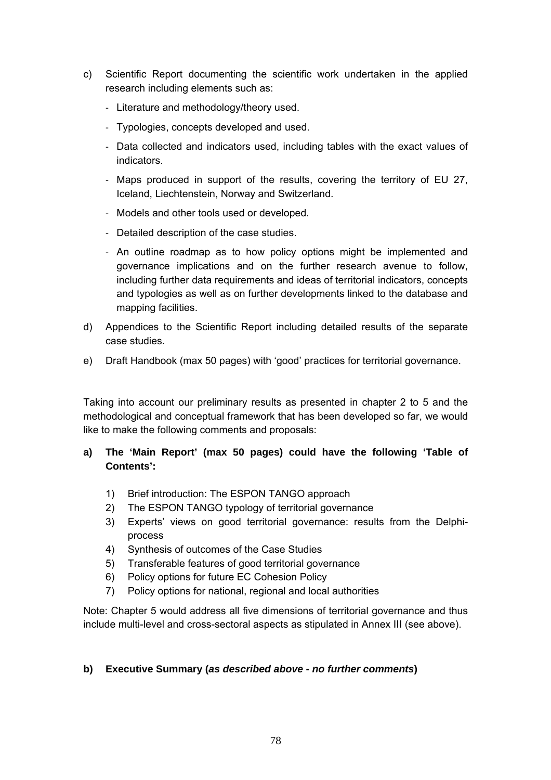- c) Scientific Report documenting the scientific work undertaken in the applied research including elements such as:
	- ‐ Literature and methodology/theory used.
	- ‐ Typologies, concepts developed and used.
	- ‐ Data collected and indicators used, including tables with the exact values of indicators.
	- ‐ Maps produced in support of the results, covering the territory of EU 27, Iceland, Liechtenstein, Norway and Switzerland.
	- ‐ Models and other tools used or developed.
	- ‐ Detailed description of the case studies.
	- ‐ An outline roadmap as to how policy options might be implemented and governance implications and on the further research avenue to follow, including further data requirements and ideas of territorial indicators, concepts and typologies as well as on further developments linked to the database and mapping facilities.
- d) Appendices to the Scientific Report including detailed results of the separate case studies.
- e) Draft Handbook (max 50 pages) with 'good' practices for territorial governance.

Taking into account our preliminary results as presented in chapter 2 to 5 and the methodological and conceptual framework that has been developed so far, we would like to make the following comments and proposals:

## **a) The 'Main Report' (max 50 pages) could have the following 'Table of Contents':**

- 1) Brief introduction: The ESPON TANGO approach
- 2) The ESPON TANGO typology of territorial governance
- 3) Experts' views on good territorial governance: results from the Delphiprocess
- 4) Synthesis of outcomes of the Case Studies
- 5) Transferable features of good territorial governance
- 6) Policy options for future EC Cohesion Policy
- 7) Policy options for national, regional and local authorities

Note: Chapter 5 would address all five dimensions of territorial governance and thus include multi-level and cross-sectoral aspects as stipulated in Annex III (see above).

### **b) Executive Summary (***as described above* **-** *no further comments***)**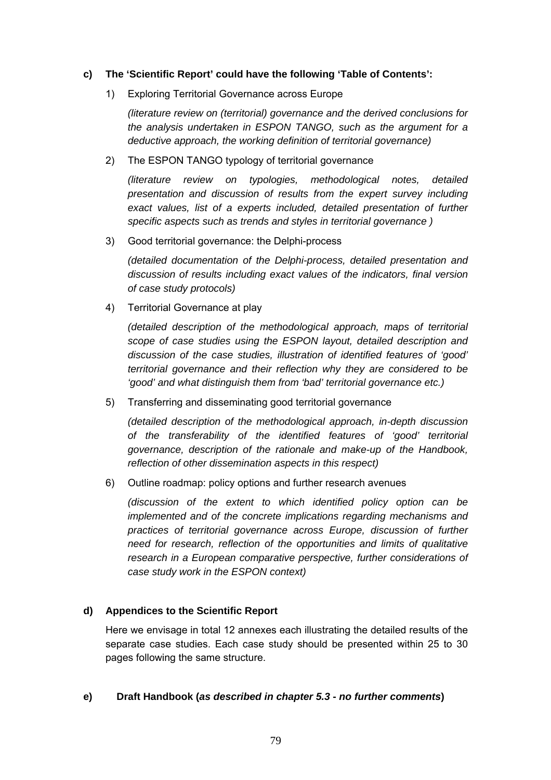### **c) The 'Scientific Report' could have the following 'Table of Contents':**

1) Exploring Territorial Governance across Europe

*(literature review on (territorial) governance and the derived conclusions for the analysis undertaken in ESPON TANGO, such as the argument for a deductive approach, the working definition of territorial governance)* 

2) The ESPON TANGO typology of territorial governance

*(literature review on typologies, methodological notes, detailed presentation and discussion of results from the expert survey including*  exact values, list of a experts included, detailed presentation of further *specific aspects such as trends and styles in territorial governance )* 

3) Good territorial governance: the Delphi-process

*(detailed documentation of the Delphi-process, detailed presentation and discussion of results including exact values of the indicators, final version of case study protocols)* 

4) Territorial Governance at play

*(detailed description of the methodological approach, maps of territorial scope of case studies using the ESPON layout, detailed description and discussion of the case studies, illustration of identified features of 'good' territorial governance and their reflection why they are considered to be 'good' and what distinguish them from 'bad' territorial governance etc.)* 

5) Transferring and disseminating good territorial governance

*(detailed description of the methodological approach, in-depth discussion of the transferability of the identified features of 'good' territorial governance, description of the rationale and make-up of the Handbook, reflection of other dissemination aspects in this respect)* 

6) Outline roadmap: policy options and further research avenues

*(discussion of the extent to which identified policy option can be implemented and of the concrete implications regarding mechanisms and practices of territorial governance across Europe, discussion of further need for research, reflection of the opportunities and limits of qualitative research in a European comparative perspective, further considerations of case study work in the ESPON context)* 

## **d) Appendices to the Scientific Report**

Here we envisage in total 12 annexes each illustrating the detailed results of the separate case studies. Each case study should be presented within 25 to 30 pages following the same structure.

### **e) Draft Handbook (***as described in chapter 5.3* **-** *no further comments***)**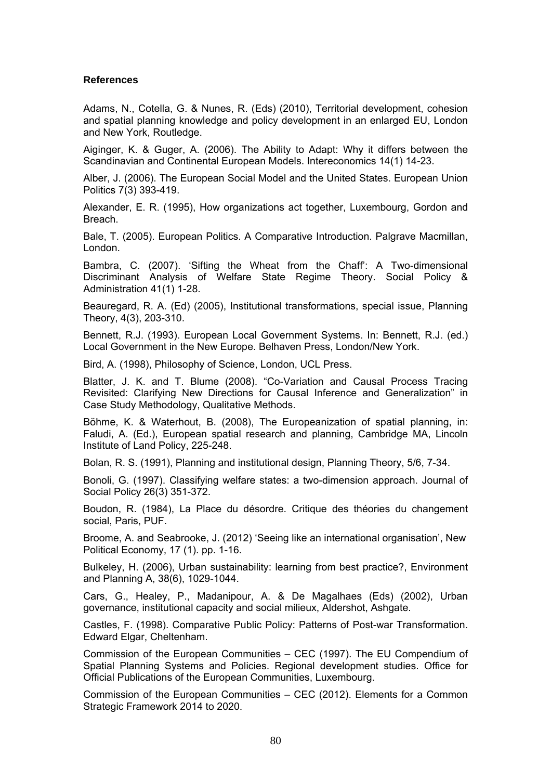#### **References**

Adams, N., Cotella, G. & Nunes, R. (Eds) (2010), Territorial development, cohesion and spatial planning knowledge and policy development in an enlarged EU, London and New York, Routledge.

Aiginger, K. & Guger, A. (2006). The Ability to Adapt: Why it differs between the Scandinavian and Continental European Models. Intereconomics 14(1) 14-23.

Alber, J. (2006). The European Social Model and the United States. European Union Politics 7(3) 393-419.

Alexander, E. R. (1995), How organizations act together, Luxembourg, Gordon and Breach.

Bale, T. (2005). European Politics. A Comparative Introduction. Palgrave Macmillan, London.

Bambra, C. (2007). 'Sifting the Wheat from the Chaff': A Two-dimensional Discriminant Analysis of Welfare State Regime Theory. Social Policy & Administration 41(1) 1-28.

Beauregard, R. A. (Ed) (2005), Institutional transformations, special issue, Planning Theory, 4(3), 203-310.

Bennett, R.J. (1993). European Local Government Systems. In: Bennett, R.J. (ed.) Local Government in the New Europe. Belhaven Press, London/New York.

Bird, A. (1998), Philosophy of Science, London, UCL Press.

Blatter, J. K. and T. Blume (2008). "Co-Variation and Causal Process Tracing Revisited: Clarifying New Directions for Causal Inference and Generalization" in Case Study Methodology, Qualitative Methods.

Böhme, K. & Waterhout, B. (2008), The Europeanization of spatial planning, in: Faludi, A. (Ed.), European spatial research and planning, Cambridge MA, Lincoln Institute of Land Policy, 225-248.

Bolan, R. S. (1991), Planning and institutional design, Planning Theory, 5/6, 7-34.

Bonoli, G. (1997). Classifying welfare states: a two-dimension approach. Journal of Social Policy 26(3) 351-372.

Boudon, R. (1984), La Place du désordre. Critique des théories du changement social, Paris, PUF.

Broome, A. and Seabrooke, J. (2012) 'Seeing like an international organisation', New Political Economy, 17 (1). pp. 1-16.

Bulkeley, H. (2006), Urban sustainability: learning from best practice?, Environment and Planning A, 38(6), 1029-1044.

Cars, G., Healey, P., Madanipour, A. & De Magalhaes (Eds) (2002), Urban governance, institutional capacity and social milieux, Aldershot, Ashgate.

Castles, F. (1998). Comparative Public Policy: Patterns of Post-war Transformation. Edward Elgar, Cheltenham.

Commission of the European Communities – CEC (1997). The EU Compendium of Spatial Planning Systems and Policies. Regional development studies. Office for Official Publications of the European Communities, Luxembourg.

Commission of the European Communities – CEC (2012). Elements for a Common Strategic Framework 2014 to 2020.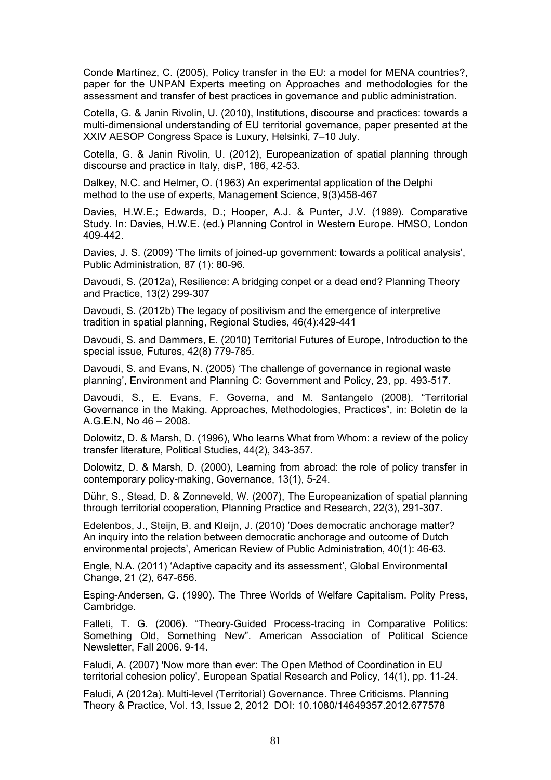Conde Martínez, C. (2005), Policy transfer in the EU: a model for MENA countries?, paper for the UNPAN Experts meeting on Approaches and methodologies for the assessment and transfer of best practices in governance and public administration.

Cotella, G. & Janin Rivolin, U. (2010), Institutions, discourse and practices: towards a multi-dimensional understanding of EU territorial governance, paper presented at the XXIV AESOP Congress Space is Luxury, Helsinki, 7–10 July.

Cotella, G. & Janin Rivolin, U. (2012), Europeanization of spatial planning through discourse and practice in Italy, disP, 186, 42-53.

Dalkey, N.C. and Helmer, O. (1963) An experimental application of the Delphi method to the use of experts, Management Science, 9(3)458-467

Davies, H.W.E.; Edwards, D.; Hooper, A.J. & Punter, J.V. (1989). Comparative Study. In: Davies, H.W.E. (ed.) Planning Control in Western Europe. HMSO, London 409-442.

Davies, J. S. (2009) 'The limits of joined-up government: towards a political analysis', Public Administration, 87 (1): 80-96.

Davoudi, S. (2012a), Resilience: A bridging conpet or a dead end? Planning Theory and Practice, 13(2) 299-307

Davoudi, S. (2012b) The legacy of positivism and the emergence of interpretive tradition in spatial planning, Regional Studies, 46(4):429-441

Davoudi, S. and Dammers, E. (2010) Territorial Futures of Europe, Introduction to the special issue, Futures, 42(8) 779-785.

Davoudi, S. and Evans, N. (2005) 'The challenge of governance in regional waste planning', Environment and Planning C: Government and Policy, 23, pp. 493-517.

Davoudi, S., E. Evans, F. Governa, and M. Santangelo (2008). "Territorial Governance in the Making. Approaches, Methodologies, Practices", in: Boletin de la A.G.E.N, No 46 – 2008.

Dolowitz, D. & Marsh, D. (1996), Who learns What from Whom: a review of the policy transfer literature, Political Studies, 44(2), 343-357.

Dolowitz, D. & Marsh, D. (2000), Learning from abroad: the role of policy transfer in contemporary policy-making, Governance, 13(1), 5-24.

Dühr, S., Stead, D. & Zonneveld, W. (2007), The Europeanization of spatial planning through territorial cooperation, Planning Practice and Research, 22(3), 291-307.

Edelenbos, J., Steijn, B. and Kleijn, J. (2010) 'Does democratic anchorage matter? An inquiry into the relation between democratic anchorage and outcome of Dutch environmental projects', American Review of Public Administration, 40(1): 46-63.

Engle, N.A. (2011) 'Adaptive capacity and its assessment', Global Environmental Change, 21 (2), 647-656.

Esping-Andersen, G. (1990). The Three Worlds of Welfare Capitalism. Polity Press, Cambridge.

Falleti, T. G. (2006). "Theory-Guided Process-tracing in Comparative Politics: Something Old, Something New". American Association of Political Science Newsletter, Fall 2006. 9-14.

Faludi, A. (2007) 'Now more than ever: The Open Method of Coordination in EU territorial cohesion policy', European Spatial Research and Policy, 14(1), pp. 11-24.

Faludi, A (2012a). Multi-level (Territorial) Governance. Three Criticisms. Planning Theory & Practice, Vol. 13, Issue 2, 2012 DOI: 10.1080/14649357.2012.677578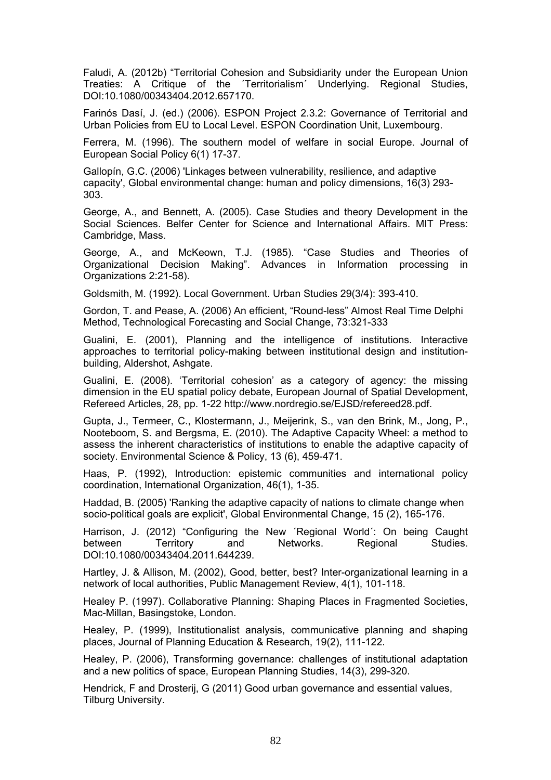Faludi, A. (2012b) "Territorial Cohesion and Subsidiarity under the European Union Treaties: A Critique of the ´Territorialism´ Underlying. Regional Studies, DOI:10.1080/00343404.2012.657170.

Farinós Dasí, J. (ed.) (2006). ESPON Project 2.3.2: Governance of Territorial and Urban Policies from EU to Local Level. ESPON Coordination Unit, Luxembourg.

Ferrera, M. (1996). The southern model of welfare in social Europe. Journal of European Social Policy 6(1) 17-37.

Gallopín, G.C. (2006) 'Linkages between vulnerability, resilience, and adaptive capacity', Global environmental change: human and policy dimensions, 16(3) 293- 303.

George, A., and Bennett, A. (2005). Case Studies and theory Development in the Social Sciences. Belfer Center for Science and International Affairs. MIT Press: Cambridge, Mass.

George, A., and McKeown, T.J. (1985). "Case Studies and Theories of Organizational Decision Making". Advances in Information processing in Organizations 2:21-58).

Goldsmith, M. (1992). Local Government. Urban Studies 29(3/4): 393-410.

Gordon, T. and Pease, A. (2006) An efficient, "Round-less" Almost Real Time Delphi Method, Technological Forecasting and Social Change, 73:321-333

Gualini, E. (2001), Planning and the intelligence of institutions. Interactive approaches to territorial policy-making between institutional design and institutionbuilding, Aldershot, Ashgate.

Gualini, E. (2008). 'Territorial cohesion' as a category of agency: the missing dimension in the EU spatial policy debate, European Journal of Spatial Development, Refereed Articles, 28, pp. 1-22 http://www.nordregio.se/EJSD/refereed28.pdf.

Gupta, J., Termeer, C., Klostermann, J., Meijerink, S., van den Brink, M., Jong, P., Nooteboom, S. and Bergsma, E. (2010). The Adaptive Capacity Wheel: a method to assess the inherent characteristics of institutions to enable the adaptive capacity of society. Environmental Science & Policy, 13 (6), 459-471.

Haas, P. (1992), Introduction: epistemic communities and international policy coordination, International Organization, 46(1), 1-35.

Haddad, B. (2005) 'Ranking the adaptive capacity of nations to climate change when socio-political goals are explicit', Global Environmental Change, 15 (2), 165-176.

Harrison, J. (2012) "Configuring the New ´Regional World´: On being Caught between Territory and Networks. Regional Studies. DOI:10.1080/00343404.2011.644239.

Hartley, J. & Allison, M. (2002), Good, better, best? Inter-organizational learning in a network of local authorities, Public Management Review, 4(1), 101-118.

Healey P. (1997). Collaborative Planning: Shaping Places in Fragmented Societies, Mac-Millan, Basingstoke, London.

Healey, P. (1999), Institutionalist analysis, communicative planning and shaping places, Journal of Planning Education & Research, 19(2), 111-122.

Healey, P. (2006), Transforming governance: challenges of institutional adaptation and a new politics of space, European Planning Studies, 14(3), 299-320.

Hendrick, F and Drosterij, G (2011) Good urban governance and essential values, Tilburg University.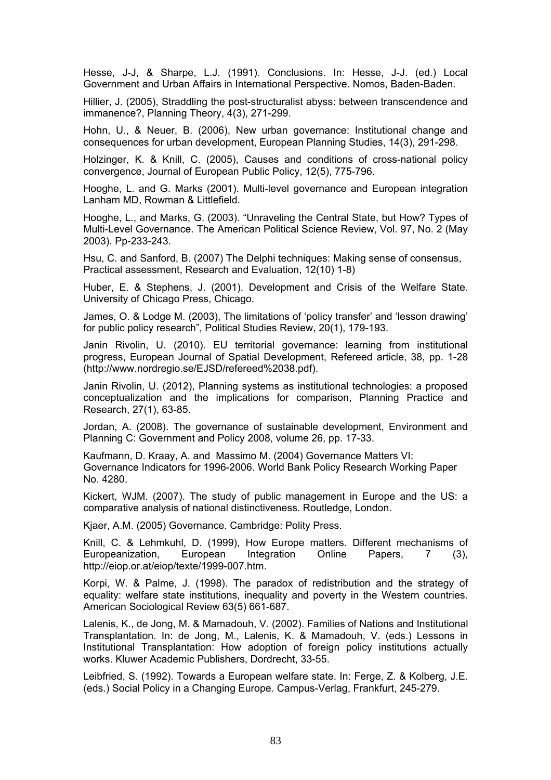Hesse, J-J, & Sharpe, L.J. (1991). Conclusions. In: Hesse, J-J. (ed.) Local Government and Urban Affairs in International Perspective. Nomos, Baden-Baden.

Hillier, J. (2005), Straddling the post-structuralist abyss: between transcendence and immanence?, Planning Theory, 4(3), 271-299.

Hohn, U., & Neuer, B. (2006), New urban governance: Institutional change and consequences for urban development, European Planning Studies, 14(3), 291-298.

Holzinger, K. & Knill, C. (2005), Causes and conditions of cross-national policy convergence, Journal of European Public Policy, 12(5), 775-796.

Hooghe, L. and G. Marks (2001). Multi-level governance and European integration Lanham MD, Rowman & Littlefield.

Hooghe, L., and Marks, G. (2003). "Unraveling the Central State, but How? Types of Multi-Level Governance. The American Political Science Review, Vol. 97, No. 2 (May 2003). Pp-233-243.

Hsu, C. and Sanford, B. (2007) The Delphi techniques: Making sense of consensus, Practical assessment, Research and Evaluation, 12(10) 1-8)

Huber, E. & Stephens, J. (2001). Development and Crisis of the Welfare State. University of Chicago Press, Chicago.

James, O. & Lodge M. (2003), The limitations of 'policy transfer' and 'lesson drawing' for public policy research", Political Studies Review, 20(1), 179-193.

Janin Rivolin, U. (2010). EU territorial governance: learning from institutional progress, European Journal of Spatial Development, Refereed article, 38, pp. 1-28 (http://www.nordregio.se/EJSD/refereed%2038.pdf).

Janin Rivolin, U. (2012), Planning systems as institutional technologies: a proposed conceptualization and the implications for comparison, Planning Practice and Research, 27(1), 63-85.

Jordan, A. (2008). The governance of sustainable development, Environment and Planning C: Government and Policy 2008, volume 26, pp. 17-33.

Kaufmann, D. Kraay, A. and Massimo M. (2004) Governance Matters VI: Governance Indicators for 1996-2006. World Bank Policy Research Working Paper No. 4280.

Kickert, WJM. (2007). The study of public management in Europe and the US: a comparative analysis of national distinctiveness. Routledge, London.

Kjaer, A.M. (2005) Governance. Cambridge: Polity Press.

Knill, C. & Lehmkuhl, D. (1999), How Europe matters. Different mechanisms of Europeanization, European Integration Online Papers, 7 (3), http://eiop.or.at/eiop/texte/1999-007.htm.

Korpi, W. & Palme, J. (1998). The paradox of redistribution and the strategy of equality: welfare state institutions, inequality and poverty in the Western countries. American Sociological Review 63(5) 661-687.

Lalenis, K., de Jong, M. & Mamadouh, V. (2002). Families of Nations and Institutional Transplantation. In: de Jong, M., Lalenis, K. & Mamadouh, V. (eds.) Lessons in Institutional Transplantation: How adoption of foreign policy institutions actually works. Kluwer Academic Publishers, Dordrecht, 33-55.

Leibfried, S. (1992). Towards a European welfare state. In: Ferge, Z. & Kolberg, J.E. (eds.) Social Policy in a Changing Europe. Campus-Verlag, Frankfurt, 245-279.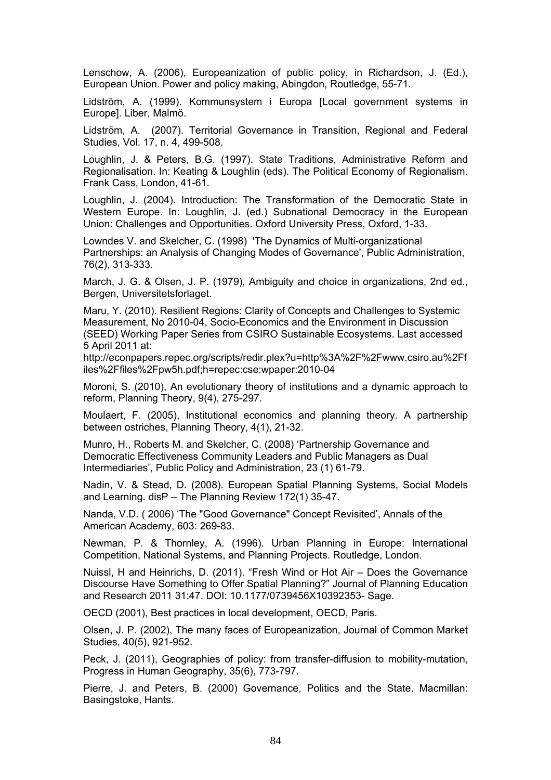Lenschow, A. (2006), Europeanization of public policy, in Richardson, J. (Ed.), European Union. Power and policy making, Abingdon, Routledge, 55-71.

Lidström, A. (1999). Kommunsystem i Europa [Local government systems in Europe]. Liber, Malmö.

Lidström, A. (2007). Territorial Governance in Transition, Regional and Federal Studies, Vol. 17, n. 4, 499-508.

Loughlin, J. & Peters, B.G. (1997). State Traditions, Administrative Reform and Regionalisation. In: Keating & Loughlin (eds). The Political Economy of Regionalism. Frank Cass, London, 41-61.

Loughlin, J. (2004). Introduction: The Transformation of the Democratic State in Western Europe. In: Loughlin, J. (ed.) Subnational Democracy in the European Union: Challenges and Opportunities. Oxford University Press, Oxford, 1-33.

Lowndes V. and Skelcher, C. (1998) 'The Dynamics of Multi-organizational Partnerships: an Analysis of Changing Modes of Governance', Public Administration, 76(2), 313-333.

March, J. G. & Olsen, J. P. (1979), Ambiguity and choice in organizations, 2nd ed., Bergen, Universitetsforlaget.

Maru, Y. (2010). Resilient Regions: Clarity of Concepts and Challenges to Systemic Measurement, No 2010-04, Socio-Economics and the Environment in Discussion (SEED) Working Paper Series from CSIRO Sustainable Ecosystems. Last accessed 5 April 2011 at:

http://econpapers.repec.org/scripts/redir.plex?u=http%3A%2F%2Fwww.csiro.au%2Ff iles%2Ffiles%2Fpw5h.pdf;h=repec:cse:wpaper:2010-04

Moroni, S. (2010), An evolutionary theory of institutions and a dynamic approach to reform, Planning Theory, 9(4), 275-297.

Moulaert, F. (2005), Institutional economics and planning theory. A partnership between ostriches, Planning Theory, 4(1), 21-32.

Munro, H., Roberts M. and Skelcher, C. (2008) 'Partnership Governance and Democratic Effectiveness Community Leaders and Public Managers as Dual Intermediaries', Public Policy and Administration, 23 (1) 61-79.

Nadin, V. & Stead, D. (2008). European Spatial Planning Systems, Social Models and Learning. disP – The Planning Review 172(1) 35-47.

Nanda, V.D. ( 2006) 'The "Good Governance" Concept Revisited', Annals of the American Academy, 603: 269-83.

Newman, P. & Thornley, A. (1996). Urban Planning in Europe: International Competition, National Systems, and Planning Projects. Routledge, London.

Nuissl, H and Heinrichs, D. (2011). "Fresh Wind or Hot Air – Does the Governance Discourse Have Something to Offer Spatial Planning?" Journal of Planning Education and Research 2011 31:47. DOI: 10.1177/0739456X10392353- Sage.

OECD (2001), Best practices in local development, OECD, Paris.

Olsen, J. P. (2002), The many faces of Europeanization, Journal of Common Market Studies, 40(5), 921-952.

Peck, J. (2011), Geographies of policy: from transfer-diffusion to mobility-mutation, Progress in Human Geography, 35(6), 773-797.

Pierre, J. and Peters, B. (2000) Governance, Politics and the State. Macmillan: Basingstoke, Hants.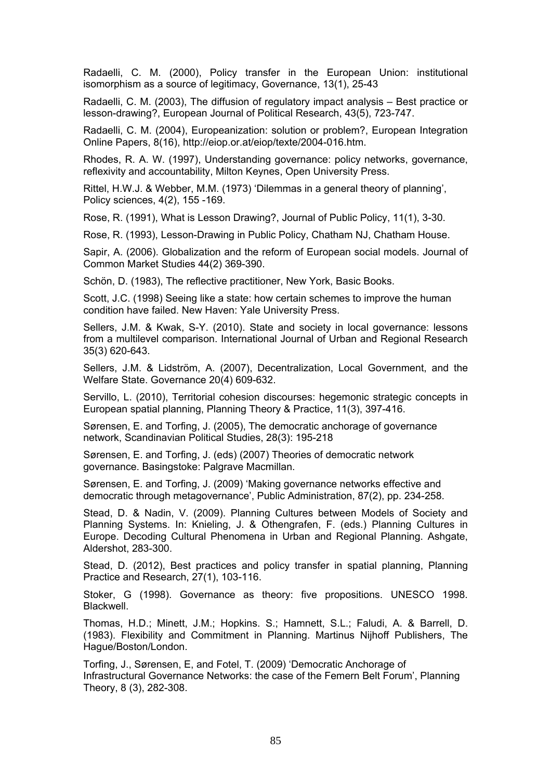Radaelli, C. M. (2000), Policy transfer in the European Union: institutional isomorphism as a source of legitimacy, Governance, 13(1), 25-43

Radaelli, C. M. (2003), The diffusion of regulatory impact analysis – Best practice or lesson-drawing?, European Journal of Political Research, 43(5), 723-747.

Radaelli, C. M. (2004), Europeanization: solution or problem?, European Integration Online Papers, 8(16), http://eiop.or.at/eiop/texte/2004-016.htm.

Rhodes, R. A. W. (1997), Understanding governance: policy networks, governance, reflexivity and accountability, Milton Keynes, Open University Press.

Rittel, H.W.J. & Webber, M.M. (1973) 'Dilemmas in a general theory of planning', Policy sciences, 4(2), 155 -169.

Rose, R. (1991), What is Lesson Drawing?, Journal of Public Policy, 11(1), 3-30.

Rose, R. (1993), Lesson-Drawing in Public Policy, Chatham NJ, Chatham House.

Sapir, A. (2006). Globalization and the reform of European social models. Journal of Common Market Studies 44(2) 369-390.

Schön, D. (1983), The reflective practitioner, New York, Basic Books.

Scott, J.C. (1998) Seeing like a state: how certain schemes to improve the human condition have failed. New Haven: Yale University Press.

Sellers, J.M. & Kwak, S-Y. (2010). State and society in local governance: lessons from a multilevel comparison. International Journal of Urban and Regional Research 35(3) 620-643.

Sellers, J.M. & Lidström, A. (2007), Decentralization, Local Government, and the Welfare State. Governance 20(4) 609-632.

Servillo, L. (2010), Territorial cohesion discourses: hegemonic strategic concepts in European spatial planning, Planning Theory & Practice, 11(3), 397-416.

Sørensen, E. and Torfing, J. (2005), The democratic anchorage of governance network, Scandinavian Political Studies, 28(3): 195-218

Sørensen, E. and Torfing, J. (eds) (2007) Theories of democratic network governance. Basingstoke: Palgrave Macmillan.

Sørensen, E. and Torfing, J. (2009) 'Making governance networks effective and democratic through metagovernance', Public Administration, 87(2), pp. 234-258.

Stead, D. & Nadin, V. (2009). Planning Cultures between Models of Society and Planning Systems. In: Knieling, J. & Othengrafen, F. (eds.) Planning Cultures in Europe. Decoding Cultural Phenomena in Urban and Regional Planning. Ashgate, Aldershot, 283-300.

Stead, D. (2012), Best practices and policy transfer in spatial planning, Planning Practice and Research, 27(1), 103-116.

Stoker, G (1998). Governance as theory: five propositions. UNESCO 1998. **Blackwell** 

Thomas, H.D.; Minett, J.M.; Hopkins. S.; Hamnett, S.L.; Faludi, A. & Barrell, D. (1983). Flexibility and Commitment in Planning. Martinus Nijhoff Publishers, The Hague/Boston/London.

Torfing, J., Sørensen, E, and Fotel, T. (2009) 'Democratic Anchorage of Infrastructural Governance Networks: the case of the Femern Belt Forum', Planning Theory, 8 (3), 282-308.